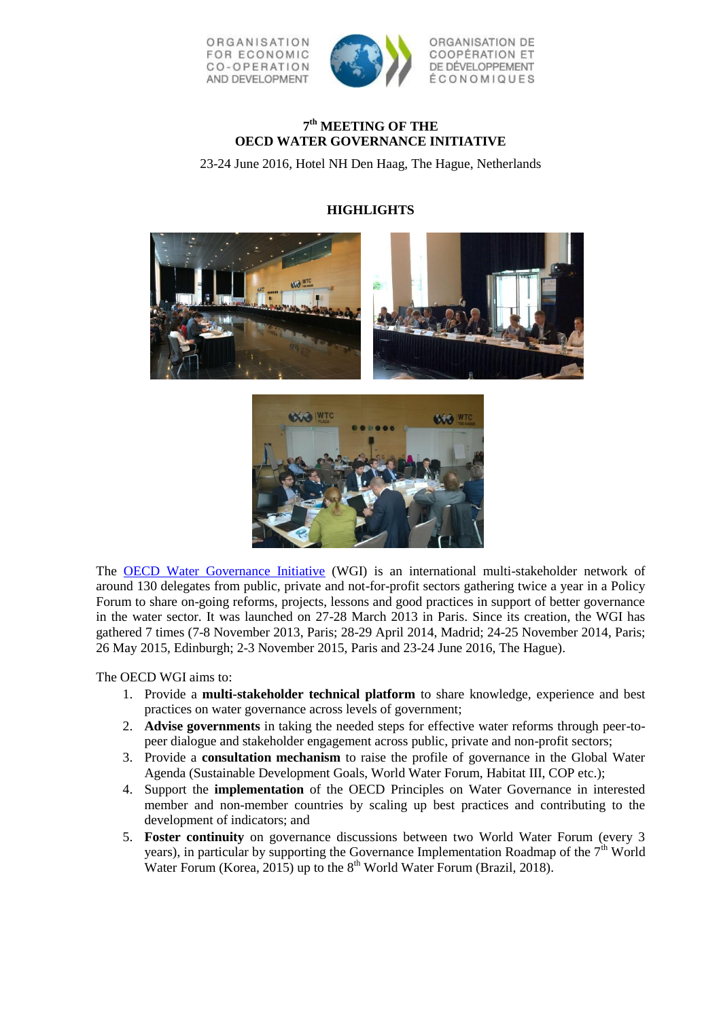

# **7 th MEETING OF THE OECD WATER GOVERNANCE INITIATIVE**

23-24 June 2016, Hotel NH Den Haag, The Hague, Netherlands

# **HIGHLIGHTS**





The [OECD Water Governance Initiative](http://www.oecd.org/gov/regional-policy/water-governance-initiative.htm) (WGI) is an international multi-stakeholder network of around 130 delegates from public, private and not-for-profit sectors gathering twice a year in a Policy Forum to share on-going reforms, projects, lessons and good practices in support of better governance in the water sector. It was launched on 27-28 March 2013 in Paris. Since its creation, the WGI has gathered 7 times (7-8 November 2013, Paris; 28-29 April 2014, Madrid; 24-25 November 2014, Paris; 26 May 2015, Edinburgh; 2-3 November 2015, Paris and 23-24 June 2016, The Hague).

The OECD WGI aims to:

- 1. Provide a **multi-stakeholder technical platform** to share knowledge, experience and best practices on water governance across levels of government;
- 2. **Advise governments** in taking the needed steps for effective water reforms through peer-topeer dialogue and stakeholder engagement across public, private and non-profit sectors;
- 3. Provide a **consultation mechanism** to raise the profile of governance in the Global Water Agenda (Sustainable Development Goals, World Water Forum, Habitat III, COP etc.);
- 4. Support the **implementation** of the OECD Principles on Water Governance in interested member and non-member countries by scaling up best practices and contributing to the development of indicators; and
- 5. **Foster continuity** on governance discussions between two World Water Forum (every 3 years), in particular by supporting the Governance Implementation Roadmap of the  $7<sup>th</sup>$  World Water Forum (Korea, 2015) up to the  $8<sup>th</sup>$  World Water Forum (Brazil, 2018).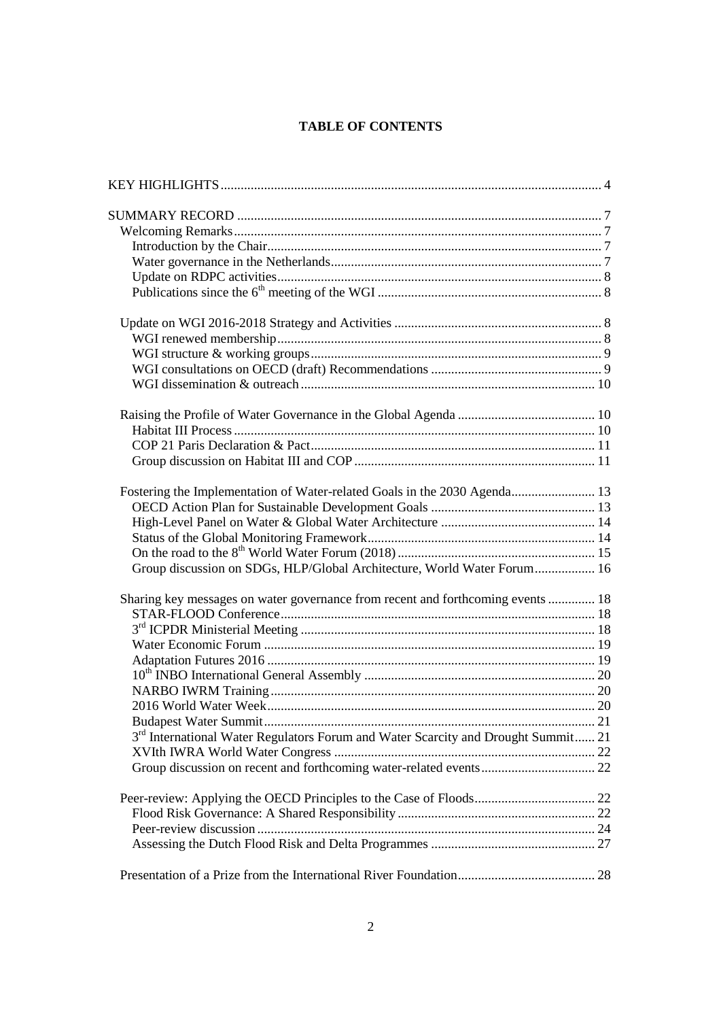# **TABLE OF CONTENTS**

| Fostering the Implementation of Water-related Goals in the 2030 Agenda 13           |  |
|-------------------------------------------------------------------------------------|--|
|                                                                                     |  |
|                                                                                     |  |
|                                                                                     |  |
|                                                                                     |  |
| Group discussion on SDGs, HLP/Global Architecture, World Water Forum 16             |  |
| Sharing key messages on water governance from recent and forthcoming events  18     |  |
|                                                                                     |  |
|                                                                                     |  |
|                                                                                     |  |
|                                                                                     |  |
|                                                                                     |  |
|                                                                                     |  |
|                                                                                     |  |
|                                                                                     |  |
| $3rd$ International Water Regulators Forum and Water Scarcity and Drought Summit 21 |  |
|                                                                                     |  |
|                                                                                     |  |
|                                                                                     |  |
|                                                                                     |  |
|                                                                                     |  |
|                                                                                     |  |
|                                                                                     |  |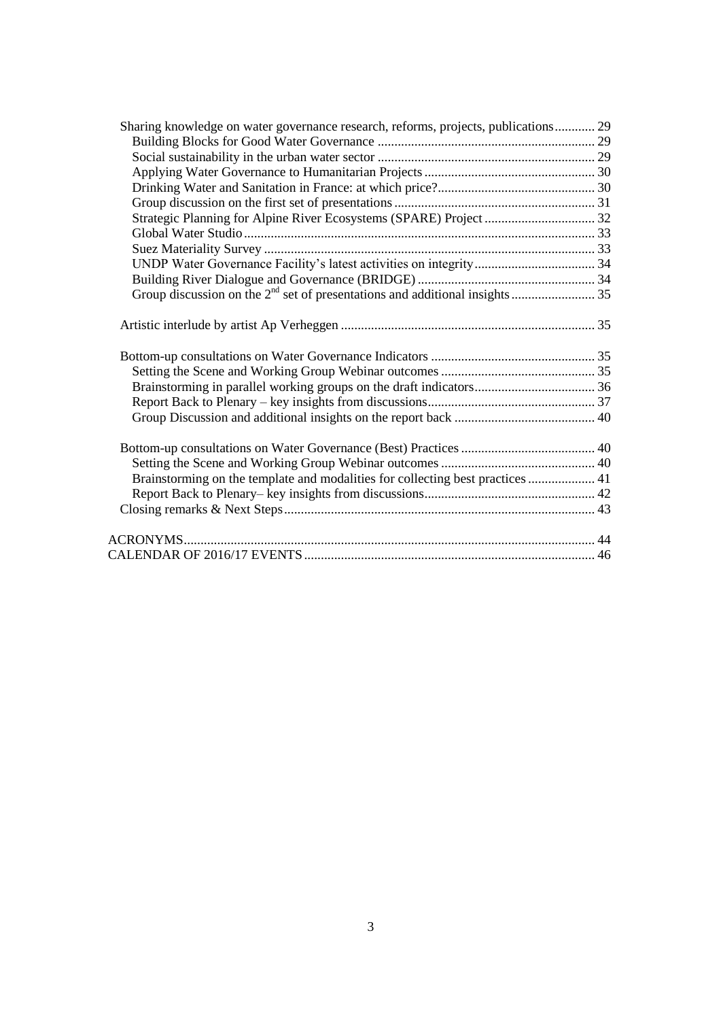| Sharing knowledge on water governance research, reforms, projects, publications 29 |  |
|------------------------------------------------------------------------------------|--|
|                                                                                    |  |
|                                                                                    |  |
|                                                                                    |  |
|                                                                                    |  |
|                                                                                    |  |
|                                                                                    |  |
|                                                                                    |  |
|                                                                                    |  |
|                                                                                    |  |
|                                                                                    |  |
|                                                                                    |  |
|                                                                                    |  |
|                                                                                    |  |
|                                                                                    |  |
|                                                                                    |  |
|                                                                                    |  |
|                                                                                    |  |
|                                                                                    |  |
|                                                                                    |  |
|                                                                                    |  |
|                                                                                    |  |
|                                                                                    |  |
|                                                                                    |  |
| Brainstorming on the template and modalities for collecting best practices  41     |  |
|                                                                                    |  |
|                                                                                    |  |
|                                                                                    |  |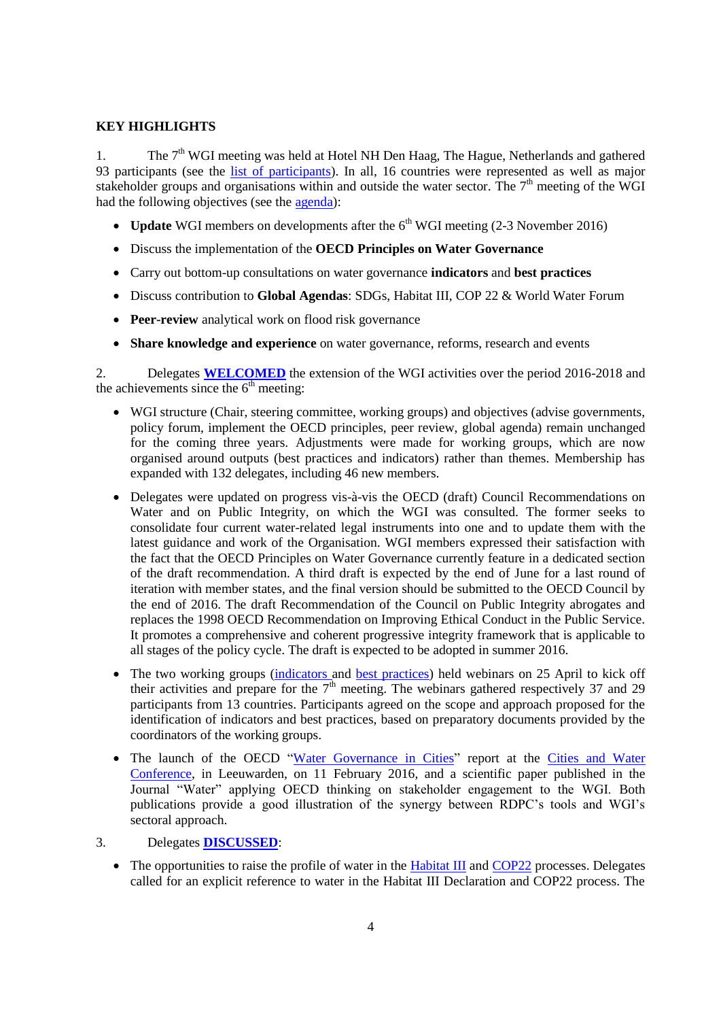# <span id="page-3-0"></span>**KEY HIGHLIGHTS**

1. The  $7<sup>th</sup>$  WGI meeting was held at Hotel NH Den Haag, The Hague, Netherlands and gathered 93 participants (see the [list of participants\)](http://www.oecd.org/gov/regional-policy/WGI-meeting-7-participants.pdf). In all, 16 countries were represented as well as major stakeholder groups and organisations within and outside the water sector. The  $7<sup>th</sup>$  meeting of the WGI had the following objectives (see the [agenda\)](http://www.oecd.org/gov/regional-policy/WGI-meeting-7-agenda.pdf):

- **Update** WGI members on developments after the  $6<sup>th</sup>$  WGI meeting (2-3 November 2016)
- Discuss the implementation of the **OECD Principles on Water Governance**
- Carry out bottom-up consultations on water governance **indicators** and **best practices**
- Discuss contribution to **Global Agendas**: SDGs, Habitat III, COP 22 & World Water Forum
- **Peer-review** analytical work on flood risk governance
- **Share knowledge and experience** on water governance, reforms, research and events

2. Delegates **WELCOMED** the extension of the WGI activities over the period 2016-2018 and the achievements since the  $6<sup>th</sup>$  meeting:

- WGI structure (Chair, steering committee, working groups) and objectives (advise governments, policy forum, implement the OECD principles, peer review, global agenda) remain unchanged for the coming three years. Adjustments were made for working groups, which are now organised around outputs (best practices and indicators) rather than themes. Membership has expanded with 132 delegates, including 46 new members.
- Delegates were updated on progress vis-à-vis the OECD (draft) Council Recommendations on Water and on Public Integrity, on which the WGI was consulted. The former seeks to consolidate four current water-related legal instruments into one and to update them with the latest guidance and work of the Organisation. WGI members expressed their satisfaction with the fact that the OECD Principles on Water Governance currently feature in a dedicated section of the draft recommendation. A third draft is expected by the end of June for a last round of iteration with member states, and the final version should be submitted to the OECD Council by the end of 2016. The draft Recommendation of the Council on Public Integrity abrogates and replaces the 1998 OECD Recommendation on Improving Ethical Conduct in the Public Service. It promotes a comprehensive and coherent progressive integrity framework that is applicable to all stages of the policy cycle. The draft is expected to be adopted in summer 2016.
- The two working groups [\(indicators](http://www.oecd.org/gov/regional-policy/Summary-Webinar-on-indicators-25-April-2016.pdf) and [best practices\)](http://www.oecd.org/gov/regional-policy/Summary-Webinar-Best-Practices-25-Apr-16.pdf) held webinars on 25 April to kick off their activities and prepare for the  $7<sup>th</sup>$  meeting. The webinars gathered respectively 37 and 29 participants from 13 countries. Participants agreed on the scope and approach proposed for the identification of indicators and best practices, based on preparatory documents provided by the coordinators of the working groups.
- The launch of the OECD ["Water Governance in Cities"](http://www.oecd-ilibrary.org/governance/water-governance-in-cities_9789264251090-en) report at the Cities and Water [Conference,](http://watercampus.nl/en/mayors-water/) in Leeuwarden, on 11 February 2016, and a scientific paper published in the Journal "Water" applying OECD thinking on stakeholder engagement to the WGI. Both publications provide a good illustration of the synergy between RDPC's tools and WGI's sectoral approach.
- 3. Delegates **DISCUSSED**:
	- The opportunities to raise the profile of water in the [Habitat III](https://www.habitat3.org/) and [COP22](http://www.cop22.ma/en) processes. Delegates called for an explicit reference to water in the Habitat III Declaration and COP22 process. The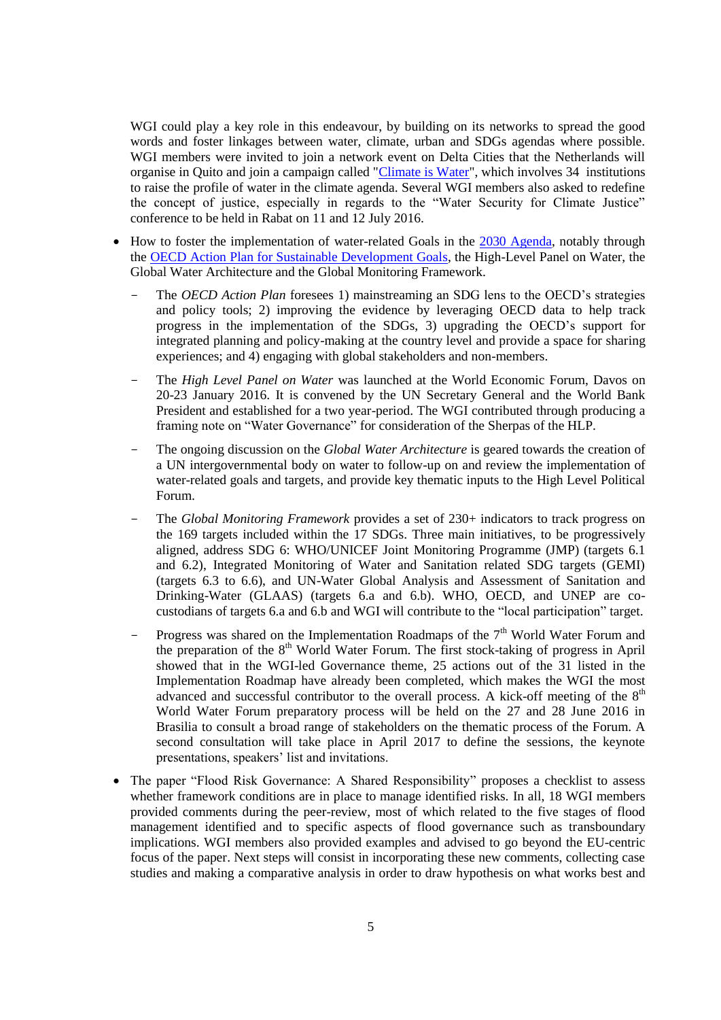WGI could play a key role in this endeavour, by building on its networks to spread the good words and foster linkages between water, climate, urban and SDGs agendas where possible. WGI members were invited to join a network event on Delta Cities that the Netherlands will organise in Quito and join a campaign called ["Climate is Water"](https://www.google.fr/url?sa=t&rct=j&q=&esrc=s&source=web&cd=1&cad=rja&uact=8&ved=0ahUKEwjAmd6whNLNAhVDQBoKHbzOBaAQFggeMAA&url=http%3A%2F%2Fwww.worldwatercouncil.org%2Ffileadmin%2Fworld_water_council%2Fdocuments%2Fnews%2F2015117_ClimateIsWater_Initiative_l), which involves 34 institutions to raise the profile of water in the climate agenda. Several WGI members also asked to redefine the concept of justice, especially in regards to the "Water Security for Climate Justice" conference to be held in Rabat on 11 and 12 July 2016.

- How to foster the implementation of water-related Goals in the [2030 Agenda,](http://www.un.org/ga/search/view_doc.asp?symbol=A/RES/70/1&Lang=E) notably through the [OECD Action Plan for Sustainable Development Goals,](https://www.google.fr/url?sa=t&rct=j&q=&esrc=s&source=web&cd=3&cad=rja&uact=8&ved=0ahUKEwjbnJTeydTNAhXRyRoKHSpEDcAQFggqMAI&url=https%3A%2F%2Fwww.oecd.org%2Fdac%2FOECD-action-plan-on-the-sustainable-development-goals-2016.pdf&usg=AFQjCNHckwCCVHm8XbxH0PxQkMI) the High-Level Panel on Water, the Global Water Architecture and the Global Monitoring Framework.
	- The *OECD Action Plan* foresees 1) mainstreaming an SDG lens to the OECD's strategies and policy tools; 2) improving the evidence by leveraging OECD data to help track progress in the implementation of the SDGs, 3) upgrading the OECD's support for integrated planning and policy-making at the country level and provide a space for sharing experiences; and 4) engaging with global stakeholders and non-members.
	- The *High Level Panel on Water* was launched at the World Economic Forum, Davos on 20-23 January 2016. It is convened by the UN Secretary General and the World Bank President and established for a two year-period. The WGI contributed through producing a framing note on "Water Governance" for consideration of the Sherpas of the HLP.
	- The ongoing discussion on the *Global Water Architecture* is geared towards the creation of a UN intergovernmental body on water to follow-up on and review the implementation of water-related goals and targets, and provide key thematic inputs to the High Level Political Forum.
	- The *Global Monitoring Framework* provides a set of 230+ indicators to track progress on the 169 targets included within the 17 SDGs. Three main initiatives, to be progressively aligned, address SDG 6: WHO/UNICEF Joint Monitoring Programme (JMP) (targets 6.1 and 6.2), Integrated Monitoring of Water and Sanitation related SDG targets (GEMI) (targets 6.3 to 6.6), and UN-Water Global Analysis and Assessment of Sanitation and Drinking-Water (GLAAS) (targets 6.a and 6.b). WHO, OECD, and UNEP are cocustodians of targets 6.a and 6.b and WGI will contribute to the "local participation" target.
	- Progress was shared on the Implementation Roadmaps of the  $7<sup>th</sup>$  World Water Forum and the preparation of the  $8<sup>th</sup>$  World Water Forum. The first stock-taking of progress in April showed that in the WGI-led Governance theme, 25 actions out of the 31 listed in the Implementation Roadmap have already been completed, which makes the WGI the most advanced and successful contributor to the overall process. A kick-off meeting of the  $8<sup>th</sup>$ World Water Forum preparatory process will be held on the 27 and 28 June 2016 in Brasilia to consult a broad range of stakeholders on the thematic process of the Forum. A second consultation will take place in April 2017 to define the sessions, the keynote presentations, speakers' list and invitations.
- The paper "Flood Risk Governance: A Shared Responsibility" proposes a checklist to assess whether framework conditions are in place to manage identified risks. In all, 18 WGI members provided comments during the peer-review, most of which related to the five stages of flood management identified and to specific aspects of flood governance such as transboundary implications. WGI members also provided examples and advised to go beyond the EU-centric focus of the paper. Next steps will consist in incorporating these new comments, collecting case studies and making a comparative analysis in order to draw hypothesis on what works best and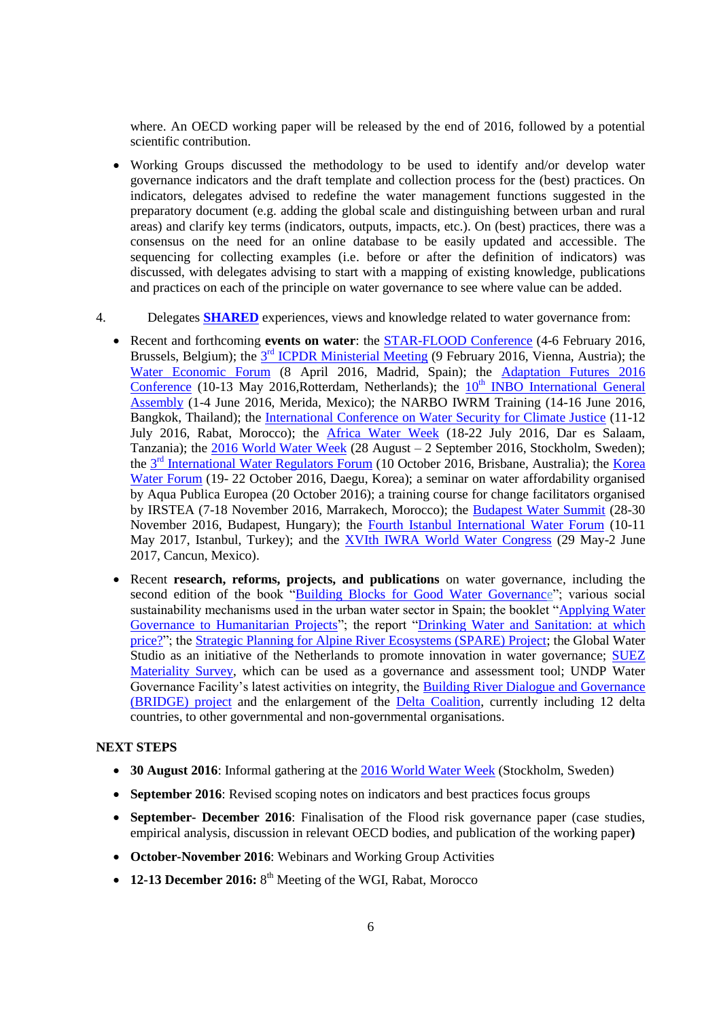where. An OECD working paper will be released by the end of 2016, followed by a potential scientific contribution.

- Working Groups discussed the methodology to be used to identify and/or develop water governance indicators and the draft template and collection process for the (best) practices. On indicators, delegates advised to redefine the water management functions suggested in the preparatory document (e.g. adding the global scale and distinguishing between urban and rural areas) and clarify key terms (indicators, outputs, impacts, etc.). On (best) practices, there was a consensus on the need for an online database to be easily updated and accessible. The sequencing for collecting examples (i.e. before or after the definition of indicators) was discussed, with delegates advising to start with a mapping of existing knowledge, publications and practices on each of the principle on water governance to see where value can be added.
- 4. Delegates **SHARED** experiences, views and knowledge related to water governance from:
	- Recent and forthcoming **events on water**: the [STAR-FLOOD Conference](http://www.starflood.eu/conference/) (4-6 February 2016, Brussels, Belgium); the **3<sup>rd</sup> ICPDR** Ministerial Meeting (9 February 2016, Vienna, Austria); the [Water Economic Forum](http://forodelaeconomiadelagua.org/primer-foro/) (8 April 2016, Madrid, Spain); the [Adaptation Futures 2016](http://www.adaptationfutures2016.org/)  [Conference](http://www.adaptationfutures2016.org/) (10-13 May 2016, Rotterdam, Netherlands); the  $10<sup>th</sup>$  INBO International General [Assembly](http://www.rioc.org/inbo/agenda/article/10th-general-assembly) (1-4 June 2016, Merida, Mexico); the NARBO IWRM Training (14-16 June 2016, Bangkok, Thailand); the [International Conference on Water Security for Climate Justice](http://www.cop22.ma/en/international-conference-water-and-climate-%E2%80%9Cwater-security-climate-justice%E2%80%9D) (11-12) July 2016, Rabat, Morocco); the [Africa Water Week](http://africawaterweek.com/6/) (18-22 July 2016, Dar es Salaam, Tanzania); the [2016 World Water Week](http://www.worldwaterweek.org/) (28 August – 2 September 2016, Stockholm, Sweden); the 3<sup>rd</sup> [International Water Regulators Forum](http://www.iwa-network.org/iwrf) (10 October 2016, Brisbane, Australia); the Korea [Water Forum](http://www.koreawaterforum.org/) (19- 22 October 2016, Daegu, Korea); a seminar on water affordability organised by Aqua Publica Europea (20 October 2016); a training course for change facilitators organised by IRSTEA (7-18 November 2016, Marrakech, Morocco); the [Budapest Water Summit](http://www.budapestwatersummit.hu/) (28-30 November 2016, Budapest, Hungary); the [Fourth Istanbul International Water Forum](http://suen.gov.tr/en/2016/04/20/4-istanbul-uluslararasi-su-forumunun-tarihi-belirlendi/) (10-11 May 2017, Istanbul, Turkey); and the [XVIth IWRA World Water Congress](http://worldwatercongress.com/) (29 May-2 June 2017, Cancun, Mexico).
	- Recent **research, reforms, projects, and publications** on water governance, including the second edition of the book ["Building Blocks for Good Water Governance"](http://watergovernance.s3.amazonaws.com/files/P085-01-16-006-eindpubBB.pdf); various social sustainability mechanisms used in the urban water sector in Spain; the booklet ["Applying Water](http://www.oecd.org/fr/gov/politique-regionale/acf-international.pdf)  [Governance to Humanitarian Projects"](http://www.oecd.org/fr/gov/politique-regionale/acf-international.pdf); the report "Drinking Water and Sanitation: at which [price?"](http://www.cgedd.developpement-durable.gouv.fr/IMG/pdf/010151-01_rapport_cle2b7248.pdf); the [Strategic Planning for Alpine River Ecosystems \(SPARE\) Project;](http://www.alpine-space.eu/SPARE) the Global Water Studio as an initiative of the Netherlands to promote innovation in water governance; [SUEZ](http://www.suez-environnement.fr/wp-content/uploads/2016/06/EN_SUEZ_integrated-report_2015_WEB.pdf) [Materiality Survey,](http://www.suez-environnement.fr/wp-content/uploads/2016/06/EN_SUEZ_integrated-report_2015_WEB.pdf) which can be used as a governance and assessment tool; UNDP Water Governance Facility's latest activities on integrity, the [Building River Dialogue and Governance](http://www.iucn.org/theme/water/our-work/bridge)  [\(BRIDGE\) project](http://www.iucn.org/theme/water/our-work/bridge) and the enlargement of the [Delta Coalition,](https://www.government.nl/latest/news/2016/05/10/minister-schultz-launches-international-delta-coalition) currently including 12 delta countries, to other governmental and non-governmental organisations.

# **NEXT STEPS**

- **30 August 2016**: Informal gathering at the [2016 World Water Week](http://www.worldwaterweek.org/) (Stockholm, Sweden)
- **September 2016**: Revised scoping notes on indicators and best practices focus groups
- **September- December 2016**: Finalisation of the Flood risk governance paper (case studies, empirical analysis, discussion in relevant OECD bodies, and publication of the working paper**)**
- **October-November 2016**: Webinars and Working Group Activities
- 12-13 December 2016: 8<sup>th</sup> Meeting of the WGI, Rabat, Morocco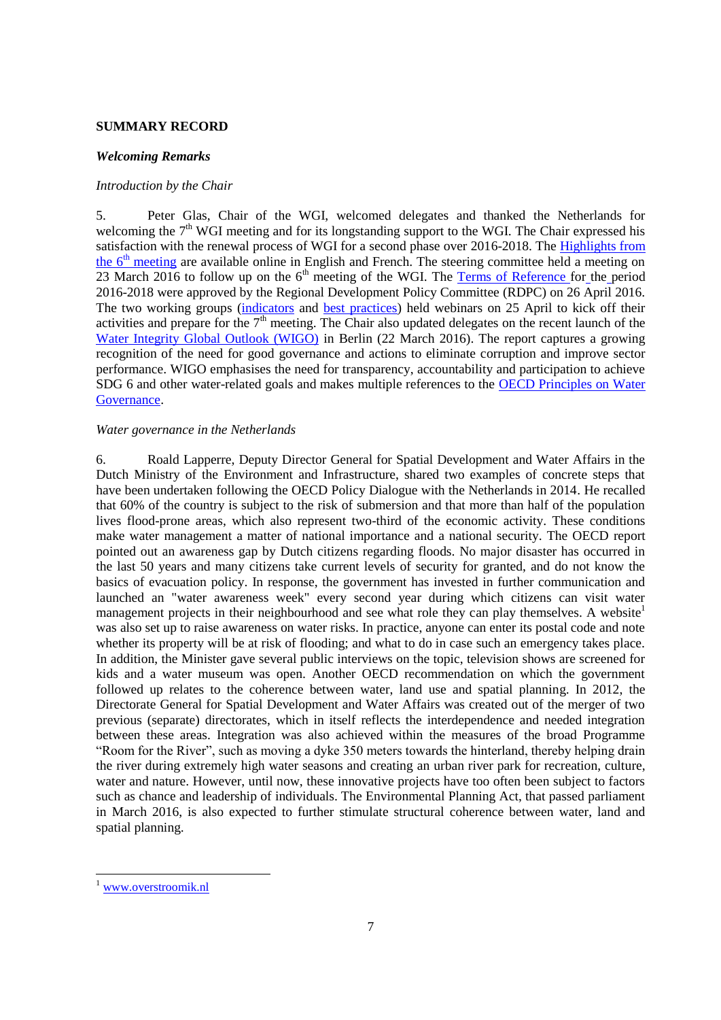## <span id="page-6-0"></span>**SUMMARY RECORD**

#### <span id="page-6-1"></span>*Welcoming Remarks*

#### <span id="page-6-2"></span>*Introduction by the Chair*

5. Peter Glas, Chair of the WGI, welcomed delegates and thanked the Netherlands for welcoming the  $7<sup>th</sup>$  WGI meeting and for its longstanding support to the WGI. The Chair expressed his satisfaction with the renewal process of WGI for a second phase over 2016-2018. The Highlights from the  $6<sup>th</sup>$  [meeting](http://www.oecd.org/gov/regional-policy/water-governance-initiative-6-highlights.pdf) are available online in English and French. The steering committee held a meeting on 23 March 2016 to follow up on the  $6<sup>th</sup>$  meeting of the WGI. The [Terms of Reference for](http://www.oecd.org/gov/regional-policy/water-governance-initiative-terms-of-reference-2016-18.pdf) the period [2016-2018](http://www.oecd.org/gov/regional-policy/water-governance-initiative-terms-of-reference-2016-18.pdf) were approved by the Regional Development Policy Committee (RDPC) on 26 April 2016. The two working groups [\(indicators](http://www.oecd.org/gov/regional-policy/Summary-Webinar-on-indicators-25-April-2016.pdf) and [best practices\)](http://www.oecd.org/gov/regional-policy/Summary-Webinar-Best-Practices-25-Apr-16.pdf) held webinars on 25 April to kick off their activities and prepare for the  $7<sup>th</sup>$  meeting. The Chair also updated delegates on the recent launch of the [Water Integrity Global Outlook \(WIGO\)](http://www.waterintegritynetwork.net/wigo/) in Berlin (22 March 2016). The report captures a growing recognition of the need for good governance and actions to eliminate corruption and improve sector performance. WIGO emphasises the need for transparency, accountability and participation to achieve SDG 6 and other water-related goals and makes multiple references to the [OECD Principles on Water](http://www.oecd.org/gov/regional-policy/OECD-Principles-on-Water-Governance-brochure.pdf)  [Governance.](http://www.oecd.org/gov/regional-policy/OECD-Principles-on-Water-Governance-brochure.pdf)

## <span id="page-6-3"></span>*Water governance in the Netherlands*

6. Roald Lapperre, Deputy Director General for Spatial Development and Water Affairs in the Dutch Ministry of the Environment and Infrastructure, shared two examples of concrete steps that have been undertaken following the OECD Policy Dialogue with the Netherlands in 2014. He recalled that 60% of the country is subject to the risk of submersion and that more than half of the population lives flood-prone areas, which also represent two-third of the economic activity. These conditions make water management a matter of national importance and a national security. The OECD report pointed out an awareness gap by Dutch citizens regarding floods. No major disaster has occurred in the last 50 years and many citizens take current levels of security for granted, and do not know the basics of evacuation policy. In response, the government has invested in further communication and launched an "water awareness week" every second year during which citizens can visit water management projects in their neighbourhood and see what role they can play themselves. A website was also set up to raise awareness on water risks. In practice, anyone can enter its postal code and note whether its property will be at risk of flooding; and what to do in case such an emergency takes place. In addition, the Minister gave several public interviews on the topic, television shows are screened for kids and a water museum was open. Another OECD recommendation on which the government followed up relates to the coherence between water, land use and spatial planning. In 2012, the Directorate General for Spatial Development and Water Affairs was created out of the merger of two previous (separate) directorates, which in itself reflects the interdependence and needed integration between these areas. Integration was also achieved within the measures of the broad Programme "Room for the River", such as moving a dyke 350 meters towards the hinterland, thereby helping drain the river during extremely high water seasons and creating an urban river park for recreation, culture, water and nature. However, until now, these innovative projects have too often been subject to factors such as chance and leadership of individuals. The Environmental Planning Act, that passed parliament in March 2016, is also expected to further stimulate structural coherence between water, land and spatial planning.

l

[www.overstroomik.nl](http://www.overstroomik.nl/)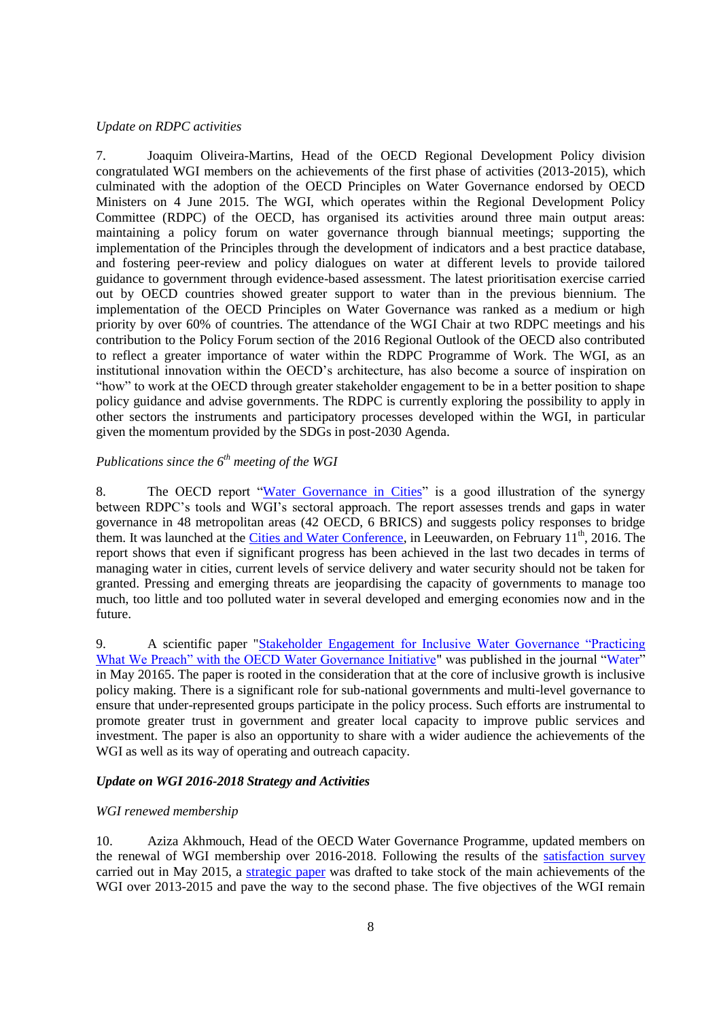# <span id="page-7-0"></span>*Update on RDPC activities*

7. Joaquim Oliveira-Martins, Head of the OECD Regional Development Policy division congratulated WGI members on the achievements of the first phase of activities (2013-2015), which culminated with the adoption of the OECD Principles on Water Governance endorsed by OECD Ministers on 4 June 2015. The WGI, which operates within the Regional Development Policy Committee (RDPC) of the OECD, has organised its activities around three main output areas: maintaining a policy forum on water governance through biannual meetings; supporting the implementation of the Principles through the development of indicators and a best practice database, and fostering peer-review and policy dialogues on water at different levels to provide tailored guidance to government through evidence-based assessment. The latest prioritisation exercise carried out by OECD countries showed greater support to water than in the previous biennium. The implementation of the OECD Principles on Water Governance was ranked as a medium or high priority by over 60% of countries. The attendance of the WGI Chair at two RDPC meetings and his contribution to the Policy Forum section of the 2016 Regional Outlook of the OECD also contributed to reflect a greater importance of water within the RDPC Programme of Work. The WGI, as an institutional innovation within the OECD's architecture, has also become a source of inspiration on "how" to work at the OECD through greater stakeholder engagement to be in a better position to shape policy guidance and advise governments. The RDPC is currently exploring the possibility to apply in other sectors the instruments and participatory processes developed within the WGI, in particular given the momentum provided by the SDGs in post-2030 Agenda.

# <span id="page-7-1"></span>*Publications since the 6th meeting of the WGI*

8. The OECD report ["Water Governance in Cities"](http://www.oecd-ilibrary.org/governance/water-governance-in-cities_9789264251090-en) is a good illustration of the synergy between RDPC's tools and WGI's sectoral approach. The report assesses trends and gaps in water governance in 48 metropolitan areas (42 OECD, 6 BRICS) and suggests policy responses to bridge them. It was launched at the [Cities and Water Conference,](http://watercampus.nl/en/mayors-water/) in Leeuwarden, on February 11<sup>th</sup>, 2016. The report shows that even if significant progress has been achieved in the last two decades in terms of managing water in cities, current levels of service delivery and water security should not be taken for granted. Pressing and emerging threats are jeopardising the capacity of governments to manage too much, too little and too polluted water in several developed and emerging economies now and in the future.

9. A scientific paper "Stakeholder Engagement [for Inclusive Water Governance "Practicing](http://www.mdpi.com/2073-4441/8/5/204/pdf)  [What We Preach" with the OECD Water Governance Initiative"](http://www.mdpi.com/2073-4441/8/5/204/pdf) was published in the journal ["Water"](http://www.mdpi.com/journal/water) in May 20165. The paper is rooted in the consideration that at the core of inclusive growth is inclusive policy making. There is a significant role for sub-national governments and multi-level governance to ensure that under-represented groups participate in the policy process. Such efforts are instrumental to promote greater trust in government and greater local capacity to improve public services and investment. The paper is also an opportunity to share with a wider audience the achievements of the WGI as well as its way of operating and outreach capacity.

#### <span id="page-7-2"></span>*Update on WGI 2016-2018 Strategy and Activities*

#### <span id="page-7-3"></span>*WGI renewed membership*

10. Aziza Akhmouch, Head of the OECD Water Governance Programme, updated members on the renewal of WGI membership over 2016-2018. Following the results of the [satisfaction survey](http://www.oecd.org/gov/regional-policy/WGI-Survey-synthesis.pdf) carried out in May 2015, a [strategic paper](http://www.oecd.org/gov/regional-policy/WGI-Achievements-Ways-Forward.pdf) was drafted to take stock of the main achievements of the WGI over 2013-2015 and pave the way to the second phase. The five objectives of the WGI remain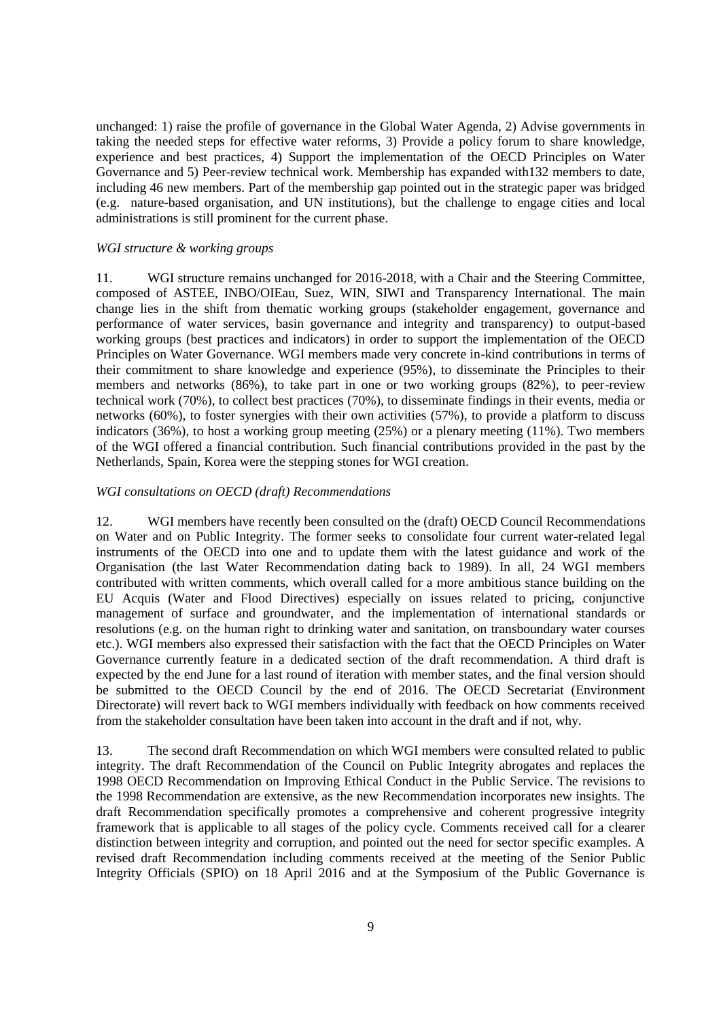unchanged: 1) raise the profile of governance in the Global Water Agenda, 2) Advise governments in taking the needed steps for effective water reforms, 3) Provide a policy forum to share knowledge, experience and best practices, 4) Support the implementation of the OECD Principles on Water Governance and 5) Peer-review technical work. Membership has expanded with132 members to date, including 46 new members. Part of the membership gap pointed out in the strategic paper was bridged (e.g. nature-based organisation, and UN institutions), but the challenge to engage cities and local administrations is still prominent for the current phase.

#### <span id="page-8-0"></span>*WGI structure & working groups*

11. WGI structure remains unchanged for 2016-2018, with a Chair and the Steering Committee, composed of ASTEE, INBO/OIEau, Suez, WIN, SIWI and Transparency International. The main change lies in the shift from thematic working groups (stakeholder engagement, governance and performance of water services, basin governance and integrity and transparency) to output-based working groups (best practices and indicators) in order to support the implementation of the OECD Principles on Water Governance. WGI members made very concrete in-kind contributions in terms of their commitment to share knowledge and experience (95%), to disseminate the Principles to their members and networks (86%), to take part in one or two working groups (82%), to peer-review technical work (70%), to collect best practices (70%), to disseminate findings in their events, media or networks (60%), to foster synergies with their own activities (57%), to provide a platform to discuss indicators (36%), to host a working group meeting (25%) or a plenary meeting (11%). Two members of the WGI offered a financial contribution. Such financial contributions provided in the past by the Netherlands, Spain, Korea were the stepping stones for WGI creation.

## <span id="page-8-1"></span>*WGI consultations on OECD (draft) Recommendations*

12. WGI members have recently been consulted on the (draft) OECD Council Recommendations on Water and on Public Integrity. The former seeks to consolidate four current water-related legal instruments of the OECD into one and to update them with the latest guidance and work of the Organisation (the last Water Recommendation dating back to 1989). In all, 24 WGI members contributed with written comments, which overall called for a more ambitious stance building on the EU Acquis (Water and Flood Directives) especially on issues related to pricing, conjunctive management of surface and groundwater, and the implementation of international standards or resolutions (e.g. on the human right to drinking water and sanitation, on transboundary water courses etc.). WGI members also expressed their satisfaction with the fact that the OECD Principles on Water Governance currently feature in a dedicated section of the draft recommendation. A third draft is expected by the end June for a last round of iteration with member states, and the final version should be submitted to the OECD Council by the end of 2016. The OECD Secretariat (Environment Directorate) will revert back to WGI members individually with feedback on how comments received from the stakeholder consultation have been taken into account in the draft and if not, why.

13. The second draft Recommendation on which WGI members were consulted related to public integrity. The draft Recommendation of the Council on Public Integrity abrogates and replaces the 1998 OECD Recommendation on Improving Ethical Conduct in the Public Service. The revisions to the 1998 Recommendation are extensive, as the new Recommendation incorporates new insights. The draft Recommendation specifically promotes a comprehensive and coherent progressive integrity framework that is applicable to all stages of the policy cycle. Comments received call for a clearer distinction between integrity and corruption, and pointed out the need for sector specific examples. A revised draft Recommendation including comments received at the meeting of the Senior Public Integrity Officials (SPIO) on 18 April 2016 and at the Symposium of the Public Governance is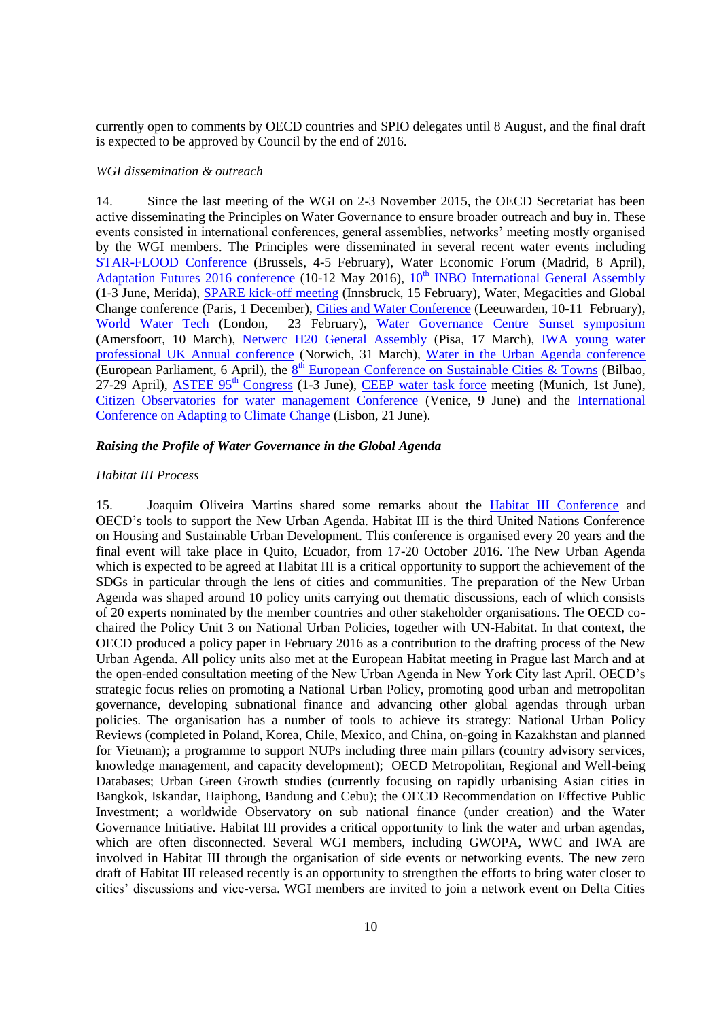currently open to comments by OECD countries and SPIO delegates until 8 August, and the final draft is expected to be approved by Council by the end of 2016.

#### <span id="page-9-0"></span>*WGI dissemination & outreach*

14. Since the last meeting of the WGI on 2-3 November 2015, the OECD Secretariat has been active disseminating the Principles on Water Governance to ensure broader outreach and buy in. These events consisted in international conferences, general assemblies, networks' meeting mostly organised by the WGI members. The Principles were disseminated in several recent water events including [STAR-FLOOD Conference](http://www.starflood.eu/conference/) (Brussels, 4-5 February), Water Economic Forum (Madrid, 8 April), [Adaptation Futures 2016 conference](http://www.adaptationfutures2016.org/) (10-12 May 2016), 10<sup>th</sup> [INBO International General Assembly](http://www.rioc.org/inbo/agenda/article/10th-general-assembly) (1-3 June, Merida), **SPARE** kick-off meeting (Innsbruck, 15 February), Water, Megacities and Global Change conference (Paris, 1 December), [Cities and Water Conference](http://watercampus.nl/en/mayors-water/) (Leeuwarden, 10-11 February), [World Water Tech](http://worldwatertechinvestment.com/wp-content/themes/ReThink/_/inc/images/Rethink-WWIS16-Conference-Programme-Digital.pdf) (London, 23 February), [Water Governance Centre Sunset symposium](http://www.watergovernancecentre.nl/nieuws/2015/12/17/wgceindsymposium/) (Amersfoort, 10 March), [Netwerc H20 General Assembly](https://www.google.fr/url?sa=t&rct=j&q=&esrc=s&source=web&cd=1&cad=rja&uact=8&ved=0ahUKEwiuoO3tko_OAhVpIsAKHVJABkEQFggeMAA&url=http%3A%2F%2Fwww.netwerch2o.eu%2Fwp-content%2Fuploads%2F2016%2F01%2FNETWERC-H20-CONFERENCE-AND-ANNUAL-GENERAL-ASSEMBLY-V0.4.pdf&usg=AFQjCNE8Q7BZkr1310SDu9vePjTGqdM5lA&sig2=fs3jqUM-a5l7U56JCqchkA) (Pisa, 17 March), [IWA young water](https://www.google.fr/url?sa=t&rct=j&q=&esrc=s&source=web&cd=1&cad=rja&uact=8&ved=0ahUKEwiRyIz6ko_OAhVIL8AKHQIADFoQFggfMAA&url=http%3A%2F%2Fwww.rsc.org%2Fevents%2Fdetail%2F21092%2Finternational-water-association-young-water-professionals-uk-annual-conference-2016&usg=AFQjCNGjq5jXMPqksrid6hO2WQGgaqBXfw&sig2=xz2MJEA780Opb9BKAl1EZw&bvm=bv.127984354,d.ZGg)  [professional UK Annual conference](https://www.google.fr/url?sa=t&rct=j&q=&esrc=s&source=web&cd=1&cad=rja&uact=8&ved=0ahUKEwiRyIz6ko_OAhVIL8AKHQIADFoQFggfMAA&url=http%3A%2F%2Fwww.rsc.org%2Fevents%2Fdetail%2F21092%2Finternational-water-association-young-water-professionals-uk-annual-conference-2016&usg=AFQjCNGjq5jXMPqksrid6hO2WQGgaqBXfw&sig2=xz2MJEA780Opb9BKAl1EZw&bvm=bv.127984354,d.ZGg) (Norwich, 31 March), [Water in the Urban Agenda conference](http://mepwatergroup.eu/mep-water-group-public-session-on-water-in-the-urban-agenda/) (European Parliament, 6 April), the  $8<sup>th</sup>$  [European Conference on Sustainable Cities & Towns](https://www.google.fr/url?sa=t&rct=j&q=&esrc=s&source=web&cd=1&cad=rja&uact=8&ved=0ahUKEwisntOmk4_OAhVOF8AKHRBxAUMQFggeMAA&url=http%3A%2F%2Fconferences.sustainablecities.eu%2F&usg=AFQjCNHEW3B5b3CbskmIHxYLUSSdRFD6sA&sig2=g546G101Api4QkciDOrVQg) (Bilbao, 27-29 April), [ASTEE 95](https://www.google.fr/url?sa=t&rct=j&q=&esrc=s&source=web&cd=2&cad=rja&uact=8&ved=0ahUKEwiZpOKvk4_OAhVJLMAKHfB6D5YQFggiMAE&url=http%3A%2F%2Fwww.astee.org%2Fevenement%2F95eme-congres-de-lastee-territoires-en-transition-mettre-lintelligence-numerique-au-coeur-des-services-publics%2F&usg=AFQjCNGUV5nl-bt2uRVsi9ZHjEWdaLe7Tw&sig2=W0hlc40UHjzQqp-Y3CintQ&bvm=bv.127984354,d.ZGg)<sup>th</sup> Congress (1-3 June), [CEEP water task force](http://www.ceep.eu/our_activities/water-tf/) meeting (Munich, 1st June), Citizen [Observatories for water management Conference](https://www.google.fr/url?sa=t&rct=j&q=&esrc=s&source=web&cd=1&cad=rja&uact=8&ved=0ahUKEwjI4OXgk4_OAhXmDsAKHTKHDIAQFggjMAA&url=http%3A%2F%2Fwww.conwater2016.eu%2Findex.php%2Fen%2F&usg=AFQjCNGUxu8AfQ3iO2frvCHEgLE6MmxG9A&sig2=U7A7DirCXIVHl5W_J7w2Yg) (Venice, 9 June) and the [International](https://www.google.fr/url?sa=t&rct=j&q=&esrc=s&source=web&cd=1&cad=rja&uact=8&ved=0ahUKEwiZ-73pk4_OAhUIJ8AKHSiRCLoQFgghMAA&url=http%3A%2F%2Fwww.globalclimate.info%2F&usg=AFQjCNFAAHr5tSiaTPHb-jReOEoxPKQ1ug&sig2=q83VjRroEBJ-7So_sbV8tA&bvm=bv.127984354,d.ZGg)  [Conference on Adapting to Climate Change](https://www.google.fr/url?sa=t&rct=j&q=&esrc=s&source=web&cd=1&cad=rja&uact=8&ved=0ahUKEwiZ-73pk4_OAhUIJ8AKHSiRCLoQFgghMAA&url=http%3A%2F%2Fwww.globalclimate.info%2F&usg=AFQjCNFAAHr5tSiaTPHb-jReOEoxPKQ1ug&sig2=q83VjRroEBJ-7So_sbV8tA&bvm=bv.127984354,d.ZGg) (Lisbon, 21 June).

# <span id="page-9-1"></span>*Raising the Profile of Water Governance in the Global Agenda*

#### <span id="page-9-2"></span>*Habitat III Process*

15. Joaquim Oliveira Martins shared some remarks about the [Habitat III Conference](https://www.habitat3.org/) and OECD's tools to support the New Urban Agenda. Habitat III is the third United Nations Conference on Housing and Sustainable Urban Development. This conference is organised every 20 years and the final event will take place in Quito, Ecuador, from 17-20 October 2016. The New Urban Agenda which is expected to be agreed at Habitat III is a critical opportunity to support the achievement of the SDGs in particular through the lens of cities and communities. The preparation of the New Urban Agenda was shaped around 10 policy units carrying out thematic discussions, each of which consists of 20 experts nominated by the member countries and other stakeholder organisations. The OECD cochaired the Policy Unit 3 on National Urban Policies, together with UN-Habitat. In that context, the OECD produced a policy paper in February 2016 as a contribution to the drafting process of the New Urban Agenda. All policy units also met at the European Habitat meeting in Prague last March and at the open-ended consultation meeting of the New Urban Agenda in New York City last April. OECD's strategic focus relies on promoting a National Urban Policy, promoting good urban and metropolitan governance, developing subnational finance and advancing other global agendas through urban policies. The organisation has a number of tools to achieve its strategy: National Urban Policy Reviews (completed in Poland, Korea, Chile, Mexico, and China, on-going in Kazakhstan and planned for Vietnam); a programme to support NUPs including three main pillars (country advisory services, knowledge management, and capacity development); OECD Metropolitan, Regional and Well-being Databases; Urban Green Growth studies (currently focusing on rapidly urbanising Asian cities in Bangkok, Iskandar, Haiphong, Bandung and Cebu); the OECD Recommendation on Effective Public Investment; a worldwide Observatory on sub national finance (under creation) and the Water Governance Initiative. Habitat III provides a critical opportunity to link the water and urban agendas, which are often disconnected. Several WGI members, including GWOPA, WWC and IWA are involved in Habitat III through the organisation of side events or networking events. The new zero draft of Habitat III released recently is an opportunity to strengthen the efforts to bring water closer to cities' discussions and vice-versa. WGI members are invited to join a network event on Delta Cities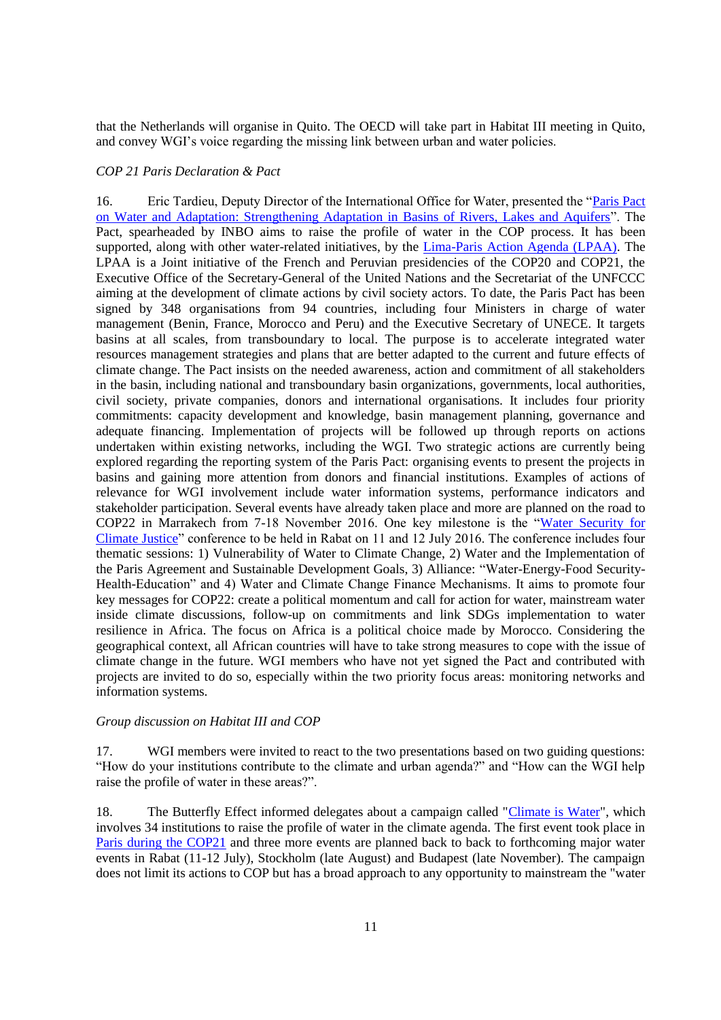that the Netherlands will organise in Quito. The OECD will take part in Habitat III meeting in Quito, and convey WGI's voice regarding the missing link between urban and water policies.

#### <span id="page-10-0"></span>*COP 21 Paris Declaration & Pact*

16. Eric Tardieu, Deputy Director of the International Office for Water, presented the ["Paris Pact](http://www.riob.org/IMG/pdf/Pacte_Paris_Eng_version_Non_COP_v17.pdf)  [on Water and Adaptation: Strengthening Adaptation in Basins of Rivers, Lakes and Aquifers"](http://www.riob.org/IMG/pdf/Pacte_Paris_Eng_version_Non_COP_v17.pdf). The Pact, spearheaded by INBO aims to raise the profile of water in the COP process. It has been supported, along with other water-related initiatives, by the [Lima-Paris Action Agenda \(LPAA\).](http://newsroom.unfccc.int/lpaa) The LPAA is a Joint initiative of the French and Peruvian presidencies of the COP20 and COP21, the Executive Office of the Secretary-General of the United Nations and the Secretariat of the UNFCCC aiming at the development of climate actions by civil society actors. To date, the Paris Pact has been signed by 348 organisations from 94 countries, including four Ministers in charge of water management (Benin, France, Morocco and Peru) and the Executive Secretary of UNECE. It targets basins at all scales, from transboundary to local. The purpose is to accelerate integrated water resources management strategies and plans that are better adapted to the current and future effects of climate change. The Pact insists on the needed awareness, action and commitment of all stakeholders in the basin, including national and transboundary basin organizations, governments, local authorities, civil society, private companies, donors and international organisations. It includes four priority commitments: capacity development and knowledge, basin management planning, governance and adequate financing. Implementation of projects will be followed up through reports on actions undertaken within existing networks, including the WGI. Two strategic actions are currently being explored regarding the reporting system of the Paris Pact: organising events to present the projects in basins and gaining more attention from donors and financial institutions. Examples of actions of relevance for WGI involvement include water information systems, performance indicators and stakeholder participation. Several events have already taken place and more are planned on the road to COP22 in Marrakech from 7-18 November 2016. One key milestone is the ["Water Security for](http://www.cop22.ma/en/international-conference-water-and-climate-%E2%80%9Cwater-security-climate-justice%E2%80%9D)  [Climate Justice"](http://www.cop22.ma/en/international-conference-water-and-climate-%E2%80%9Cwater-security-climate-justice%E2%80%9D) conference to be held in Rabat on 11 and 12 July 2016. The conference includes four thematic sessions: 1) Vulnerability of Water to Climate Change, 2) Water and the Implementation of the Paris Agreement and Sustainable Development Goals, 3) Alliance: "Water-Energy-Food Security-Health-Education" and 4) Water and Climate Change Finance Mechanisms. It aims to promote four key messages for COP22: create a political momentum and call for action for water, mainstream water inside climate discussions, follow-up on commitments and link SDGs implementation to water resilience in Africa. The focus on Africa is a political choice made by Morocco. Considering the geographical context, all African countries will have to take strong measures to cope with the issue of climate change in the future. WGI members who have not yet signed the Pact and contributed with projects are invited to do so, especially within the two priority focus areas: monitoring networks and information systems.

### <span id="page-10-1"></span>*Group discussion on Habitat III and COP*

17. WGI members were invited to react to the two presentations based on two guiding questions: "How do your institutions contribute to the climate and urban agenda?" and "How can the WGI help raise the profile of water in these areas?".

18. The Butterfly Effect informed delegates about a campaign called ["Climate is Water"](http://alliance4water.org/climateiswater/campaign/), which involves 34 institutions to raise the profile of water in the climate agenda. The first event took place in [Paris during the COP21](http://www.worldwatercouncil.org/fileadmin/world_water_council/documents/news/2015117_ClimateIsWater_Initiative_leaflet.pdf) and three more events are planned back to back to forthcoming major water events in Rabat (11-12 July), Stockholm (late August) and Budapest (late November). The campaign does not limit its actions to COP but has a broad approach to any opportunity to mainstream the "water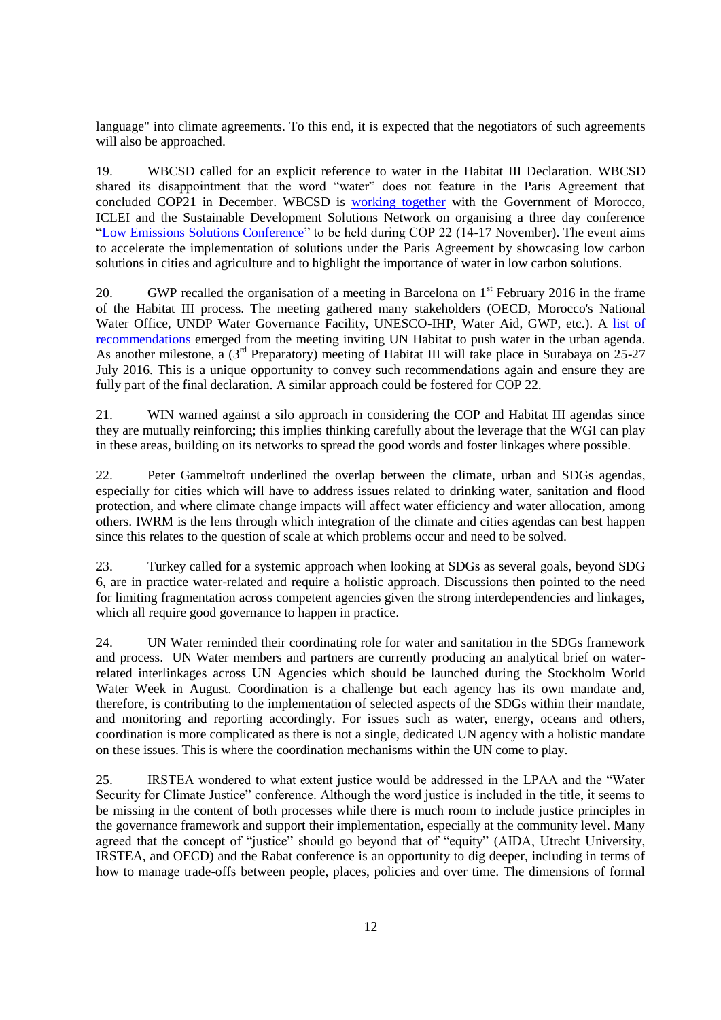language" into climate agreements. To this end, it is expected that the negotiators of such agreements will also be approached.

19. WBCSD called for an explicit reference to water in the Habitat III Declaration. WBCSD shared its disappointment that the word "water" does not feature in the Paris Agreement that concluded COP21 in December. WBCSD is [working together](http://www.wbcsd.org/cop22-will-bring-together-cities-government-and-business.aspx) with the Government of Morocco, ICLEI and the Sustainable Development Solutions Network on organising a three day conference ["Low Emissions Solutions Conference"](http://unsdsn.org/wp-content/uploads/2016/05/Concept-Note-May-5-COP22-Low-Emissions-Solutions-Conference.pdf) to be held during COP 22 (14-17 November). The event aims to accelerate the implementation of solutions under the Paris Agreement by showcasing low carbon solutions in cities and agriculture and to highlight the importance of water in low carbon solutions.

20. GWP recalled the organisation of a meeting in Barcelona on  $1<sup>st</sup>$  February 2016 in the frame of the Habitat III process. The meeting gathered many stakeholders (OECD, Morocco's National Water Office, UNDP Water Governance Facility, UNESCO-IHP, Water Aid, GWP, etc.). A list of [recommendations](http://www.gwopa.org/en/gwopa-news/download/146_a4473c3de360a57e8378176f89c2aeff) emerged from the meeting inviting UN Habitat to push water in the urban agenda. As another milestone, a  $(3^{rd}$  Preparatory) meeting of Habitat III will take place in Surabaya on 25-27 July 2016. This is a unique opportunity to convey such recommendations again and ensure they are fully part of the final declaration. A similar approach could be fostered for COP 22.

21. WIN warned against a silo approach in considering the COP and Habitat III agendas since they are mutually reinforcing; this implies thinking carefully about the leverage that the WGI can play in these areas, building on its networks to spread the good words and foster linkages where possible.

22. Peter Gammeltoft underlined the overlap between the climate, urban and SDGs agendas, especially for cities which will have to address issues related to drinking water, sanitation and flood protection, and where climate change impacts will affect water efficiency and water allocation, among others. IWRM is the lens through which integration of the climate and cities agendas can best happen since this relates to the question of scale at which problems occur and need to be solved.

23. Turkey called for a systemic approach when looking at SDGs as several goals, beyond SDG 6, are in practice water-related and require a holistic approach. Discussions then pointed to the need for limiting fragmentation across competent agencies given the strong interdependencies and linkages, which all require good governance to happen in practice.

24. UN Water reminded their coordinating role for water and sanitation in the SDGs framework and process. UN Water members and partners are currently producing an analytical brief on waterrelated interlinkages across UN Agencies which should be launched during the Stockholm World Water Week in August. Coordination is a challenge but each agency has its own mandate and, therefore, is contributing to the implementation of selected aspects of the SDGs within their mandate, and monitoring and reporting accordingly. For issues such as water, energy, oceans and others, coordination is more complicated as there is not a single, dedicated UN agency with a holistic mandate on these issues. This is where the coordination mechanisms within the UN come to play.

25. IRSTEA wondered to what extent justice would be addressed in the LPAA and the "Water Security for Climate Justice" conference. Although the word justice is included in the title, it seems to be missing in the content of both processes while there is much room to include justice principles in the governance framework and support their implementation, especially at the community level. Many agreed that the concept of "justice" should go beyond that of "equity" (AIDA, Utrecht University, IRSTEA, and OECD) and the Rabat conference is an opportunity to dig deeper, including in terms of how to manage trade-offs between people, places, policies and over time. The dimensions of formal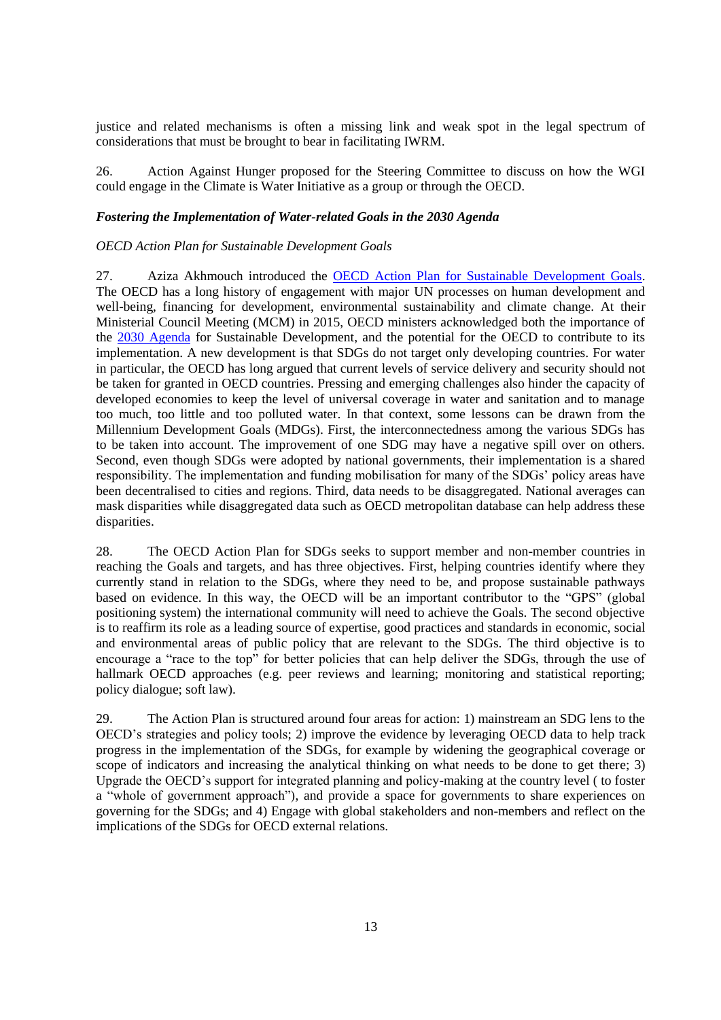justice and related mechanisms is often a missing link and weak spot in the legal spectrum of considerations that must be brought to bear in facilitating IWRM.

26. Action Against Hunger proposed for the Steering Committee to discuss on how the WGI could engage in the Climate is Water Initiative as a group or through the OECD.

#### <span id="page-12-0"></span>*Fostering the Implementation of Water-related Goals in the 2030 Agenda*

#### <span id="page-12-1"></span>*OECD Action Plan for Sustainable Development Goals*

27. Aziza Akhmouch introduced the [OECD Action Plan for Sustainable Development Goals.](https://www.google.fr/url?sa=t&rct=j&q=&esrc=s&source=web&cd=3&cad=rja&uact=8&ved=0ahUKEwjbnJTeydTNAhXRyRoKHSpEDcAQFggqMAI&url=https%3A%2F%2Fwww.oecd.org%2Fdac%2FOECD-action-plan-on-the-sustainable-development-goals-2016.pdf&usg=AFQjCNHckwCCVHm8XbxH0PxQkMI) The OECD has a long history of engagement with major UN processes on human development and well-being, financing for development, environmental sustainability and climate change. At their Ministerial Council Meeting (MCM) in 2015, OECD ministers acknowledged both the importance of the [2030 Agenda](http://www.un.org/ga/search/view_doc.asp?symbol=A/RES/70/1&Lang=E) for Sustainable Development, and the potential for the OECD to contribute to its implementation. A new development is that SDGs do not target only developing countries. For water in particular, the OECD has long argued that current levels of service delivery and security should not be taken for granted in OECD countries. Pressing and emerging challenges also hinder the capacity of developed economies to keep the level of universal coverage in water and sanitation and to manage too much, too little and too polluted water. In that context, some lessons can be drawn from the Millennium Development Goals (MDGs). First, the interconnectedness among the various SDGs has to be taken into account. The improvement of one SDG may have a negative spill over on others. Second, even though SDGs were adopted by national governments, their implementation is a shared responsibility. The implementation and funding mobilisation for many of the SDGs' policy areas have been decentralised to cities and regions. Third, data needs to be disaggregated. National averages can mask disparities while disaggregated data such as OECD metropolitan database can help address these disparities.

28. The OECD Action Plan for SDGs seeks to support member and non-member countries in reaching the Goals and targets, and has three objectives. First, helping countries identify where they currently stand in relation to the SDGs, where they need to be, and propose sustainable pathways based on evidence. In this way, the OECD will be an important contributor to the "GPS" (global positioning system) the international community will need to achieve the Goals. The second objective is to reaffirm its role as a leading source of expertise, good practices and standards in economic, social and environmental areas of public policy that are relevant to the SDGs. The third objective is to encourage a "race to the top" for better policies that can help deliver the SDGs, through the use of hallmark OECD approaches (e.g. peer reviews and learning; monitoring and statistical reporting; policy dialogue; soft law).

29. The Action Plan is structured around four areas for action: 1) mainstream an SDG lens to the OECD's strategies and policy tools; 2) improve the evidence by leveraging OECD data to help track progress in the implementation of the SDGs, for example by widening the geographical coverage or scope of indicators and increasing the analytical thinking on what needs to be done to get there; 3) Upgrade the OECD's support for integrated planning and policy-making at the country level ( to foster a "whole of government approach"), and provide a space for governments to share experiences on governing for the SDGs; and 4) Engage with global stakeholders and non-members and reflect on the implications of the SDGs for OECD external relations.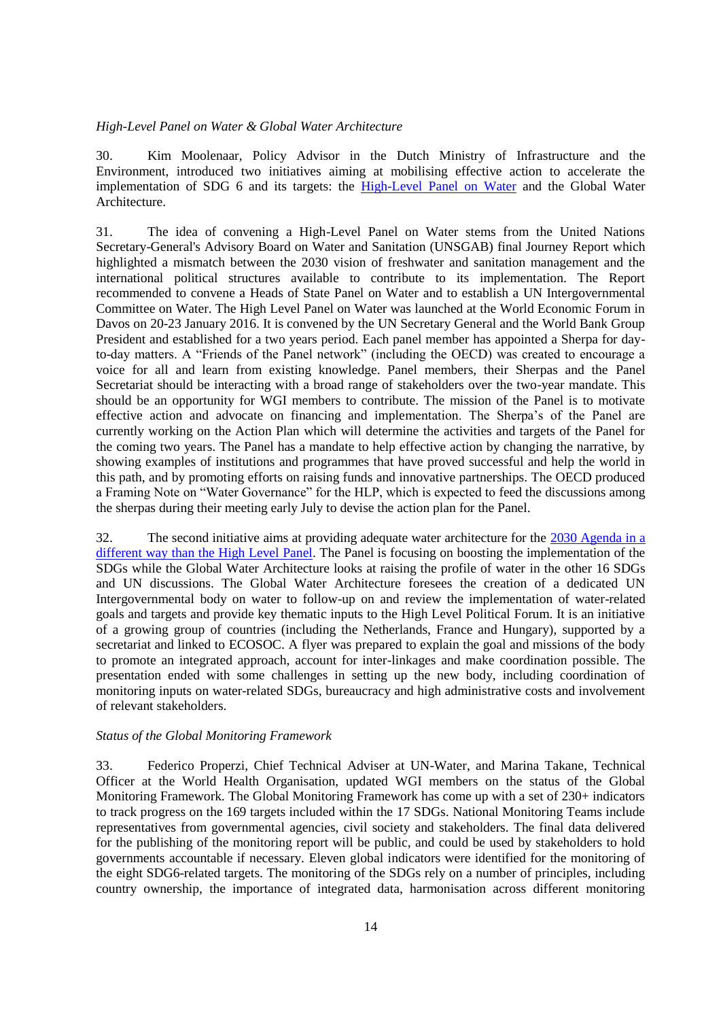### <span id="page-13-0"></span>*High-Level Panel on Water & Global Water Architecture*

30. Kim Moolenaar, Policy Advisor in the Dutch Ministry of Infrastructure and the Environment, introduced two initiatives aiming at mobilising effective action to accelerate the implementation of SDG 6 and its targets: the [High-Level Panel on Water](https://sustainabledevelopment.un.org/topics/waterandsanitation/hlpw) and the Global Water Architecture.

31. The idea of convening a High-Level Panel on Water stems from the United Nations Secretary-General's Advisory Board on Water and Sanitation (UNSGAB) final Journey Report which highlighted a mismatch between the 2030 vision of freshwater and sanitation management and the international political structures available to contribute to its implementation. The Report recommended to convene a Heads of State Panel on Water and to establish a UN Intergovernmental Committee on Water. The High Level Panel on Water was launched at the World Economic Forum in Davos on 20-23 January 2016. It is convened by the UN Secretary General and the World Bank Group President and established for a two years period. Each panel member has appointed a Sherpa for dayto-day matters. A "Friends of the Panel network" (including the OECD) was created to encourage a voice for all and learn from existing knowledge. Panel members, their Sherpas and the Panel Secretariat should be interacting with a broad range of stakeholders over the two-year mandate. This should be an opportunity for WGI members to contribute. The mission of the Panel is to motivate effective action and advocate on financing and implementation. The Sherpa's of the Panel are currently working on the Action Plan which will determine the activities and targets of the Panel for the coming two years. The Panel has a mandate to help effective action by changing the narrative, by showing examples of institutions and programmes that have proved successful and help the world in this path, and by promoting efforts on raising funds and innovative partnerships. The OECD produced a Framing Note on "Water Governance" for the HLP, which is expected to feed the discussions among the sherpas during their meeting early July to devise the action plan for the Panel.

32. The second initiative aims at providing adequate water architecture for the [2030 Agenda](http://www.un.org/ga/search/view_doc.asp?symbol=A/RES/70/1&Lang=E) in a different way than the High Level Panel. The Panel is focusing on boosting the implementation of the SDGs while the Global Water Architecture looks at raising the profile of water in the other 16 SDGs and UN discussions. The Global Water Architecture foresees the creation of a dedicated UN Intergovernmental body on water to follow-up on and review the implementation of water-related goals and targets and provide key thematic inputs to the High Level Political Forum. It is an initiative of a growing group of countries (including the Netherlands, France and Hungary), supported by a secretariat and linked to ECOSOC. A flyer was prepared to explain the goal and missions of the body to promote an integrated approach, account for inter-linkages and make coordination possible. The presentation ended with some challenges in setting up the new body, including coordination of monitoring inputs on water-related SDGs, bureaucracy and high administrative costs and involvement of relevant stakeholders.

#### <span id="page-13-1"></span>*Status of the Global Monitoring Framework*

33. Federico Properzi, Chief Technical Adviser at UN-Water, and Marina Takane, Technical Officer at the World Health Organisation, updated WGI members on the status of the Global Monitoring Framework. The Global Monitoring Framework has come up with a set of 230+ indicators to track progress on the 169 targets included within the 17 SDGs. National Monitoring Teams include representatives from governmental agencies, civil society and stakeholders. The final data delivered for the publishing of the monitoring report will be public, and could be used by stakeholders to hold governments accountable if necessary. Eleven global indicators were identified for the monitoring of the eight SDG6-related targets. The monitoring of the SDGs rely on a number of principles, including country ownership, the importance of integrated data, harmonisation across different monitoring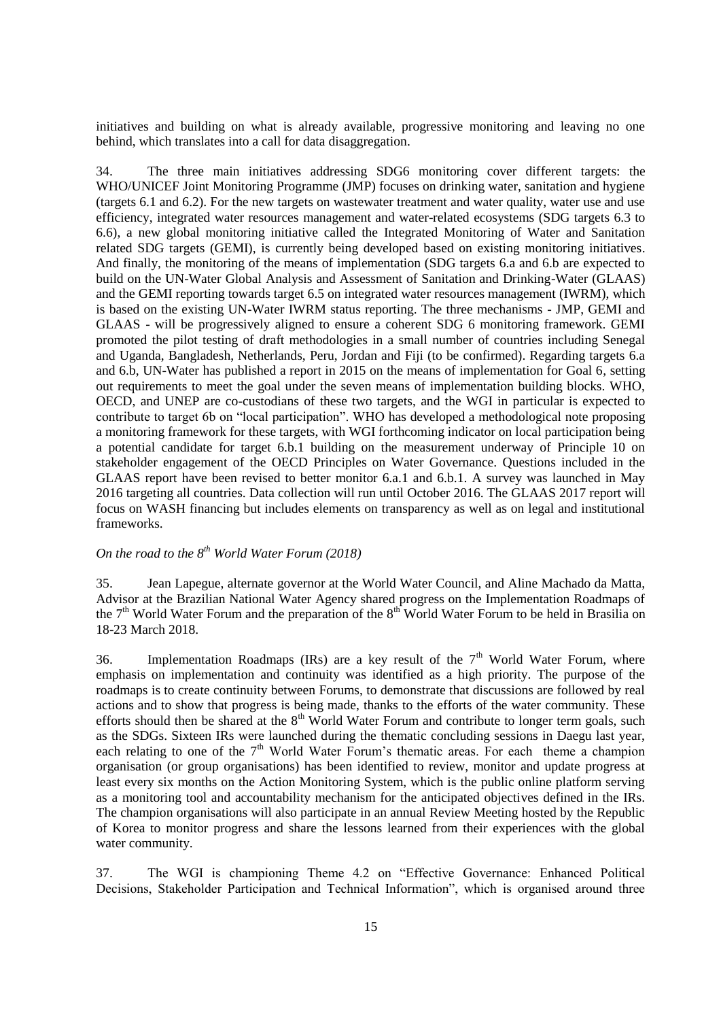initiatives and building on what is already available, progressive monitoring and leaving no one behind, which translates into a call for data disaggregation.

34. The three main initiatives addressing SDG6 monitoring cover different targets: the WHO/UNICEF Joint Monitoring Programme (JMP) focuses on drinking water, sanitation and hygiene (targets 6.1 and 6.2). For the new targets on wastewater treatment and water quality, water use and use efficiency, integrated water resources management and water-related ecosystems (SDG targets 6.3 to 6.6), a new global monitoring initiative called the Integrated Monitoring of Water and Sanitation related SDG targets (GEMI), is currently being developed based on existing monitoring initiatives. And finally, the monitoring of the means of implementation (SDG targets 6.a and 6.b are expected to build on the UN-Water Global Analysis and Assessment of Sanitation and Drinking-Water (GLAAS) and the GEMI reporting towards target 6.5 on integrated water resources management (IWRM), which is based on the existing UN-Water IWRM status reporting. The three mechanisms - JMP, GEMI and GLAAS - will be progressively aligned to ensure a coherent SDG 6 monitoring framework. GEMI promoted the pilot testing of draft methodologies in a small number of countries including Senegal and Uganda, Bangladesh, Netherlands, Peru, Jordan and Fiji (to be confirmed). Regarding targets 6.a and 6.b, UN-Water has published a report in 2015 on the means of implementation for Goal 6, setting out requirements to meet the goal under the seven means of implementation building blocks. WHO, OECD, and UNEP are co-custodians of these two targets, and the WGI in particular is expected to contribute to target 6b on "local participation". WHO has developed a methodological note proposing a monitoring framework for these targets, with WGI forthcoming indicator on local participation being a potential candidate for target 6.b.1 building on the measurement underway of Principle 10 on stakeholder engagement of the OECD Principles on Water Governance. Questions included in the GLAAS report have been revised to better monitor 6.a.1 and 6.b.1. A survey was launched in May 2016 targeting all countries. Data collection will run until October 2016. The GLAAS 2017 report will focus on WASH financing but includes elements on transparency as well as on legal and institutional frameworks.

# <span id="page-14-0"></span>*On the road to the 8th World Water Forum (2018)*

35. Jean Lapegue, alternate governor at the World Water Council, and Aline Machado da Matta, Advisor at the Brazilian National Water Agency shared progress on the Implementation Roadmaps of the  $7<sup>th</sup>$  World Water Forum and the preparation of the  $8<sup>th</sup>$  World Water Forum to be held in Brasilia on 18-23 March 2018.

36. Implementation Roadmaps (IRs) are a key result of the  $7<sup>th</sup>$  World Water Forum, where emphasis on implementation and continuity was identified as a high priority. The purpose of the roadmaps is to create continuity between Forums, to demonstrate that discussions are followed by real actions and to show that progress is being made, thanks to the efforts of the water community. These efforts should then be shared at the 8<sup>th</sup> World Water Forum and contribute to longer term goals, such as the SDGs. Sixteen IRs were launched during the thematic concluding sessions in Daegu last year, each relating to one of the  $7<sup>th</sup>$  World Water Forum's thematic areas. For each theme a champion organisation (or group organisations) has been identified to review, monitor and update progress at least every six months on the Action Monitoring System, which is the public online platform serving as a monitoring tool and accountability mechanism for the anticipated objectives defined in the IRs. The champion organisations will also participate in an annual Review Meeting hosted by the Republic of Korea to monitor progress and share the lessons learned from their experiences with the global water community.

37. The WGI is championing Theme 4.2 on "Effective Governance: Enhanced Political Decisions, Stakeholder Participation and Technical Information", which is organised around three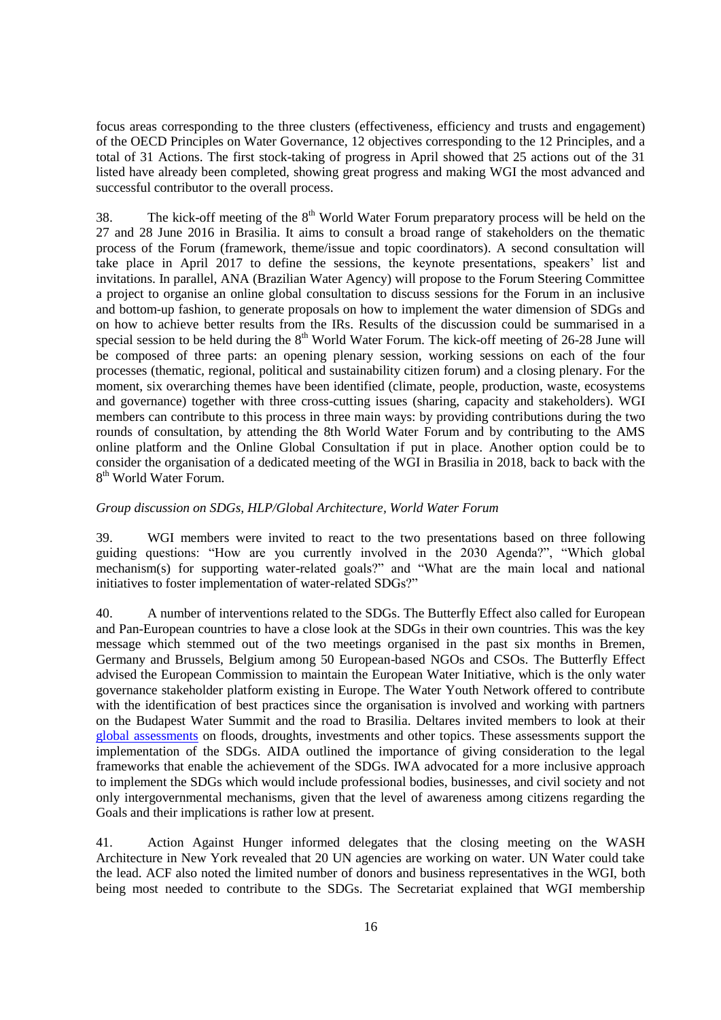focus areas corresponding to the three clusters (effectiveness, efficiency and trusts and engagement) of the OECD Principles on Water Governance, 12 objectives corresponding to the 12 Principles, and a total of 31 Actions. The first stock-taking of progress in April showed that 25 actions out of the 31 listed have already been completed, showing great progress and making WGI the most advanced and successful contributor to the overall process.

38. The kick-off meeting of the  $8<sup>th</sup>$  World Water Forum preparatory process will be held on the 27 and 28 June 2016 in Brasilia. It aims to consult a broad range of stakeholders on the thematic process of the Forum (framework, theme/issue and topic coordinators). A second consultation will take place in April 2017 to define the sessions, the keynote presentations, speakers' list and invitations. In parallel, ANA (Brazilian Water Agency) will propose to the Forum Steering Committee a project to organise an online global consultation to discuss sessions for the Forum in an inclusive and bottom-up fashion, to generate proposals on how to implement the water dimension of SDGs and on how to achieve better results from the IRs. Results of the discussion could be summarised in a special session to be held during the  $8<sup>th</sup>$  World Water Forum. The kick-off meeting of 26-28 June will be composed of three parts: an opening plenary session, working sessions on each of the four processes (thematic, regional, political and sustainability citizen forum) and a closing plenary. For the moment, six overarching themes have been identified (climate, people, production, waste, ecosystems and governance) together with three cross-cutting issues (sharing, capacity and stakeholders). WGI members can contribute to this process in three main ways: by providing contributions during the two rounds of consultation, by attending the 8th World Water Forum and by contributing to the AMS online platform and the Online Global Consultation if put in place. Another option could be to consider the organisation of a dedicated meeting of the WGI in Brasilia in 2018, back to back with the 8<sup>th</sup> World Water Forum.

## <span id="page-15-0"></span>*Group discussion on SDGs, HLP/Global Architecture, World Water Forum*

39. WGI members were invited to react to the two presentations based on three following guiding questions: "How are you currently involved in the 2030 Agenda?", "Which global mechanism(s) for supporting water-related goals?" and "What are the main local and national initiatives to foster implementation of water-related SDGs?"

40. A number of interventions related to the SDGs. The Butterfly Effect also called for European and Pan-European countries to have a close look at the SDGs in their own countries. This was the key message which stemmed out of the two meetings organised in the past six months in Bremen, Germany and Brussels, Belgium among 50 European-based NGOs and CSOs. The Butterfly Effect advised the European Commission to maintain the European Water Initiative, which is the only water governance stakeholder platform existing in Europe. The Water Youth Network offered to contribute with the identification of best practices since the organisation is involved and working with partners on the Budapest Water Summit and the road to Brasilia. Deltares invited members to look at their [global assessments](https://www.deltares.nl/en/publications/) on floods, droughts, investments and other topics. These assessments support the implementation of the SDGs. AIDA outlined the importance of giving consideration to the legal frameworks that enable the achievement of the SDGs. IWA advocated for a more inclusive approach to implement the SDGs which would include professional bodies, businesses, and civil society and not only intergovernmental mechanisms, given that the level of awareness among citizens regarding the Goals and their implications is rather low at present.

41. Action Against Hunger informed delegates that the closing meeting on the WASH Architecture in New York revealed that 20 UN agencies are working on water. UN Water could take the lead. ACF also noted the limited number of donors and business representatives in the WGI, both being most needed to contribute to the SDGs. The Secretariat explained that WGI membership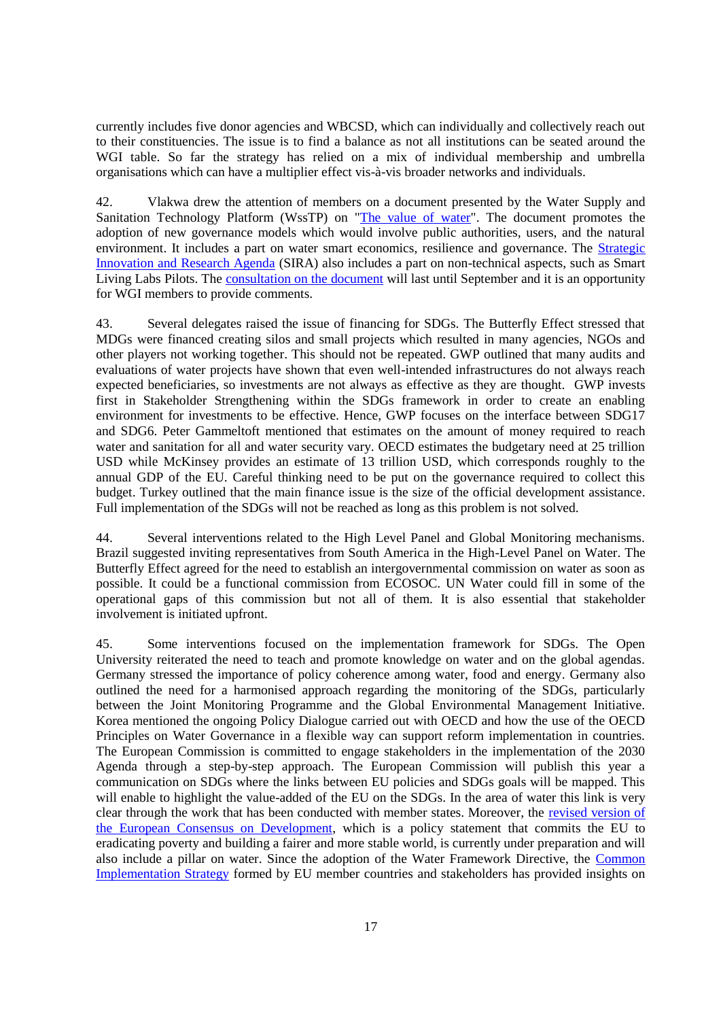currently includes five donor agencies and WBCSD, which can individually and collectively reach out to their constituencies. The issue is to find a balance as not all institutions can be seated around the WGI table. So far the strategy has relied on a mix of individual membership and umbrella organisations which can have a multiplier effect vis-à-vis broader networks and individuals.

42. Vlakwa drew the attention of members on a document presented by the Water Supply and Sanitation Technology Platform (WssTP) on ["The value of water"](http://wsstp.eu/wp-content/uploads/sites/102/2016/07/WssTP-Water-Vision-2030_preprint-version.pdf). The document promotes the adoption of new governance models which would involve public authorities, users, and the natural environment. It includes a part on water smart economics, resilience and governance. The [Strategic](https://www.dropbox.com/s/hq4ypc56xpfi05p/WssTP%20Strategic%20Innovation%20and%20Research%20Agenda%2020160615%20PC.pdf?dl=0)  [Innovation and Research Agenda](https://www.dropbox.com/s/hq4ypc56xpfi05p/WssTP%20Strategic%20Innovation%20and%20Research%20Agenda%2020160615%20PC.pdf?dl=0) (SIRA) also includes a part on non-technical aspects, such as Smart Living Labs Pilots. The [consultation on the document](http://www.eip-water.eu/wsstp-launches-online-public-consultation-draft-wsstp-strategic-innovation-research-agenda-wsstp) will last until September and it is an opportunity for WGI members to provide comments.

43. Several delegates raised the issue of financing for SDGs. The Butterfly Effect stressed that MDGs were financed creating silos and small projects which resulted in many agencies, NGOs and other players not working together. This should not be repeated. GWP outlined that many audits and evaluations of water projects have shown that even well-intended infrastructures do not always reach expected beneficiaries, so investments are not always as effective as they are thought. GWP invests first in Stakeholder Strengthening within the SDGs framework in order to create an enabling environment for investments to be effective. Hence, GWP focuses on the interface between SDG17 and SDG6. Peter Gammeltoft mentioned that estimates on the amount of money required to reach water and sanitation for all and water security vary. OECD estimates the budgetary need at 25 trillion USD while McKinsey provides an estimate of 13 trillion USD, which corresponds roughly to the annual GDP of the EU. Careful thinking need to be put on the governance required to collect this budget. Turkey outlined that the main finance issue is the size of the official development assistance. Full implementation of the SDGs will not be reached as long as this problem is not solved.

44. Several interventions related to the High Level Panel and Global Monitoring mechanisms. Brazil suggested inviting representatives from South America in the High-Level Panel on Water. The Butterfly Effect agreed for the need to establish an intergovernmental commission on water as soon as possible. It could be a functional commission from ECOSOC. UN Water could fill in some of the operational gaps of this commission but not all of them. It is also essential that stakeholder involvement is initiated upfront.

45. Some interventions focused on the implementation framework for SDGs. The Open University reiterated the need to teach and promote knowledge on water and on the global agendas. Germany stressed the importance of policy coherence among water, food and energy. Germany also outlined the need for a harmonised approach regarding the monitoring of the SDGs, particularly between the Joint Monitoring Programme and the Global Environmental Management Initiative. Korea mentioned the ongoing Policy Dialogue carried out with OECD and how the use of the OECD Principles on Water Governance in a flexible way can support reform implementation in countries. The European Commission is committed to engage stakeholders in the implementation of the 2030 Agenda through a step-by-step approach. The European Commission will publish this year a communication on SDGs where the links between EU policies and SDGs goals will be mapped. This will enable to highlight the value-added of the EU on the SDGs. In the area of water this link is very clear through the work that has been conducted with member states. Moreover, the [revised version of](https://www.google.fr/url?sa=t&rct=j&q=&esrc=s&source=web&cd=1&cad=rja&uact=8&ved=0ahUKEwj38LCcnI_OAhUD5xoKHSySBUsQFggeMAA&url=http%3A%2F%2Fec.europa.eu%2Fsmart-regulation%2Froadmaps%2Fdocs%2F2016_devco_003_european_consensus_on_development_en.pdf&usg=AFQjCNFylBY_emBmeelom9RxDf0hGnoa9w&sig2=oeUu1X6z3ZWZvLM9ppeiJw)  [the European Consensus on Development,](https://www.google.fr/url?sa=t&rct=j&q=&esrc=s&source=web&cd=1&cad=rja&uact=8&ved=0ahUKEwj38LCcnI_OAhUD5xoKHSySBUsQFggeMAA&url=http%3A%2F%2Fec.europa.eu%2Fsmart-regulation%2Froadmaps%2Fdocs%2F2016_devco_003_european_consensus_on_development_en.pdf&usg=AFQjCNFylBY_emBmeelom9RxDf0hGnoa9w&sig2=oeUu1X6z3ZWZvLM9ppeiJw) which is a policy statement that commits the EU to eradicating poverty and building a fairer and more stable world, is currently under preparation and will also include a pillar on water. Since the adoption of the Water Framework Directive, the [Common](http://ec.europa.eu/environment/water/water-framework/objectives/implementation_en.htm)  [Implementation Strategy](http://ec.europa.eu/environment/water/water-framework/objectives/implementation_en.htm) formed by EU member countries and stakeholders has provided insights on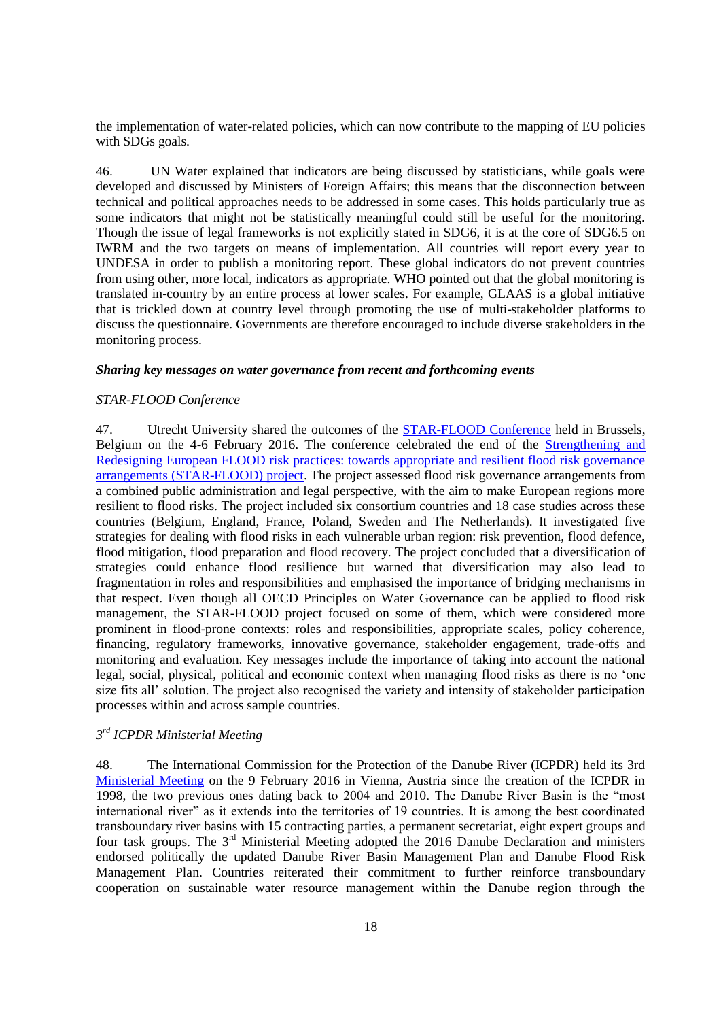the implementation of water-related policies, which can now contribute to the mapping of EU policies with SDGs goals.

46. UN Water explained that indicators are being discussed by statisticians, while goals were developed and discussed by Ministers of Foreign Affairs; this means that the disconnection between technical and political approaches needs to be addressed in some cases. This holds particularly true as some indicators that might not be statistically meaningful could still be useful for the monitoring. Though the issue of legal frameworks is not explicitly stated in SDG6, it is at the core of SDG6.5 on IWRM and the two targets on means of implementation. All countries will report every year to UNDESA in order to publish a monitoring report. These global indicators do not prevent countries from using other, more local, indicators as appropriate. WHO pointed out that the global monitoring is translated in-country by an entire process at lower scales. For example, GLAAS is a global initiative that is trickled down at country level through promoting the use of multi-stakeholder platforms to discuss the questionnaire. Governments are therefore encouraged to include diverse stakeholders in the monitoring process.

#### <span id="page-17-0"></span>*Sharing key messages on water governance from recent and forthcoming events*

#### <span id="page-17-1"></span>*STAR-FLOOD Conference*

47. Utrecht University shared the outcomes of the [STAR-FLOOD Conference](http://www.starflood.eu/conference/) held in Brussels, Belgium on the 4-6 February 2016. The conference celebrated the end of the [Strengthening and](http://www.starflood.eu/about-the-project/)  [Redesigning European FLOOD risk practices: towards appropriate and resilient flood risk governance](http://www.starflood.eu/about-the-project/)  [arrangements \(STAR-FLOOD\) project.](http://www.starflood.eu/about-the-project/) The project assessed flood risk governance arrangements from a combined public administration and legal perspective, with the aim to make European regions more resilient to flood risks. The project included six consortium countries and 18 case studies across these countries (Belgium, England, France, Poland, Sweden and The Netherlands). It investigated five strategies for dealing with flood risks in each vulnerable urban region: risk prevention, flood defence, flood mitigation, flood preparation and flood recovery. The project concluded that a diversification of strategies could enhance flood resilience but warned that diversification may also lead to fragmentation in roles and responsibilities and emphasised the importance of bridging mechanisms in that respect. Even though all OECD Principles on Water Governance can be applied to flood risk management, the STAR-FLOOD project focused on some of them, which were considered more prominent in flood-prone contexts: roles and responsibilities, appropriate scales, policy coherence, financing, regulatory frameworks, innovative governance, stakeholder engagement, trade-offs and monitoring and evaluation. Key messages include the importance of taking into account the national legal, social, physical, political and economic context when managing flood risks as there is no 'one size fits all' solution. The project also recognised the variety and intensity of stakeholder participation processes within and across sample countries.

# <span id="page-17-2"></span>*3 rd ICPDR Ministerial Meeting*

48. The International Commission for the Protection of the Danube River (ICPDR) held its 3rd [Ministerial Meeting](https://www.icpdr.org/main/mm16) on the 9 February 2016 in Vienna, Austria since the creation of the ICPDR in 1998, the two previous ones dating back to 2004 and 2010. The Danube River Basin is the "most international river" as it extends into the territories of 19 countries. It is among the best coordinated transboundary river basins with 15 contracting parties, a permanent secretariat, eight expert groups and four task groups. The 3<sup>rd</sup> Ministerial Meeting adopted the 2016 Danube Declaration and ministers endorsed politically the updated Danube River Basin Management Plan and Danube Flood Risk Management Plan. Countries reiterated their commitment to further reinforce transboundary cooperation on sustainable water resource management within the Danube region through the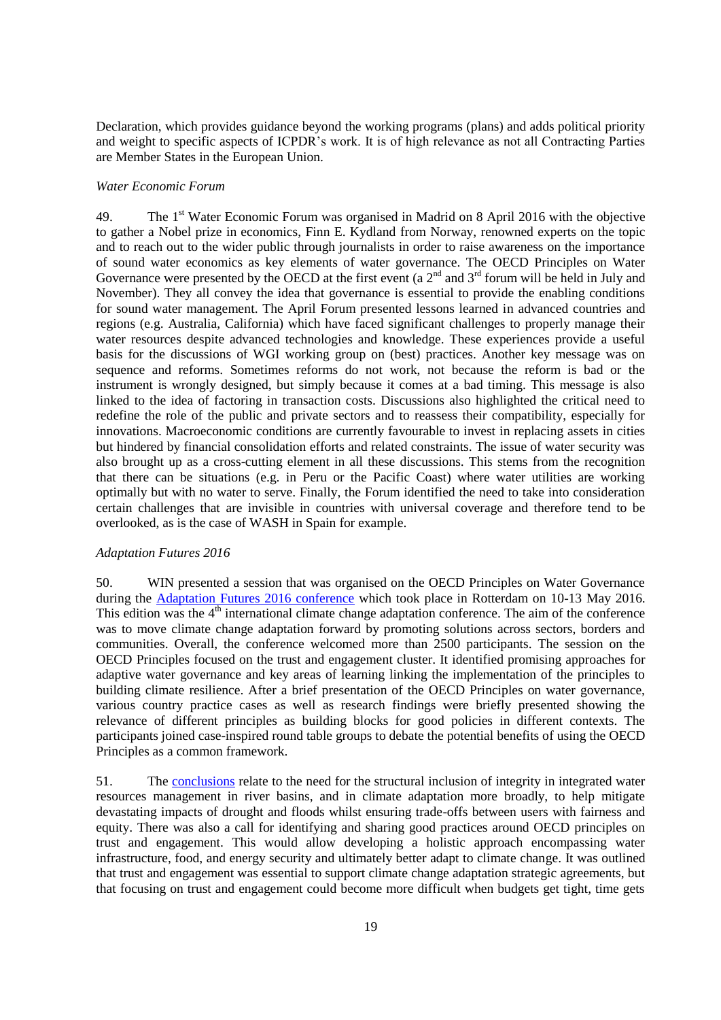Declaration, which provides guidance beyond the working programs (plans) and adds political priority and weight to specific aspects of ICPDR's work. It is of high relevance as not all Contracting Parties are Member States in the European Union.

#### <span id="page-18-0"></span>*Water Economic Forum*

49. The 1<sup>st</sup> Water Economic Forum was organised in Madrid on 8 April 2016 with the objective to gather a Nobel prize in economics, Finn E. Kydland from Norway, renowned experts on the topic and to reach out to the wider public through journalists in order to raise awareness on the importance of sound water economics as key elements of water governance. The OECD Principles on Water Governance were presented by the OECD at the first event (a  $2<sup>nd</sup>$  and  $3<sup>rd</sup>$  forum will be held in July and November). They all convey the idea that governance is essential to provide the enabling conditions for sound water management. The April Forum presented lessons learned in advanced countries and regions (e.g. Australia, California) which have faced significant challenges to properly manage their water resources despite advanced technologies and knowledge. These experiences provide a useful basis for the discussions of WGI working group on (best) practices. Another key message was on sequence and reforms. Sometimes reforms do not work, not because the reform is bad or the instrument is wrongly designed, but simply because it comes at a bad timing. This message is also linked to the idea of factoring in transaction costs. Discussions also highlighted the critical need to redefine the role of the public and private sectors and to reassess their compatibility, especially for innovations. Macroeconomic conditions are currently favourable to invest in replacing assets in cities but hindered by financial consolidation efforts and related constraints. The issue of water security was also brought up as a cross-cutting element in all these discussions. This stems from the recognition that there can be situations (e.g. in Peru or the Pacific Coast) where water utilities are working optimally but with no water to serve. Finally, the Forum identified the need to take into consideration certain challenges that are invisible in countries with universal coverage and therefore tend to be overlooked, as is the case of WASH in Spain for example.

#### <span id="page-18-1"></span>*Adaptation Futures 2016*

50. WIN presented a session that was organised on the OECD Principles on Water Governance during the [Adaptation Futures 2016 conference](http://www.adaptationfutures2016.org/) which took place in Rotterdam on 10-13 May 2016. This edition was the 4<sup>th</sup> international climate change adaptation conference. The aim of the conference was to move climate change adaptation forward by promoting solutions across sectors, borders and communities. Overall, the conference welcomed more than 2500 participants. The session on the OECD Principles focused on the trust and engagement cluster. It identified promising approaches for adaptive water governance and key areas of learning linking the implementation of the principles to building climate resilience. After a brief presentation of the OECD Principles on water governance, various country practice cases as well as research findings were briefly presented showing the relevance of different principles as building blocks for good policies in different contexts. The participants joined case-inspired round table groups to debate the potential benefits of using the OECD Principles as a common framework.

51. The [conclusions](http://www.adaptationfutures2016.org/gfx_content/documents/SP%209.5%20meeting%20report.pdf) relate to the need for the structural inclusion of integrity in integrated water resources management in river basins, and in climate adaptation more broadly, to help mitigate devastating impacts of drought and floods whilst ensuring trade-offs between users with fairness and equity. There was also a call for identifying and sharing good practices around OECD principles on trust and engagement. This would allow developing a holistic approach encompassing water infrastructure, food, and energy security and ultimately better adapt to climate change. It was outlined that trust and engagement was essential to support climate change adaptation strategic agreements, but that focusing on trust and engagement could become more difficult when budgets get tight, time gets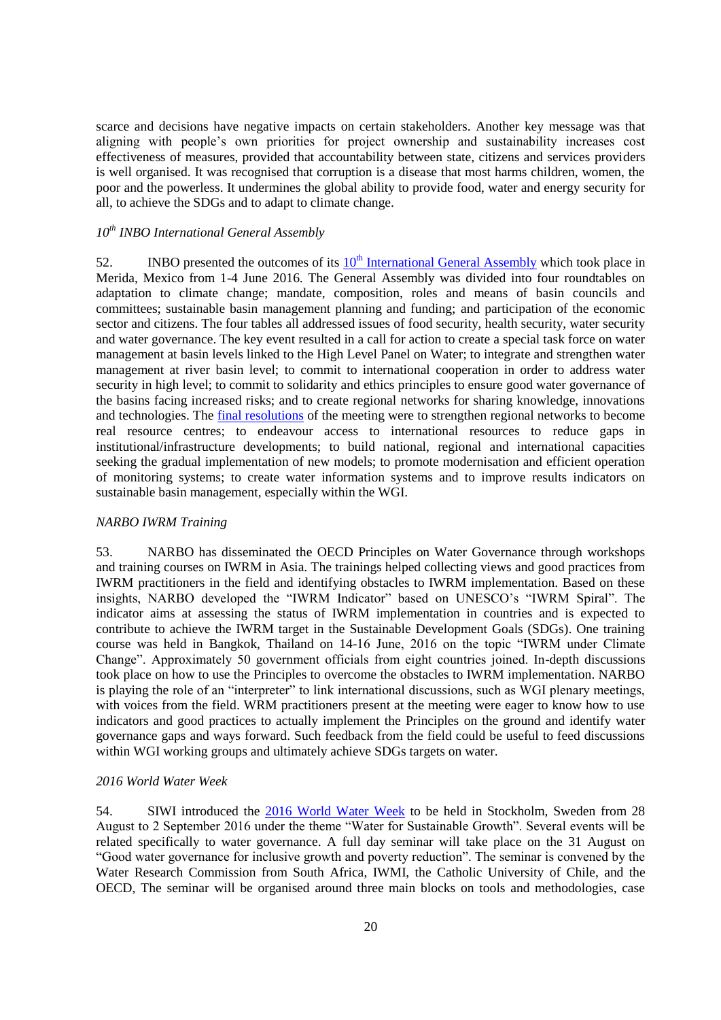scarce and decisions have negative impacts on certain stakeholders. Another key message was that aligning with people's own priorities for project ownership and sustainability increases cost effectiveness of measures, provided that accountability between state, citizens and services providers is well organised. It was recognised that corruption is a disease that most harms children, women, the poor and the powerless. It undermines the global ability to provide food, water and energy security for all, to achieve the SDGs and to adapt to climate change.

# <span id="page-19-0"></span>*10th INBO International General Assembly*

52. INBO presented the outcomes of its  $10<sup>th</sup>$  [International General Assembly](http://www.rioc.org/inbo/agenda/article/10th-general-assembly) which took place in Merida, Mexico from 1-4 June 2016. The General Assembly was divided into four roundtables on adaptation to climate change; mandate, composition, roles and means of basin councils and committees; sustainable basin management planning and funding; and participation of the economic sector and citizens. The four tables all addressed issues of food security, health security, water security and water governance. The key event resulted in a call for action to create a special task force on water management at basin levels linked to the High Level Panel on Water; to integrate and strengthen water management at river basin level; to commit to international cooperation in order to address water security in high level; to commit to solidarity and ethics principles to ensure good water governance of the basins facing increased risks; and to create regional networks for sharing knowledge, innovations and technologies. The *final resolutions* of the meeting were to strengthen regional networks to become real resource centres; to endeavour access to international resources to reduce gaps in institutional/infrastructure developments; to build national, regional and international capacities seeking the gradual implementation of new models; to promote modernisation and efficient operation of monitoring systems; to create water information systems and to improve results indicators on sustainable basin management, especially within the WGI.

#### <span id="page-19-1"></span>*NARBO IWRM Training*

53. NARBO has disseminated the OECD Principles on Water Governance through workshops and training courses on IWRM in Asia. The trainings helped collecting views and good practices from IWRM practitioners in the field and identifying obstacles to IWRM implementation. Based on these insights, NARBO developed the "IWRM Indicator" based on UNESCO's "IWRM Spiral". The indicator aims at assessing the status of IWRM implementation in countries and is expected to contribute to achieve the IWRM target in the Sustainable Development Goals (SDGs). One training course was held in Bangkok, Thailand on 14-16 June, 2016 on the topic "IWRM under Climate Change". Approximately 50 government officials from eight countries joined. In-depth discussions took place on how to use the Principles to overcome the obstacles to IWRM implementation. NARBO is playing the role of an "interpreter" to link international discussions, such as WGI plenary meetings, with voices from the field. WRM practitioners present at the meeting were eager to know how to use indicators and good practices to actually implement the Principles on the ground and identify water governance gaps and ways forward. Such feedback from the field could be useful to feed discussions within WGI working groups and ultimately achieve SDGs targets on water.

#### <span id="page-19-2"></span>*2016 World Water Week*

54. SIWI introduced the [2016 World Water Week](http://www.worldwaterweek.org/) to be held in Stockholm, Sweden from 28 August to 2 September 2016 under the theme "Water for Sustainable Growth". Several events will be related specifically to water governance. A full day seminar will take place on the 31 August on "Good water governance for inclusive growth and poverty reduction". The seminar is convened by the Water Research Commission from South Africa, IWMI, the Catholic University of Chile, and the OECD, The seminar will be organised around three main blocks on tools and methodologies, case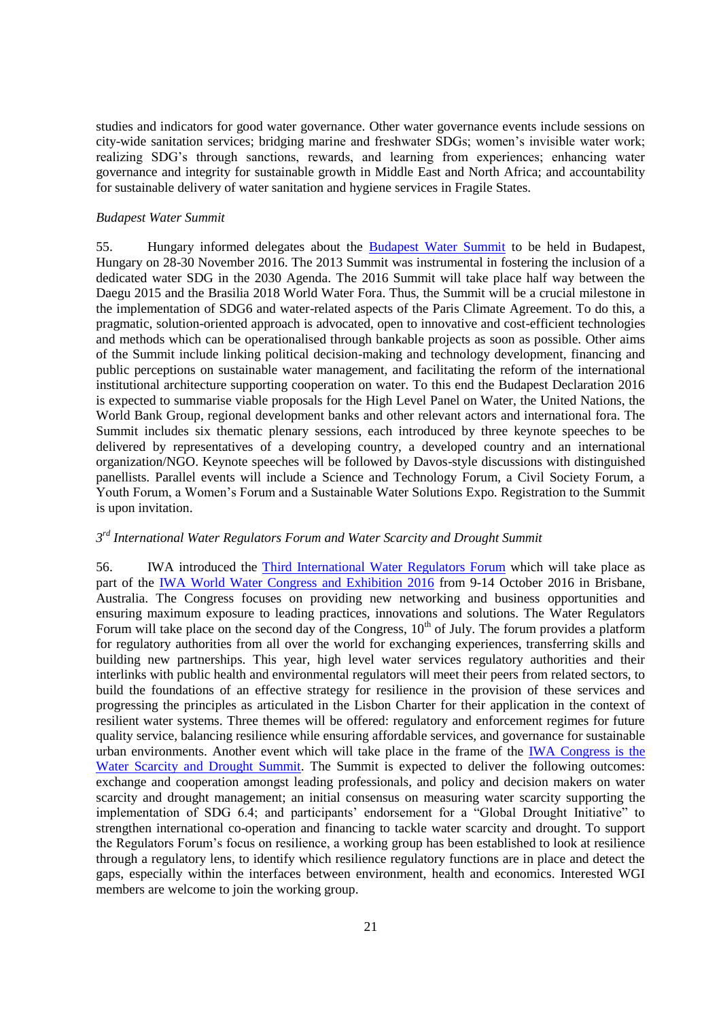studies and indicators for good water governance. Other water governance events include sessions on city-wide sanitation services; bridging marine and freshwater SDGs; women's invisible water work; realizing SDG's through sanctions, rewards, and learning from experiences; enhancing water governance and integrity for sustainable growth in Middle East and North Africa; and accountability for sustainable delivery of water sanitation and hygiene services in Fragile States.

#### <span id="page-20-0"></span>*Budapest Water Summit*

55. Hungary informed delegates about the [Budapest Water Summit](http://www.budapestwatersummit.hu/) to be held in Budapest, Hungary on 28-30 November 2016. The 2013 Summit was instrumental in fostering the inclusion of a dedicated water SDG in the 2030 Agenda. The 2016 Summit will take place half way between the Daegu 2015 and the Brasilia 2018 World Water Fora. Thus, the Summit will be a crucial milestone in the implementation of SDG6 and water-related aspects of the Paris Climate Agreement. To do this, a pragmatic, solution-oriented approach is advocated, open to innovative and cost-efficient technologies and methods which can be operationalised through bankable projects as soon as possible. Other aims of the Summit include linking political decision-making and technology development, financing and public perceptions on sustainable water management, and facilitating the reform of the international institutional architecture supporting cooperation on water. To this end the Budapest Declaration 2016 is expected to summarise viable proposals for the High Level Panel on Water, the United Nations, the World Bank Group, regional development banks and other relevant actors and international fora. The Summit includes six thematic plenary sessions, each introduced by three keynote speeches to be delivered by representatives of a developing country, a developed country and an international organization/NGO. Keynote speeches will be followed by Davos-style discussions with distinguished panellists. Parallel events will include a Science and Technology Forum, a Civil Society Forum, a Youth Forum, a Women's Forum and a Sustainable Water Solutions Expo. Registration to the Summit is upon invitation.

# <span id="page-20-1"></span>*3 rd International Water Regulators Forum and Water Scarcity and Drought Summit*

56. IWA introduced the [Third International Water Regulators Forum](http://www.iwa-network.org/iwrf) which will take place as part of the [IWA World Water Congress and Exhibition 2016](http://www.iwa-network.org/event/world-water-congress-exhibition-2016/) from 9-14 October 2016 in Brisbane, Australia. The Congress focuses on providing new networking and business opportunities and ensuring maximum exposure to leading practices, innovations and solutions. The Water Regulators Forum will take place on the second day of the Congress,  $10<sup>th</sup>$  of July. The forum provides a platform for regulatory authorities from all over the world for exchanging experiences, transferring skills and building new partnerships. This year, high level water services regulatory authorities and their interlinks with public health and environmental regulators will meet their peers from related sectors, to build the foundations of an effective strategy for resilience in the provision of these services and progressing the principles as articulated in the Lisbon Charter for their application in the context of resilient water systems. Three themes will be offered: regulatory and enforcement regimes for future quality service, balancing resilience while ensuring affordable services, and governance for sustainable urban environments. Another event which will take place in the frame of the [IWA Congress is the](http://www.iwa-network.org/event/world-water-congress-exhibition-2016/water-scarcity-and-drought-summit/#1469096803920-7ae60447-4f0e)  [Water Scarcity and Drought Summit.](http://www.iwa-network.org/event/world-water-congress-exhibition-2016/water-scarcity-and-drought-summit/#1469096803920-7ae60447-4f0e) The Summit is expected to deliver the following outcomes: exchange and cooperation amongst leading professionals, and policy and decision makers on water scarcity and drought management; an initial consensus on measuring water scarcity supporting the implementation of SDG 6.4; and participants' endorsement for a "Global Drought Initiative" to strengthen international co-operation and financing to tackle water scarcity and drought. To support the Regulators Forum's focus on resilience, a working group has been established to look at resilience through a regulatory lens, to identify which resilience regulatory functions are in place and detect the gaps, especially within the interfaces between environment, health and economics. Interested WGI members are welcome to join the working group.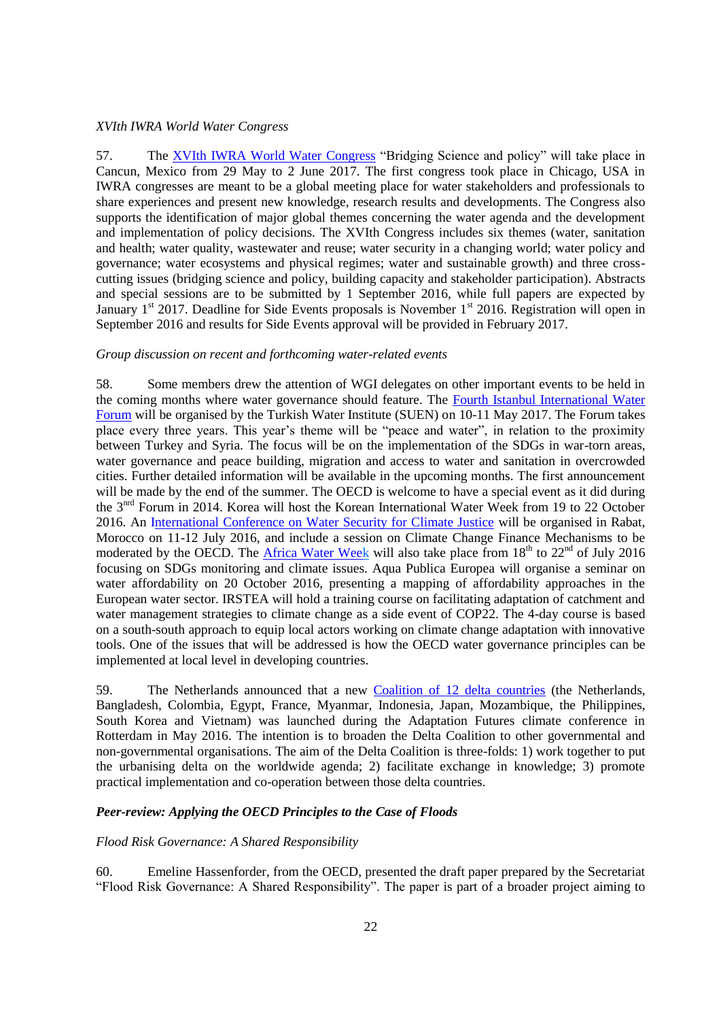#### <span id="page-21-0"></span>*XVIth IWRA World Water Congress*

57. The [XVIth IWRA World Water Congress](http://worldwatercongress.com/) "Bridging Science and policy" will take place in Cancun, Mexico from 29 May to 2 June 2017. The first congress took place in Chicago, USA in IWRA congresses are meant to be a global meeting place for water stakeholders and professionals to share experiences and present new knowledge, research results and developments. The Congress also supports the identification of major global themes concerning the water agenda and the development and implementation of policy decisions. The XVIth Congress includes six themes (water, sanitation and health; water quality, wastewater and reuse; water security in a changing world; water policy and governance; water ecosystems and physical regimes; water and sustainable growth) and three crosscutting issues (bridging science and policy, building capacity and stakeholder participation). Abstracts and special sessions are to be submitted by 1 September 2016, while full papers are expected by January  $1<sup>st</sup>$  2017. Deadline for Side Events proposals is November  $1<sup>st</sup>$  2016. Registration will open in September 2016 and results for Side Events approval will be provided in February 2017.

#### <span id="page-21-1"></span>*Group discussion on recent and forthcoming water-related events*

58. Some members drew the attention of WGI delegates on other important events to be held in the coming months where water governance should feature. The [Fourth Istanbul International Water](http://suen.gov.tr/en/2016/04/20/4-istanbul-uluslararasi-su-forumunun-tarihi-belirlendi/)  [Forum](http://suen.gov.tr/en/2016/04/20/4-istanbul-uluslararasi-su-forumunun-tarihi-belirlendi/) will be organised by the Turkish Water Institute (SUEN) on 10-11 May 2017. The Forum takes place every three years. This year's theme will be "peace and water", in relation to the proximity between Turkey and Syria. The focus will be on the implementation of the SDGs in war-torn areas, water governance and peace building, migration and access to water and sanitation in overcrowded cities. Further detailed information will be available in the upcoming months. The first announcement will be made by the end of the summer. The OECD is welcome to have a special event as it did during the 3nrd Forum in 2014. Korea will host the Korean International Water Week from 19 to 22 October 2016. An [International Conference on Water Security for Climate Justice](http://www.cop22.ma/en/international-conference-water-and-climate-%E2%80%9Cwater-security-climate-justice%E2%80%9D) will be organised in Rabat, Morocco on 11-12 July 2016, and include a session on Climate Change Finance Mechanisms to be moderated by the OECD. The [Africa Water Week](http://africawaterweek.com/6/) will also take place from  $18<sup>th</sup>$  to  $22<sup>nd</sup>$  of July 2016 focusing on SDGs monitoring and climate issues. Aqua Publica Europea will organise a seminar on water affordability on 20 October 2016, presenting a mapping of affordability approaches in the European water sector. IRSTEA will hold a training course on facilitating adaptation of catchment and water management strategies to climate change as a side event of COP22. The 4-day course is based on a south-south approach to equip local actors working on climate change adaptation with innovative tools. One of the issues that will be addressed is how the OECD water governance principles can be implemented at local level in developing countries.

59. The Netherlands announced that a new [Coalition of 12 delta countries](https://www.government.nl/latest/news/2016/05/10/minister-schultz-launches-international-delta-coalition) (the Netherlands, Bangladesh, Colombia, Egypt, France, Myanmar, Indonesia, Japan, Mozambique, the Philippines, South Korea and Vietnam) was launched during the Adaptation Futures climate conference in Rotterdam in May 2016. The intention is to broaden the Delta Coalition to other governmental and non-governmental organisations. The aim of the Delta Coalition is three-folds: 1) work together to put the urbanising delta on the worldwide agenda; 2) facilitate exchange in knowledge; 3) promote practical implementation and co-operation between those delta countries.

#### <span id="page-21-2"></span>*Peer-review: Applying the OECD Principles to the Case of Floods*

#### <span id="page-21-3"></span>*Flood Risk Governance: A Shared Responsibility*

60. Emeline Hassenforder, from the OECD, presented the draft paper prepared by the Secretariat "Flood Risk Governance: A Shared Responsibility". The paper is part of a broader project aiming to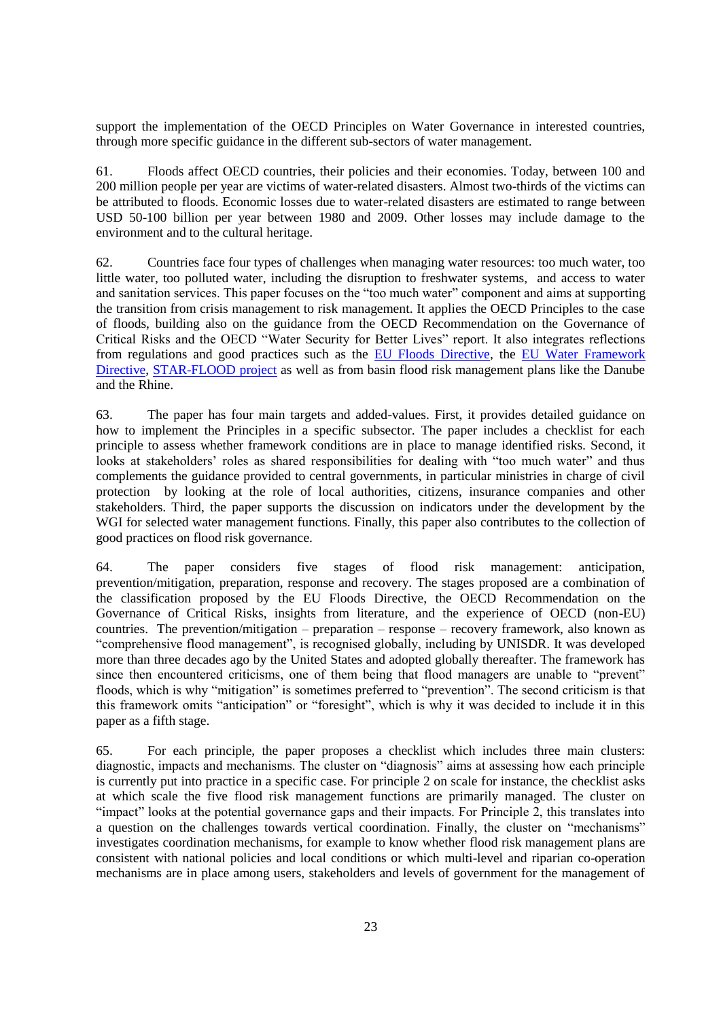support the implementation of the OECD Principles on Water Governance in interested countries, through more specific guidance in the different sub-sectors of water management.

61. Floods affect OECD countries, their policies and their economies. Today, between 100 and 200 million people per year are victims of water-related disasters. Almost two-thirds of the victims can be attributed to floods. Economic losses due to water-related disasters are estimated to range between USD 50-100 billion per year between 1980 and 2009. Other losses may include damage to the environment and to the cultural heritage.

62. Countries face four types of challenges when managing water resources: too much water, too little water, too polluted water, including the disruption to freshwater systems, and access to water and sanitation services. This paper focuses on the "too much water" component and aims at supporting the transition from crisis management to risk management. It applies the OECD Principles to the case of floods, building also on the guidance from the OECD Recommendation on the Governance of Critical Risks and the OECD "Water Security for Better Lives" report. It also integrates reflections from regulations and good practices such as the [EU Floods Directive,](http://eur-lex.europa.eu/legal-content/EN/TXT/PDF/?uri=CELEX:32007L0060&from=EN) the EU Water Framework [Directive,](http://eur-lex.europa.eu/legal-content/EN/TXT/PDF/?uri=CELEX:32000L0060&from=EN) [STAR-FLOOD project](http://www.starflood.eu/) as well as from basin flood risk management plans like the Danube and the Rhine.

63. The paper has four main targets and added-values. First, it provides detailed guidance on how to implement the Principles in a specific subsector. The paper includes a checklist for each principle to assess whether framework conditions are in place to manage identified risks. Second, it looks at stakeholders' roles as shared responsibilities for dealing with "too much water" and thus complements the guidance provided to central governments, in particular ministries in charge of civil protection by looking at the role of local authorities, citizens, insurance companies and other stakeholders. Third, the paper supports the discussion on indicators under the development by the WGI for selected water management functions. Finally, this paper also contributes to the collection of good practices on flood risk governance.

64. The paper considers five stages of flood risk management: anticipation, prevention/mitigation, preparation, response and recovery. The stages proposed are a combination of the classification proposed by the EU Floods Directive, the OECD Recommendation on the Governance of Critical Risks, insights from literature, and the experience of OECD (non-EU) countries. The prevention/mitigation – preparation – response – recovery framework, also known as "comprehensive flood management", is recognised globally, including by UNISDR. It was developed more than three decades ago by the United States and adopted globally thereafter. The framework has since then encountered criticisms, one of them being that flood managers are unable to "prevent" floods, which is why "mitigation" is sometimes preferred to "prevention". The second criticism is that this framework omits "anticipation" or "foresight", which is why it was decided to include it in this paper as a fifth stage.

65. For each principle, the paper proposes a checklist which includes three main clusters: diagnostic, impacts and mechanisms. The cluster on "diagnosis" aims at assessing how each principle is currently put into practice in a specific case. For principle 2 on scale for instance, the checklist asks at which scale the five flood risk management functions are primarily managed. The cluster on "impact" looks at the potential governance gaps and their impacts. For Principle 2, this translates into a question on the challenges towards vertical coordination. Finally, the cluster on "mechanisms" investigates coordination mechanisms, for example to know whether flood risk management plans are consistent with national policies and local conditions or which multi-level and riparian co-operation mechanisms are in place among users, stakeholders and levels of government for the management of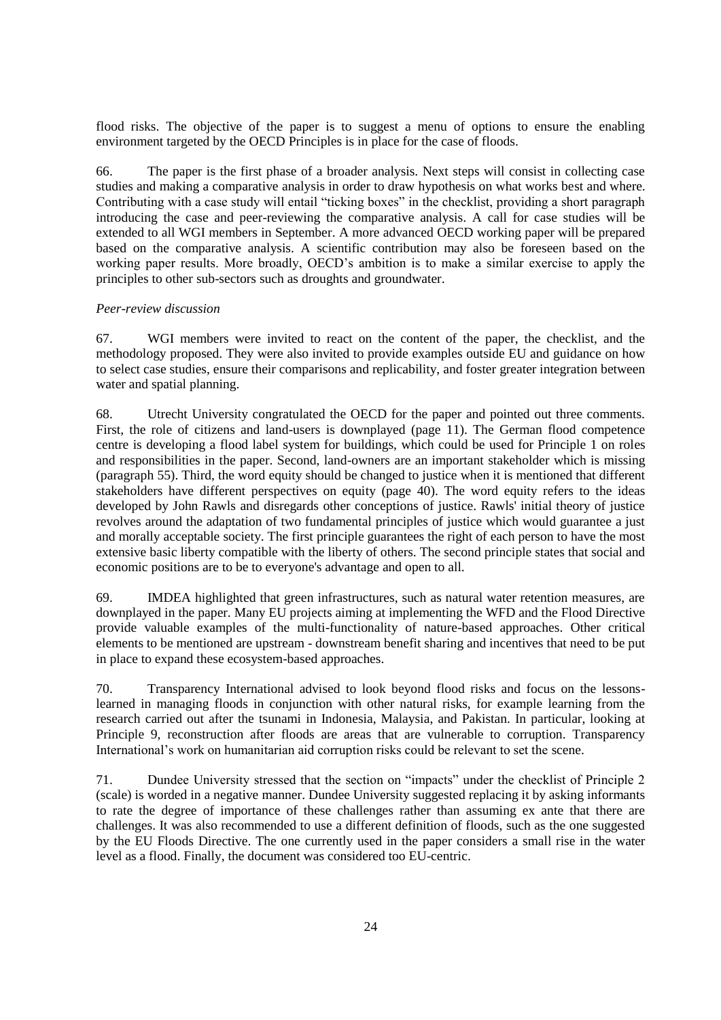flood risks. The objective of the paper is to suggest a menu of options to ensure the enabling environment targeted by the OECD Principles is in place for the case of floods.

66. The paper is the first phase of a broader analysis. Next steps will consist in collecting case studies and making a comparative analysis in order to draw hypothesis on what works best and where. Contributing with a case study will entail "ticking boxes" in the checklist, providing a short paragraph introducing the case and peer-reviewing the comparative analysis. A call for case studies will be extended to all WGI members in September. A more advanced OECD working paper will be prepared based on the comparative analysis. A scientific contribution may also be foreseen based on the working paper results. More broadly, OECD's ambition is to make a similar exercise to apply the principles to other sub-sectors such as droughts and groundwater.

# <span id="page-23-0"></span>*Peer-review discussion*

67. WGI members were invited to react on the content of the paper, the checklist, and the methodology proposed. They were also invited to provide examples outside EU and guidance on how to select case studies, ensure their comparisons and replicability, and foster greater integration between water and spatial planning.

68. Utrecht University congratulated the OECD for the paper and pointed out three comments. First, the role of citizens and land-users is downplayed (page 11). The German flood competence centre is developing a flood label system for buildings, which could be used for Principle 1 on roles and responsibilities in the paper. Second, land-owners are an important stakeholder which is missing (paragraph 55). Third, the word equity should be changed to justice when it is mentioned that different stakeholders have different perspectives on equity (page 40). The word equity refers to the ideas developed by John Rawls and disregards other conceptions of justice. Rawls' initial theory of justice revolves around the adaptation of two fundamental principles of justice which would guarantee a just and morally acceptable society. The first principle guarantees the right of each person to have the most extensive basic liberty compatible with the liberty of others. The second principle states that social and economic positions are to be to everyone's advantage and open to all.

69. IMDEA highlighted that green infrastructures, such as natural water retention measures, are downplayed in the paper. Many EU projects aiming at implementing the WFD and the Flood Directive provide valuable examples of the multi-functionality of nature-based approaches. Other critical elements to be mentioned are upstream - downstream benefit sharing and incentives that need to be put in place to expand these ecosystem-based approaches.

70. Transparency International advised to look beyond flood risks and focus on the lessonslearned in managing floods in conjunction with other natural risks, for example learning from the research carried out after the tsunami in Indonesia, Malaysia, and Pakistan. In particular, looking at Principle 9, reconstruction after floods are areas that are vulnerable to corruption. Transparency International's work on humanitarian aid corruption risks could be relevant to set the scene.

71. Dundee University stressed that the section on "impacts" under the checklist of Principle 2 (scale) is worded in a negative manner. Dundee University suggested replacing it by asking informants to rate the degree of importance of these challenges rather than assuming ex ante that there are challenges. It was also recommended to use a different definition of floods, such as the one suggested by the EU Floods Directive. The one currently used in the paper considers a small rise in the water level as a flood. Finally, the document was considered too EU-centric.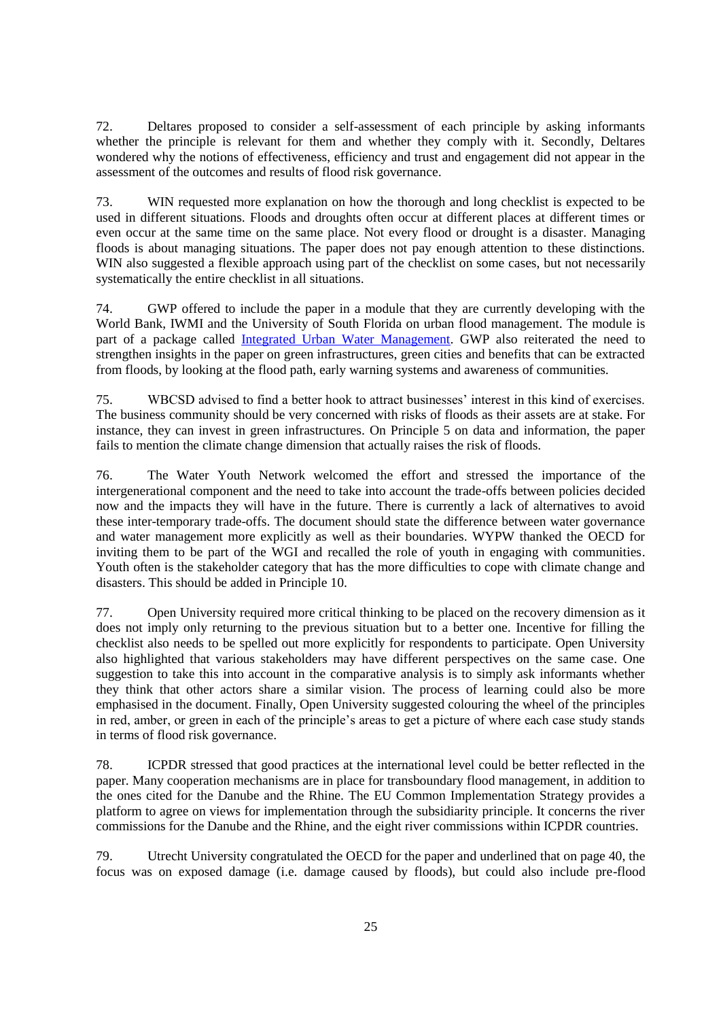72. Deltares proposed to consider a self-assessment of each principle by asking informants whether the principle is relevant for them and whether they comply with it. Secondly, Deltares wondered why the notions of effectiveness, efficiency and trust and engagement did not appear in the assessment of the outcomes and results of flood risk governance.

73. WIN requested more explanation on how the thorough and long checklist is expected to be used in different situations. Floods and droughts often occur at different places at different times or even occur at the same time on the same place. Not every flood or drought is a disaster. Managing floods is about managing situations. The paper does not pay enough attention to these distinctions. WIN also suggested a flexible approach using part of the checklist on some cases, but not necessarily systematically the entire checklist in all situations.

74. GWP offered to include the paper in a module that they are currently developing with the World Bank, IWMI and the University of South Florida on urban flood management. The module is part of a package called [Integrated Urban Water Management.](https://www.google.fr/url?sa=t&rct=j&q=&esrc=s&source=web&cd=1&cad=rja&uact=8&ved=0ahUKEwjW5r7ipY_OAhXDWRoKHeq_DEsQFggjMAA&url=http%3A%2F%2Fwww.gwp.org%2FGlobal%2FActivities%2FNews%2FAugust%25202013%2FGWP%2520Policy%2520Brief_TEC%252016_FINAL.pdf&usg=AFQjCNEzAhUVGA3hTa_6C8aKYwKNQxgCJg&sig2=F72jKFU3WDfl4o5KnOjHtw) GWP also reiterated the need to strengthen insights in the paper on green infrastructures, green cities and benefits that can be extracted from floods, by looking at the flood path, early warning systems and awareness of communities.

75. WBCSD advised to find a better hook to attract businesses' interest in this kind of exercises. The business community should be very concerned with risks of floods as their assets are at stake. For instance, they can invest in green infrastructures. On Principle 5 on data and information, the paper fails to mention the climate change dimension that actually raises the risk of floods.

76. The Water Youth Network welcomed the effort and stressed the importance of the intergenerational component and the need to take into account the trade-offs between policies decided now and the impacts they will have in the future. There is currently a lack of alternatives to avoid these inter-temporary trade-offs. The document should state the difference between water governance and water management more explicitly as well as their boundaries. WYPW thanked the OECD for inviting them to be part of the WGI and recalled the role of youth in engaging with communities. Youth often is the stakeholder category that has the more difficulties to cope with climate change and disasters. This should be added in Principle 10.

77. Open University required more critical thinking to be placed on the recovery dimension as it does not imply only returning to the previous situation but to a better one. Incentive for filling the checklist also needs to be spelled out more explicitly for respondents to participate. Open University also highlighted that various stakeholders may have different perspectives on the same case. One suggestion to take this into account in the comparative analysis is to simply ask informants whether they think that other actors share a similar vision. The process of learning could also be more emphasised in the document. Finally, Open University suggested colouring the wheel of the principles in red, amber, or green in each of the principle's areas to get a picture of where each case study stands in terms of flood risk governance.

78. ICPDR stressed that good practices at the international level could be better reflected in the paper. Many cooperation mechanisms are in place for transboundary flood management, in addition to the ones cited for the Danube and the Rhine. The EU Common Implementation Strategy provides a platform to agree on views for implementation through the subsidiarity principle. It concerns the river commissions for the Danube and the Rhine, and the eight river commissions within ICPDR countries.

79. Utrecht University congratulated the OECD for the paper and underlined that on page 40, the focus was on exposed damage (i.e. damage caused by floods), but could also include pre-flood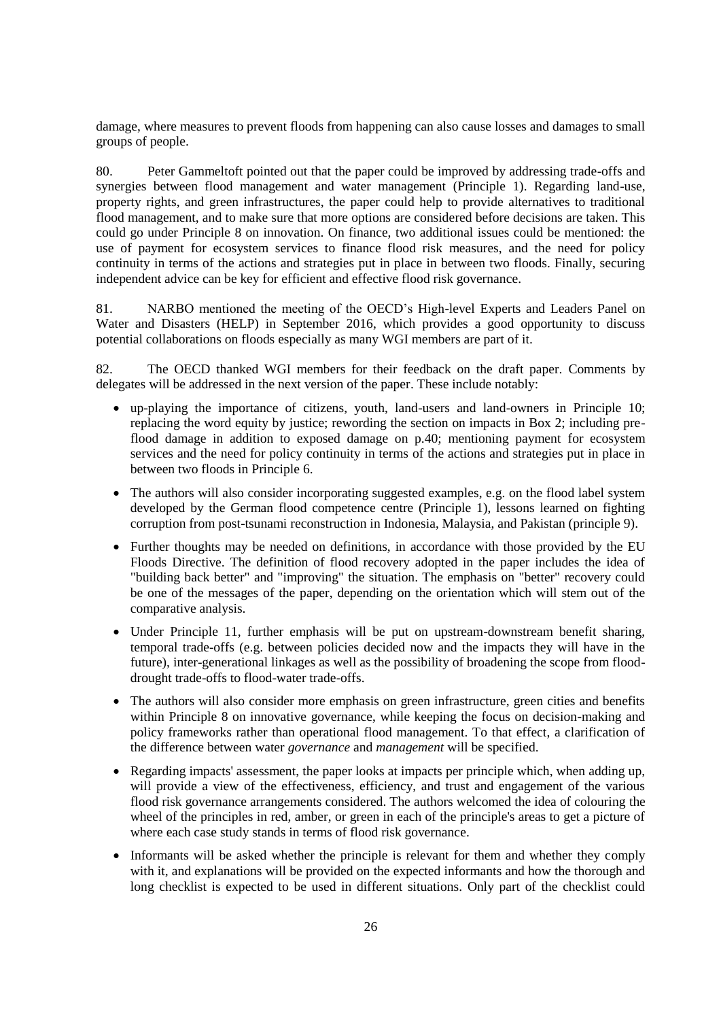damage, where measures to prevent floods from happening can also cause losses and damages to small groups of people.

80. Peter Gammeltoft pointed out that the paper could be improved by addressing trade-offs and synergies between flood management and water management (Principle 1). Regarding land-use, property rights, and green infrastructures, the paper could help to provide alternatives to traditional flood management, and to make sure that more options are considered before decisions are taken. This could go under Principle 8 on innovation. On finance, two additional issues could be mentioned: the use of payment for ecosystem services to finance flood risk measures, and the need for policy continuity in terms of the actions and strategies put in place in between two floods. Finally, securing independent advice can be key for efficient and effective flood risk governance.

81. NARBO mentioned the meeting of the OECD's High-level Experts and Leaders Panel on Water and Disasters (HELP) in September 2016, which provides a good opportunity to discuss potential collaborations on floods especially as many WGI members are part of it.

82. The OECD thanked WGI members for their feedback on the draft paper. Comments by delegates will be addressed in the next version of the paper. These include notably:

- up-playing the importance of citizens, youth, land-users and land-owners in Principle 10; replacing the word equity by justice; rewording the section on impacts in Box 2; including preflood damage in addition to exposed damage on p.40; mentioning payment for ecosystem services and the need for policy continuity in terms of the actions and strategies put in place in between two floods in Principle 6.
- The authors will also consider incorporating suggested examples, e.g. on the flood label system developed by the German flood competence centre (Principle 1), lessons learned on fighting corruption from post-tsunami reconstruction in Indonesia, Malaysia, and Pakistan (principle 9).
- Further thoughts may be needed on definitions, in accordance with those provided by the EU Floods Directive. The definition of flood recovery adopted in the paper includes the idea of "building back better" and "improving" the situation. The emphasis on "better" recovery could be one of the messages of the paper, depending on the orientation which will stem out of the comparative analysis.
- Under Principle 11, further emphasis will be put on upstream-downstream benefit sharing, temporal trade-offs (e.g. between policies decided now and the impacts they will have in the future), inter-generational linkages as well as the possibility of broadening the scope from flooddrought trade-offs to flood-water trade-offs.
- The authors will also consider more emphasis on green infrastructure, green cities and benefits within Principle 8 on innovative governance, while keeping the focus on decision-making and policy frameworks rather than operational flood management. To that effect, a clarification of the difference between water *governance* and *management* will be specified.
- Regarding impacts' assessment, the paper looks at impacts per principle which, when adding up, will provide a view of the effectiveness, efficiency, and trust and engagement of the various flood risk governance arrangements considered. The authors welcomed the idea of colouring the wheel of the principles in red, amber, or green in each of the principle's areas to get a picture of where each case study stands in terms of flood risk governance.
- Informants will be asked whether the principle is relevant for them and whether they comply with it, and explanations will be provided on the expected informants and how the thorough and long checklist is expected to be used in different situations. Only part of the checklist could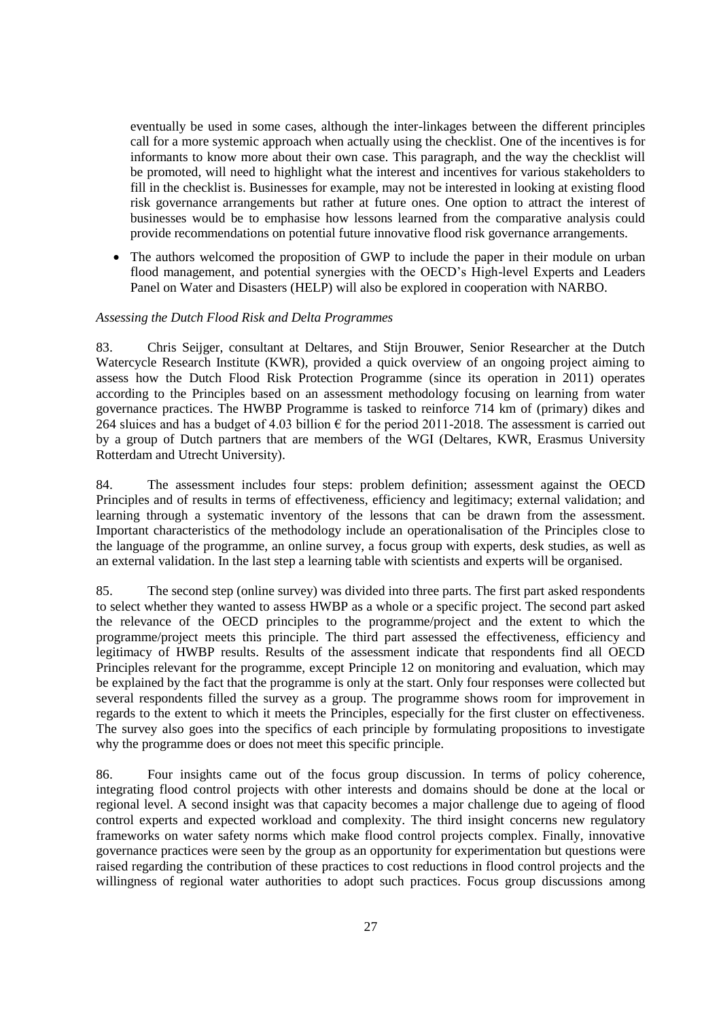eventually be used in some cases, although the inter-linkages between the different principles call for a more systemic approach when actually using the checklist. One of the incentives is for informants to know more about their own case. This paragraph, and the way the checklist will be promoted, will need to highlight what the interest and incentives for various stakeholders to fill in the checklist is. Businesses for example, may not be interested in looking at existing flood risk governance arrangements but rather at future ones. One option to attract the interest of businesses would be to emphasise how lessons learned from the comparative analysis could provide recommendations on potential future innovative flood risk governance arrangements.

 The authors welcomed the proposition of GWP to include the paper in their module on urban flood management, and potential synergies with the OECD's High-level Experts and Leaders Panel on Water and Disasters (HELP) will also be explored in cooperation with NARBO.

### <span id="page-26-0"></span>*Assessing the Dutch Flood Risk and Delta Programmes*

83. Chris Seijger, consultant at Deltares, and Stijn Brouwer, Senior Researcher at the Dutch Watercycle Research Institute (KWR), provided a quick overview of an ongoing project aiming to assess how the Dutch Flood Risk Protection Programme (since its operation in 2011) operates according to the Principles based on an assessment methodology focusing on learning from water governance practices. The HWBP Programme is tasked to reinforce 714 km of (primary) dikes and 264 sluices and has a budget of 4.03 billion  $\epsilon$  for the period 2011-2018. The assessment is carried out by a group of Dutch partners that are members of the WGI (Deltares, KWR, Erasmus University Rotterdam and Utrecht University).

84. The assessment includes four steps: problem definition; assessment against the OECD Principles and of results in terms of effectiveness, efficiency and legitimacy; external validation; and learning through a systematic inventory of the lessons that can be drawn from the assessment. Important characteristics of the methodology include an operationalisation of the Principles close to the language of the programme, an online survey, a focus group with experts, desk studies, as well as an external validation. In the last step a learning table with scientists and experts will be organised.

85. The second step (online survey) was divided into three parts. The first part asked respondents to select whether they wanted to assess HWBP as a whole or a specific project. The second part asked the relevance of the OECD principles to the programme/project and the extent to which the programme/project meets this principle. The third part assessed the effectiveness, efficiency and legitimacy of HWBP results. Results of the assessment indicate that respondents find all OECD Principles relevant for the programme, except Principle 12 on monitoring and evaluation, which may be explained by the fact that the programme is only at the start. Only four responses were collected but several respondents filled the survey as a group. The programme shows room for improvement in regards to the extent to which it meets the Principles, especially for the first cluster on effectiveness. The survey also goes into the specifics of each principle by formulating propositions to investigate why the programme does or does not meet this specific principle.

86. Four insights came out of the focus group discussion. In terms of policy coherence, integrating flood control projects with other interests and domains should be done at the local or regional level. A second insight was that capacity becomes a major challenge due to ageing of flood control experts and expected workload and complexity. The third insight concerns new regulatory frameworks on water safety norms which make flood control projects complex. Finally, innovative governance practices were seen by the group as an opportunity for experimentation but questions were raised regarding the contribution of these practices to cost reductions in flood control projects and the willingness of regional water authorities to adopt such practices. Focus group discussions among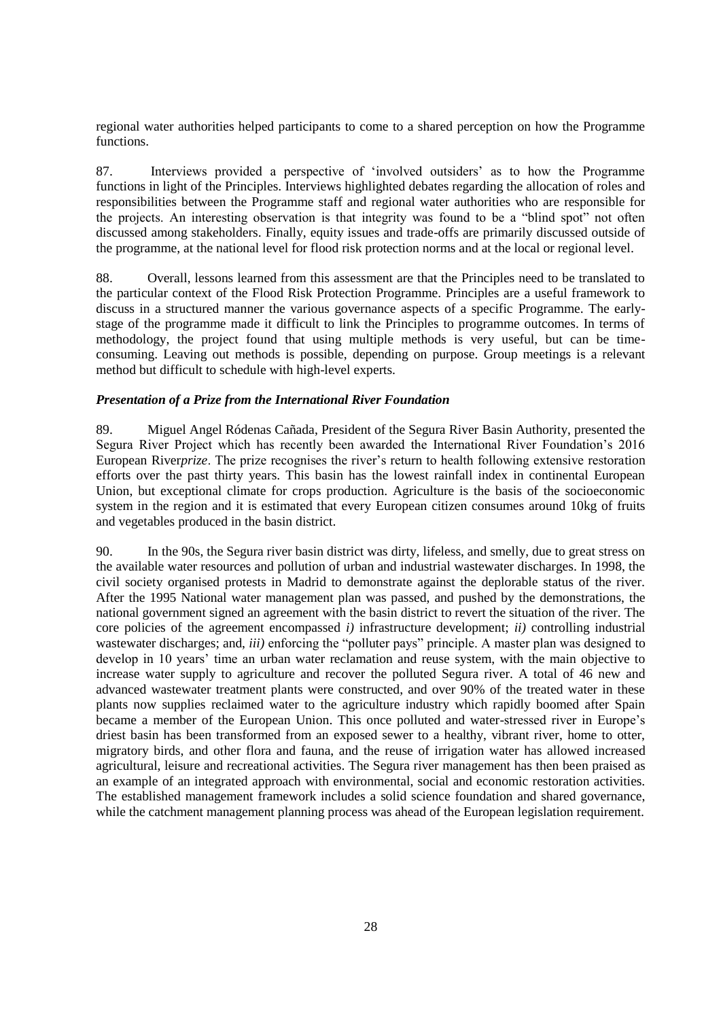regional water authorities helped participants to come to a shared perception on how the Programme functions.

87. Interviews provided a perspective of 'involved outsiders' as to how the Programme functions in light of the Principles. Interviews highlighted debates regarding the allocation of roles and responsibilities between the Programme staff and regional water authorities who are responsible for the projects. An interesting observation is that integrity was found to be a "blind spot" not often discussed among stakeholders. Finally, equity issues and trade-offs are primarily discussed outside of the programme, at the national level for flood risk protection norms and at the local or regional level.

88. Overall, lessons learned from this assessment are that the Principles need to be translated to the particular context of the Flood Risk Protection Programme. Principles are a useful framework to discuss in a structured manner the various governance aspects of a specific Programme. The earlystage of the programme made it difficult to link the Principles to programme outcomes. In terms of methodology, the project found that using multiple methods is very useful, but can be timeconsuming. Leaving out methods is possible, depending on purpose. Group meetings is a relevant method but difficult to schedule with high-level experts.

## <span id="page-27-0"></span>*Presentation of a Prize from the International River Foundation*

89. Miguel Angel Ródenas Cañada, President of the Segura River Basin Authority, presented the Segura River Project which has recently been awarded the International River Foundation's 2016 European River*prize*. The prize recognises the river's return to health following extensive restoration efforts over the past thirty years. This basin has the lowest rainfall index in continental European Union, but exceptional climate for crops production. Agriculture is the basis of the socioeconomic system in the region and it is estimated that every European citizen consumes around 10kg of fruits and vegetables produced in the basin district.

90. In the 90s, the Segura river basin district was dirty, lifeless, and smelly, due to great stress on the available water resources and pollution of urban and industrial wastewater discharges. In 1998, the civil society organised protests in Madrid to demonstrate against the deplorable status of the river. After the 1995 National water management plan was passed, and pushed by the demonstrations, the national government signed an agreement with the basin district to revert the situation of the river. The core policies of the agreement encompassed *i)* infrastructure development; *ii)* controlling industrial wastewater discharges; and, *iii)* enforcing the "polluter pays" principle. A master plan was designed to develop in 10 years' time an urban water reclamation and reuse system, with the main objective to increase water supply to agriculture and recover the polluted Segura river. A total of 46 new and advanced wastewater treatment plants were constructed, and over 90% of the treated water in these plants now supplies reclaimed water to the agriculture industry which rapidly boomed after Spain became a member of the European Union. This once polluted and water-stressed river in Europe's driest basin has been transformed from an exposed sewer to a healthy, vibrant river, home to otter, migratory birds, and other flora and fauna, and the reuse of irrigation water has allowed increased agricultural, leisure and recreational activities. The Segura river management has then been praised as an example of an integrated approach with environmental, social and economic restoration activities. The established management framework includes a solid science foundation and shared governance, while the catchment management planning process was ahead of the European legislation requirement.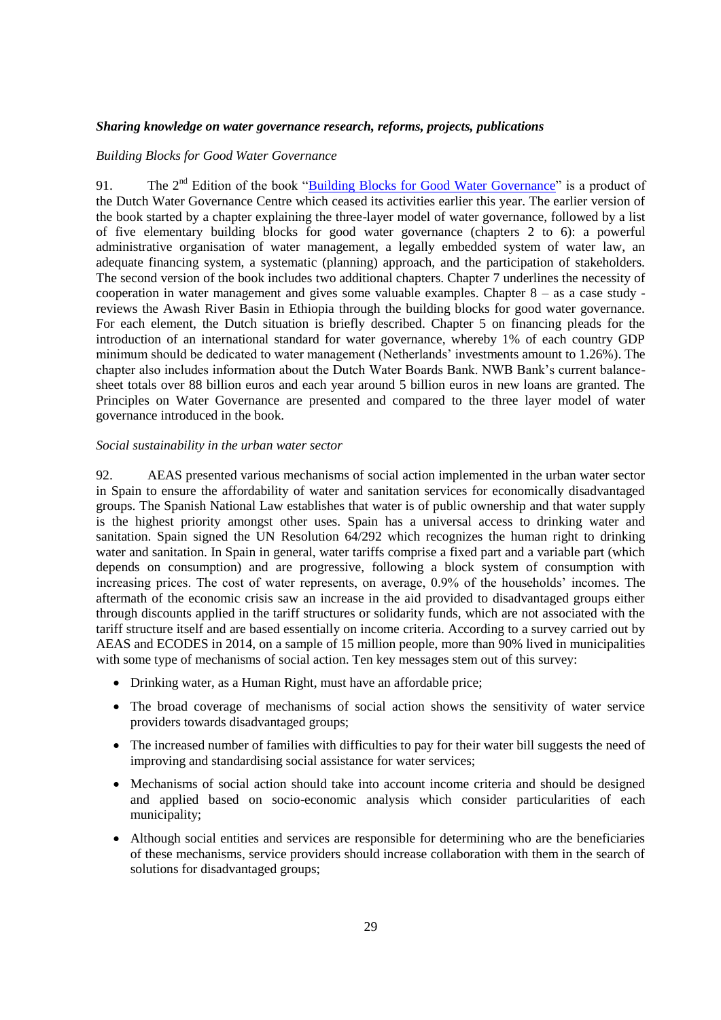## <span id="page-28-0"></span>*Sharing knowledge on water governance research, reforms, projects, publications*

#### <span id="page-28-1"></span>*Building Blocks for Good Water Governance*

91. The 2<sup>nd</sup> Edition of the book ["Building Blocks for Good Water Governance"](http://watergovernance.s3.amazonaws.com/files/P085-01-16-006-eindpubBB.pdf) is a product of the Dutch Water Governance Centre which ceased its activities earlier this year. The earlier version of the book started by a chapter explaining the three-layer model of water governance, followed by a list of five elementary building blocks for good water governance (chapters 2 to 6): a powerful administrative organisation of water management, a legally embedded system of water law, an adequate financing system, a systematic (planning) approach, and the participation of stakeholders. The second version of the book includes two additional chapters. Chapter 7 underlines the necessity of cooperation in water management and gives some valuable examples. Chapter 8 – as a case study reviews the Awash River Basin in Ethiopia through the building blocks for good water governance. For each element, the Dutch situation is briefly described. Chapter 5 on financing pleads for the introduction of an international standard for water governance, whereby 1% of each country GDP minimum should be dedicated to water management (Netherlands' investments amount to 1.26%). The chapter also includes information about the Dutch Water Boards Bank. NWB Bank's current balancesheet totals over 88 billion euros and each year around 5 billion euros in new loans are granted. The Principles on Water Governance are presented and compared to the three layer model of water governance introduced in the book.

#### <span id="page-28-2"></span>*Social sustainability in the urban water sector*

92. AEAS presented various mechanisms of social action implemented in the urban water sector in Spain to ensure the affordability of water and sanitation services for economically disadvantaged groups. The Spanish National Law establishes that water is of public ownership and that water supply is the highest priority amongst other uses. Spain has a universal access to drinking water and sanitation. Spain signed the UN Resolution  $64/292$  which recognizes the human right to drinking water and sanitation. In Spain in general, water tariffs comprise a fixed part and a variable part (which depends on consumption) and are progressive, following a block system of consumption with increasing prices. The cost of water represents, on average, 0.9% of the households' incomes. The aftermath of the economic crisis saw an increase in the aid provided to disadvantaged groups either through discounts applied in the tariff structures or solidarity funds, which are not associated with the tariff structure itself and are based essentially on income criteria. According to a survey carried out by AEAS and ECODES in 2014, on a sample of 15 million people, more than 90% lived in municipalities with some type of mechanisms of social action. Ten key messages stem out of this survey:

- Drinking water, as a Human Right, must have an affordable price;
- The broad coverage of mechanisms of social action shows the sensitivity of water service providers towards disadvantaged groups;
- The increased number of families with difficulties to pay for their water bill suggests the need of improving and standardising social assistance for water services;
- Mechanisms of social action should take into account income criteria and should be designed and applied based on socio-economic analysis which consider particularities of each municipality;
- Although social entities and services are responsible for determining who are the beneficiaries of these mechanisms, service providers should increase collaboration with them in the search of solutions for disadvantaged groups;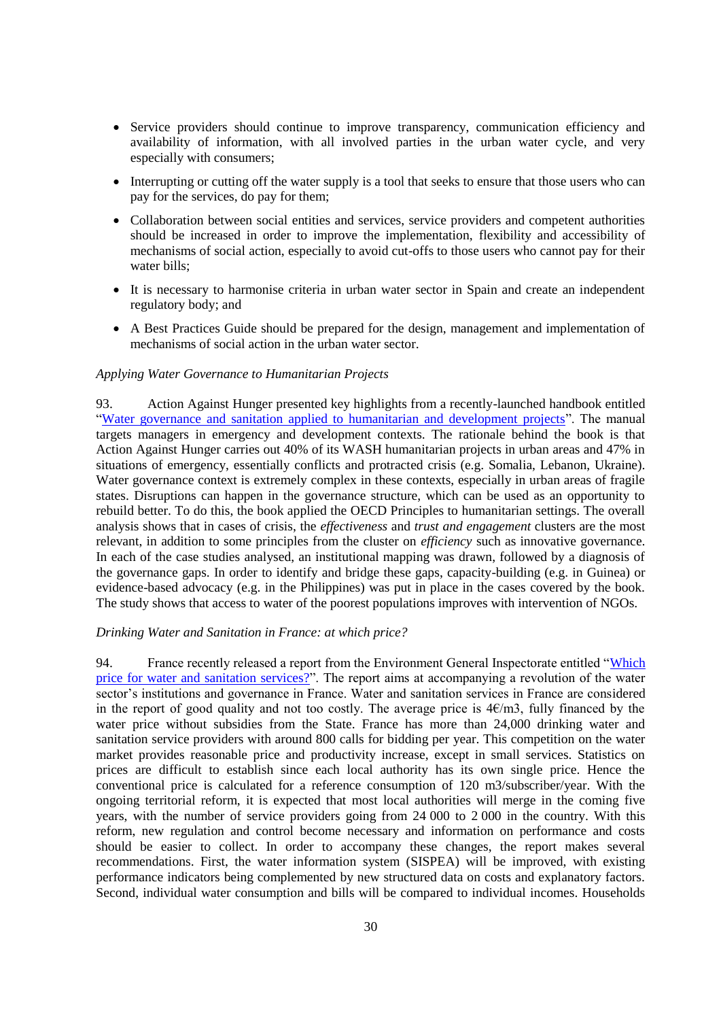- Service providers should continue to improve transparency, communication efficiency and availability of information, with all involved parties in the urban water cycle, and very especially with consumers;
- Interrupting or cutting off the water supply is a tool that seeks to ensure that those users who can pay for the services, do pay for them;
- Collaboration between social entities and services, service providers and competent authorities should be increased in order to improve the implementation, flexibility and accessibility of mechanisms of social action, especially to avoid cut-offs to those users who cannot pay for their water bills;
- It is necessary to harmonise criteria in urban water sector in Spain and create an independent regulatory body; and
- A Best Practices Guide should be prepared for the design, management and implementation of mechanisms of social action in the urban water sector.

#### <span id="page-29-0"></span>*Applying Water Governance to Humanitarian Projects*

93. Action Against Hunger presented key highlights from a recently-launched handbook entitled ["Water governance and sanitation applied to humanitarian and development projects"](http://www.oecd.org/fr/gov/politique-regionale/acf-international.pdf). The manual targets managers in emergency and development contexts. The rationale behind the book is that Action Against Hunger carries out 40% of its WASH humanitarian projects in urban areas and 47% in situations of emergency, essentially conflicts and protracted crisis (e.g. Somalia, Lebanon, Ukraine). Water governance context is extremely complex in these contexts, especially in urban areas of fragile states. Disruptions can happen in the governance structure, which can be used as an opportunity to rebuild better. To do this, the book applied the OECD Principles to humanitarian settings. The overall analysis shows that in cases of crisis, the *effectiveness* and *trust and engagement* clusters are the most relevant, in addition to some principles from the cluster on *efficiency* such as innovative governance. In each of the case studies analysed, an institutional mapping was drawn, followed by a diagnosis of the governance gaps. In order to identify and bridge these gaps, capacity-building (e.g. in Guinea) or evidence-based advocacy (e.g. in the Philippines) was put in place in the cases covered by the book. The study shows that access to water of the poorest populations improves with intervention of NGOs.

#### <span id="page-29-1"></span>*Drinking Water and Sanitation in France: at which price?*

94. France recently released a report from the Environment General Inspectorate entitled ["Which](http://www.cgedd.developpement-durable.gouv.fr/IMG/pdf/010151-01_rapport_cle2b7248.pdf)  [price for water and sanitation services?"](http://www.cgedd.developpement-durable.gouv.fr/IMG/pdf/010151-01_rapport_cle2b7248.pdf). The report aims at accompanying a revolution of the water sector's institutions and governance in France. Water and sanitation services in France are considered in the report of good quality and not too costly. The average price is  $4 \epsilon / m3$ , fully financed by the water price without subsidies from the State. France has more than 24,000 drinking water and sanitation service providers with around 800 calls for bidding per year. This competition on the water market provides reasonable price and productivity increase, except in small services. Statistics on prices are difficult to establish since each local authority has its own single price. Hence the conventional price is calculated for a reference consumption of 120 m3/subscriber/year. With the ongoing territorial reform, it is expected that most local authorities will merge in the coming five years, with the number of service providers going from 24 000 to 2 000 in the country. With this reform, new regulation and control become necessary and information on performance and costs should be easier to collect. In order to accompany these changes, the report makes several recommendations. First, the water information system (SISPEA) will be improved, with existing performance indicators being complemented by new structured data on costs and explanatory factors. Second, individual water consumption and bills will be compared to individual incomes. Households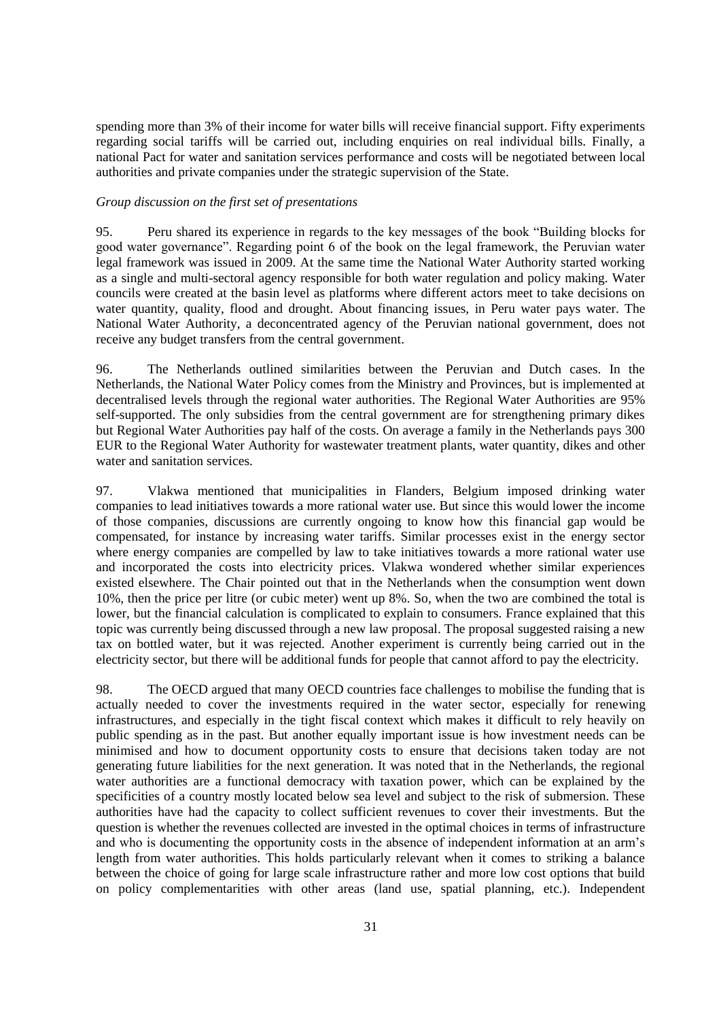spending more than 3% of their income for water bills will receive financial support. Fifty experiments regarding social tariffs will be carried out, including enquiries on real individual bills. Finally, a national Pact for water and sanitation services performance and costs will be negotiated between local authorities and private companies under the strategic supervision of the State.

#### <span id="page-30-0"></span>*Group discussion on the first set of presentations*

95. Peru shared its experience in regards to the key messages of the book "Building blocks for good water governance". Regarding point 6 of the book on the legal framework, the Peruvian water legal framework was issued in 2009. At the same time the National Water Authority started working as a single and multi-sectoral agency responsible for both water regulation and policy making. Water councils were created at the basin level as platforms where different actors meet to take decisions on water quantity, quality, flood and drought. About financing issues, in Peru water pays water. The National Water Authority, a deconcentrated agency of the Peruvian national government, does not receive any budget transfers from the central government.

96. The Netherlands outlined similarities between the Peruvian and Dutch cases. In the Netherlands, the National Water Policy comes from the Ministry and Provinces, but is implemented at decentralised levels through the regional water authorities. The Regional Water Authorities are 95% self-supported. The only subsidies from the central government are for strengthening primary dikes but Regional Water Authorities pay half of the costs. On average a family in the Netherlands pays 300 EUR to the Regional Water Authority for wastewater treatment plants, water quantity, dikes and other water and sanitation services.

97. Vlakwa mentioned that municipalities in Flanders, Belgium imposed drinking water companies to lead initiatives towards a more rational water use. But since this would lower the income of those companies, discussions are currently ongoing to know how this financial gap would be compensated, for instance by increasing water tariffs. Similar processes exist in the energy sector where energy companies are compelled by law to take initiatives towards a more rational water use and incorporated the costs into electricity prices. Vlakwa wondered whether similar experiences existed elsewhere. The Chair pointed out that in the Netherlands when the consumption went down 10%, then the price per litre (or cubic meter) went up 8%. So, when the two are combined the total is lower, but the financial calculation is complicated to explain to consumers. France explained that this topic was currently being discussed through a new law proposal. The proposal suggested raising a new tax on bottled water, but it was rejected. Another experiment is currently being carried out in the electricity sector, but there will be additional funds for people that cannot afford to pay the electricity.

98. The OECD argued that many OECD countries face challenges to mobilise the funding that is actually needed to cover the investments required in the water sector, especially for renewing infrastructures, and especially in the tight fiscal context which makes it difficult to rely heavily on public spending as in the past. But another equally important issue is how investment needs can be minimised and how to document opportunity costs to ensure that decisions taken today are not generating future liabilities for the next generation. It was noted that in the Netherlands, the regional water authorities are a functional democracy with taxation power, which can be explained by the specificities of a country mostly located below sea level and subject to the risk of submersion. These authorities have had the capacity to collect sufficient revenues to cover their investments. But the question is whether the revenues collected are invested in the optimal choices in terms of infrastructure and who is documenting the opportunity costs in the absence of independent information at an arm's length from water authorities. This holds particularly relevant when it comes to striking a balance between the choice of going for large scale infrastructure rather and more low cost options that build on policy complementarities with other areas (land use, spatial planning, etc.). Independent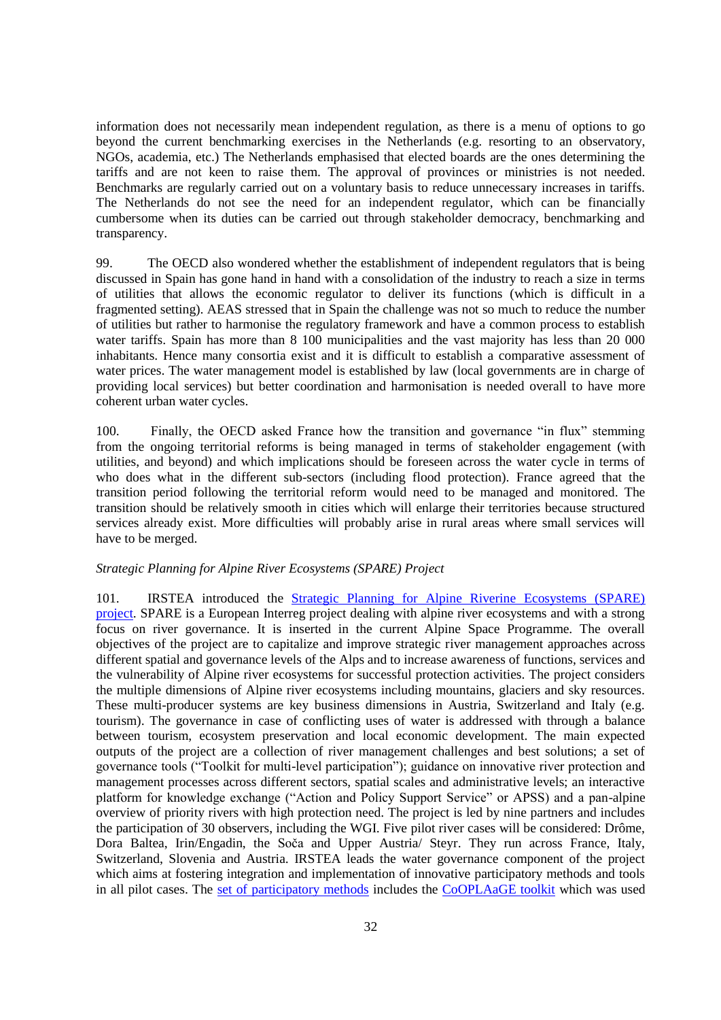information does not necessarily mean independent regulation, as there is a menu of options to go beyond the current benchmarking exercises in the Netherlands (e.g. resorting to an observatory, NGOs, academia, etc.) The Netherlands emphasised that elected boards are the ones determining the tariffs and are not keen to raise them. The approval of provinces or ministries is not needed. Benchmarks are regularly carried out on a voluntary basis to reduce unnecessary increases in tariffs. The Netherlands do not see the need for an independent regulator, which can be financially cumbersome when its duties can be carried out through stakeholder democracy, benchmarking and transparency.

99. The OECD also wondered whether the establishment of independent regulators that is being discussed in Spain has gone hand in hand with a consolidation of the industry to reach a size in terms of utilities that allows the economic regulator to deliver its functions (which is difficult in a fragmented setting). AEAS stressed that in Spain the challenge was not so much to reduce the number of utilities but rather to harmonise the regulatory framework and have a common process to establish water tariffs. Spain has more than 8 100 municipalities and the vast majority has less than 20 000 inhabitants. Hence many consortia exist and it is difficult to establish a comparative assessment of water prices. The water management model is established by law (local governments are in charge of providing local services) but better coordination and harmonisation is needed overall to have more coherent urban water cycles.

100. Finally, the OECD asked France how the transition and governance "in flux" stemming from the ongoing territorial reforms is being managed in terms of stakeholder engagement (with utilities, and beyond) and which implications should be foreseen across the water cycle in terms of who does what in the different sub-sectors (including flood protection). France agreed that the transition period following the territorial reform would need to be managed and monitored. The transition should be relatively smooth in cities which will enlarge their territories because structured services already exist. More difficulties will probably arise in rural areas where small services will have to be merged.

# <span id="page-31-0"></span>*Strategic Planning for Alpine River Ecosystems (SPARE) Project*

101. IRSTEA introduced the [Strategic Planning for Alpine Riverine Ecosystems \(SPARE\)](http://www.alpine-space.eu/SPARE)  [project.](http://www.alpine-space.eu/SPARE) SPARE is a European Interreg project dealing with alpine river ecosystems and with a strong focus on river governance. It is inserted in the current Alpine Space Programme. The overall objectives of the project are to capitalize and improve strategic river management approaches across different spatial and governance levels of the Alps and to increase awareness of functions, services and the vulnerability of Alpine river ecosystems for successful protection activities. The project considers the multiple dimensions of Alpine river ecosystems including mountains, glaciers and sky resources. These multi-producer systems are key business dimensions in Austria, Switzerland and Italy (e.g. tourism). The governance in case of conflicting uses of water is addressed with through a balance between tourism, ecosystem preservation and local economic development. The main expected outputs of the project are a collection of river management challenges and best solutions; a set of governance tools ("Toolkit for multi-level participation"); guidance on innovative river protection and management processes across different sectors, spatial scales and administrative levels; an interactive platform for knowledge exchange ("Action and Policy Support Service" or APSS) and a pan-alpine overview of priority rivers with high protection need. The project is led by nine partners and includes the participation of 30 observers, including the WGI. Five pilot river cases will be considered: Drôme, Dora Baltea, Irin/Engadin, the [Soča](https://en.wikipedia.org/wiki/So%C4%8Da) and Upper Austria/ Steyr. They run across France, Italy, Switzerland, Slovenia and Austria. IRSTEA leads the water governance component of the project which aims at fostering integration and implementation of innovative participatory methods and tools in all pilot cases. The [set of participatory methods](https://sites.google.com/site/watagame2/what-is-wag) includes the [CoOPLAaGE toolkit](https://www.google.fr/url?sa=t&rct=j&q=&esrc=s&source=web&cd=1&ved=0ahUKEwiGzOyvy9TNAhUCNhoKHcg2C4AQFggeMAA&url=http%3A%2F%2Fdimacs.rutgers.edu%2FWorkshops%2FCitizen%2FSlides%2FEmelineHASSENFORDER.pdf&usg=AFQjCNGX9Eb5Gnt96yf4vN84ZATRV4cXsA&sig2=mbaWoMQzw9B) which was used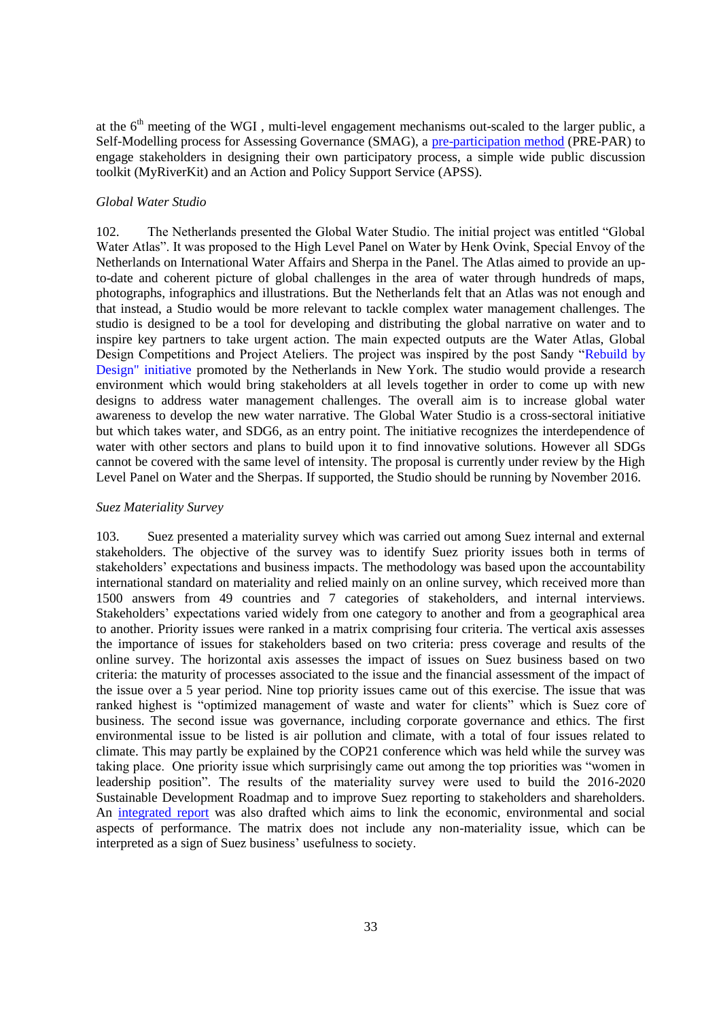at the  $6<sup>th</sup>$  meeting of the WGI, multi-level engagement mechanisms out-scaled to the larger public, a Self-Modelling process for Assessing Governance (SMAG), a [pre-participation method](https://sites.google.com/site/watagame2/cooplaage-tools/pre-par) (PRE-PAR) to engage stakeholders in designing their own participatory process, a simple wide public discussion toolkit (MyRiverKit) and an Action and Policy Support Service (APSS).

#### <span id="page-32-0"></span>*Global Water Studio*

102. The Netherlands presented the Global Water Studio. The initial project was entitled "Global Water Atlas". It was proposed to the High Level Panel on Water by Henk Ovink, Special Envoy of the Netherlands on International Water Affairs and Sherpa in the Panel. The Atlas aimed to provide an upto-date and coherent picture of global challenges in the area of water through hundreds of maps, photographs, infographics and illustrations. But the Netherlands felt that an Atlas was not enough and that instead, a Studio would be more relevant to tackle complex water management challenges. The studio is designed to be a tool for developing and distributing the global narrative on water and to inspire key partners to take urgent action. The main expected outputs are the Water Atlas, Global Design Competitions and Project Ateliers. The project was inspired by the post Sandy ["Rebuild by](http://www.rebuildbydesign.org/what-is-rebuild-by-design/)  Design" [initiative](http://www.rebuildbydesign.org/what-is-rebuild-by-design/) promoted by the Netherlands in New York. The studio would provide a research environment which would bring stakeholders at all levels together in order to come up with new designs to address water management challenges. The overall aim is to increase global water awareness to develop the new water narrative. The Global Water Studio is a cross-sectoral initiative but which takes water, and SDG6, as an entry point. The initiative recognizes the interdependence of water with other sectors and plans to build upon it to find innovative solutions. However all SDGs cannot be covered with the same level of intensity. The proposal is currently under review by the High Level Panel on Water and the Sherpas. If supported, the Studio should be running by November 2016.

#### <span id="page-32-1"></span>*Suez Materiality Survey*

103. Suez presented a materiality survey which was carried out among Suez internal and external stakeholders. The objective of the survey was to identify Suez priority issues both in terms of stakeholders' expectations and business impacts. The methodology was based upon the accountability international standard on materiality and relied mainly on an online survey, which received more than 1500 answers from 49 countries and 7 categories of stakeholders, and internal interviews. Stakeholders' expectations varied widely from one category to another and from a geographical area to another. Priority issues were ranked in a matrix comprising four criteria. The vertical axis assesses the importance of issues for stakeholders based on two criteria: press coverage and results of the online survey. The horizontal axis assesses the impact of issues on Suez business based on two criteria: the maturity of processes associated to the issue and the financial assessment of the impact of the issue over a 5 year period. Nine top priority issues came out of this exercise. The issue that was ranked highest is "optimized management of waste and water for clients" which is Suez core of business. The second issue was governance, including corporate governance and ethics. The first environmental issue to be listed is air pollution and climate, with a total of four issues related to climate. This may partly be explained by the COP21 conference which was held while the survey was taking place. One priority issue which surprisingly came out among the top priorities was "women in leadership position". The results of the materiality survey were used to build the 2016-2020 Sustainable Development Roadmap and to improve Suez reporting to stakeholders and shareholders. An [integrated report](http://www.suez-environnement.fr/wp-content/uploads/2016/06/EN_SUEZ_integrated-report_2015_WEB.pdf) was also drafted which aims to link the economic, environmental and social aspects of performance. The matrix does not include any non-materiality issue, which can be interpreted as a sign of Suez business' usefulness to society.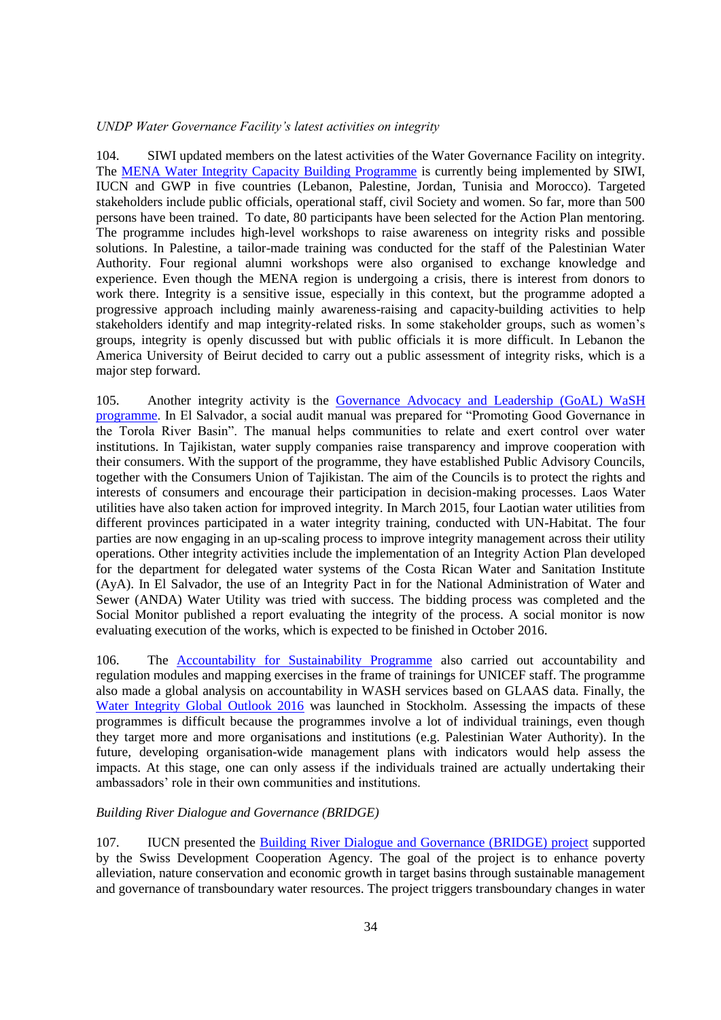### <span id="page-33-0"></span>*UNDP Water Governance Facility's latest activities on integrity*

104. SIWI updated members on the latest activities of the Water Governance Facility on integrity. The **MENA Water Integrity Capacity Building Programme** is currently being implemented by SIWI, IUCN and GWP in five countries (Lebanon, Palestine, Jordan, Tunisia and Morocco). Targeted stakeholders include public officials, operational staff, civil Society and women. So far, more than 500 persons have been trained. To date, 80 participants have been selected for the Action Plan mentoring. The programme includes high-level workshops to raise awareness on integrity risks and possible solutions. In Palestine, a tailor-made training was conducted for the staff of the Palestinian Water Authority. Four regional alumni workshops were also organised to exchange knowledge and experience. Even though the MENA region is undergoing a crisis, there is interest from donors to work there. Integrity is a sensitive issue, especially in this context, but the programme adopted a progressive approach including mainly awareness-raising and capacity-building activities to help stakeholders identify and map integrity-related risks. In some stakeholder groups, such as women's groups, integrity is openly discussed but with public officials it is more difficult. In Lebanon the America University of Beirut decided to carry out a public assessment of integrity risks, which is a major step forward.

105. Another integrity activity is the [Governance Advocacy and Leadership \(GoAL\) WaSH](http://watergovernance.org/programmes/goal-wash/)  [programme.](http://watergovernance.org/programmes/goal-wash/) In El Salvador, a social audit manual was prepared for "Promoting Good Governance in the Torola River Basin". The manual helps communities to relate and exert control over water institutions. In Tajikistan, water supply companies raise transparency and improve cooperation with their consumers. With the support of the programme, they have established Public Advisory Councils, together with the Consumers Union of Tajikistan. The aim of the Councils is to protect the rights and interests of consumers and encourage their participation in decision-making processes. Laos Water utilities have also taken action for improved integrity. In March 2015, four Laotian water utilities from different provinces participated in a water integrity training, conducted with UN-Habitat. The four parties are now engaging in an up-scaling process to improve integrity management across their utility operations. Other integrity activities include the implementation of an Integrity Action Plan developed for the department for delegated water systems of the Costa Rican Water and Sanitation Institute (AyA). In El Salvador, the use of an Integrity Pact in for the National Administration of Water and Sewer (ANDA) Water Utility was tried with success. The bidding process was completed and the Social Monitor published a report evaluating the integrity of the process. A social monitor is now evaluating execution of the works, which is expected to be finished in October 2016.

106. The [Accountability for Sustainability Programme](http://watergovernance.org/programmes/accountability-for-sustainability/) also carried out accountability and regulation modules and mapping exercises in the frame of trainings for UNICEF staff. The programme also made a global analysis on accountability in WASH services based on GLAAS data. Finally, the [Water Integrity Global Outlook 2016](http://www.waterintegritynetwork.net/wigo/) was launched in Stockholm. Assessing the impacts of these programmes is difficult because the programmes involve a lot of individual trainings, even though they target more and more organisations and institutions (e.g. Palestinian Water Authority). In the future, developing organisation-wide management plans with indicators would help assess the impacts. At this stage, one can only assess if the individuals trained are actually undertaking their ambassadors' role in their own communities and institutions.

#### <span id="page-33-1"></span>*Building River Dialogue and Governance (BRIDGE)*

107. IUCN presented the [Building River Dialogue and Governance \(BRIDGE\) project](http://www.iucn.org/theme/water/our-work/bridge) supported by the Swiss Development Cooperation Agency. The goal of the project is to enhance poverty alleviation, nature conservation and economic growth in target basins through sustainable management and governance of transboundary water resources. The project triggers transboundary changes in water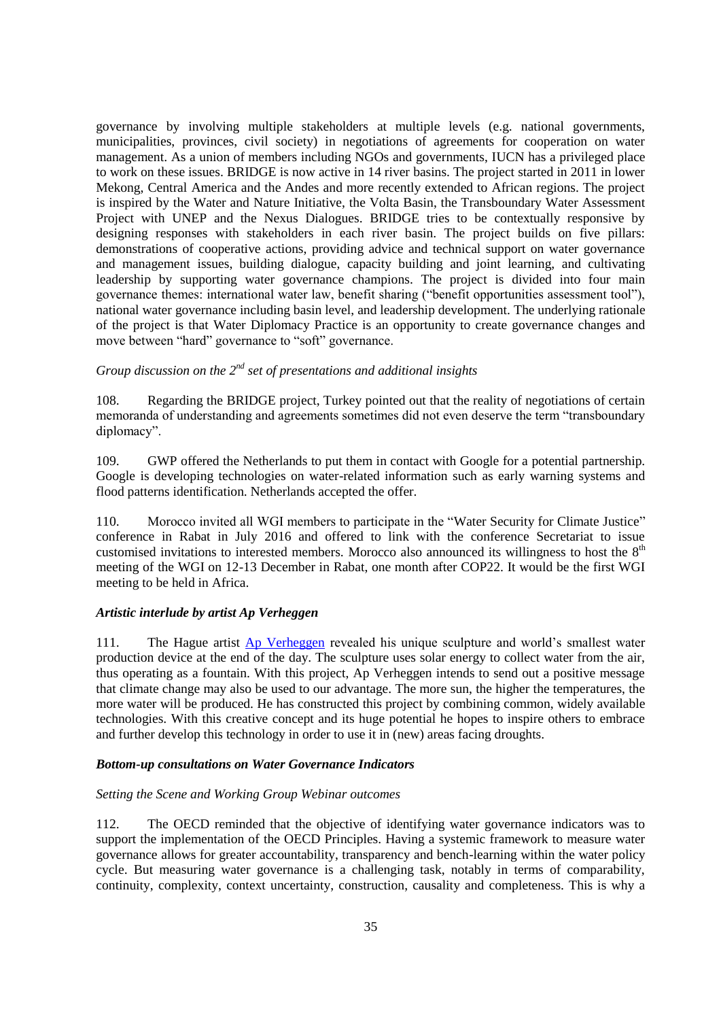governance by involving multiple stakeholders at multiple levels (e.g. national governments, municipalities, provinces, civil society) in negotiations of agreements for cooperation on water management. As a union of members including NGOs and governments, IUCN has a privileged place to work on these issues. BRIDGE is now active in 14 river basins. The project started in 2011 in lower Mekong, Central America and the Andes and more recently extended to African regions. The project is inspired by the Water and Nature Initiative, the Volta Basin, the Transboundary Water Assessment Project with UNEP and the Nexus Dialogues. BRIDGE tries to be contextually responsive by designing responses with stakeholders in each river basin. The project builds on five pillars: demonstrations of cooperative actions, providing advice and technical support on water governance and management issues, building dialogue, capacity building and joint learning, and cultivating leadership by supporting water governance champions. The project is divided into four main governance themes: international water law, benefit sharing ("benefit opportunities assessment tool"), national water governance including basin level, and leadership development. The underlying rationale of the project is that Water Diplomacy Practice is an opportunity to create governance changes and move between "hard" governance to "soft" governance.

# <span id="page-34-0"></span>*Group discussion on the 2nd set of presentations and additional insights*

108. Regarding the BRIDGE project, Turkey pointed out that the reality of negotiations of certain memoranda of understanding and agreements sometimes did not even deserve the term "transboundary diplomacy".

109. GWP offered the Netherlands to put them in contact with Google for a potential partnership. Google is developing technologies on water-related information such as early warning systems and flood patterns identification. Netherlands accepted the offer.

110. Morocco invited all WGI members to participate in the "Water Security for Climate Justice" conference in Rabat in July 2016 and offered to link with the conference Secretariat to issue customised invitations to interested members. Morocco also announced its willingness to host the  $8<sup>th</sup>$ meeting of the WGI on 12-13 December in Rabat, one month after COP22. It would be the first WGI meeting to be held in Africa.

# <span id="page-34-1"></span>*Artistic interlude by artist Ap Verheggen*

111. The Hague artist [Ap Verheggen](http://apverheggen.blogspot.fr/) revealed his unique sculpture and world's smallest water production device at the end of the day. The sculpture uses solar energy to collect water from the air, thus operating as a fountain. With this project, Ap Verheggen intends to send out a positive message that climate change may also be used to our advantage. The more sun, the higher the temperatures, the more water will be produced. He has constructed this project by combining common, widely available technologies. With this creative concept and its huge potential he hopes to inspire others to embrace and further develop this technology in order to use it in (new) areas facing droughts.

#### <span id="page-34-2"></span>*Bottom-up consultations on Water Governance Indicators*

#### <span id="page-34-3"></span>*Setting the Scene and Working Group Webinar outcomes*

112. The OECD reminded that the objective of identifying water governance indicators was to support the implementation of the OECD Principles. Having a systemic framework to measure water governance allows for greater accountability, transparency and bench-learning within the water policy cycle. But measuring water governance is a challenging task, notably in terms of comparability, continuity, complexity, context uncertainty, construction, causality and completeness. This is why a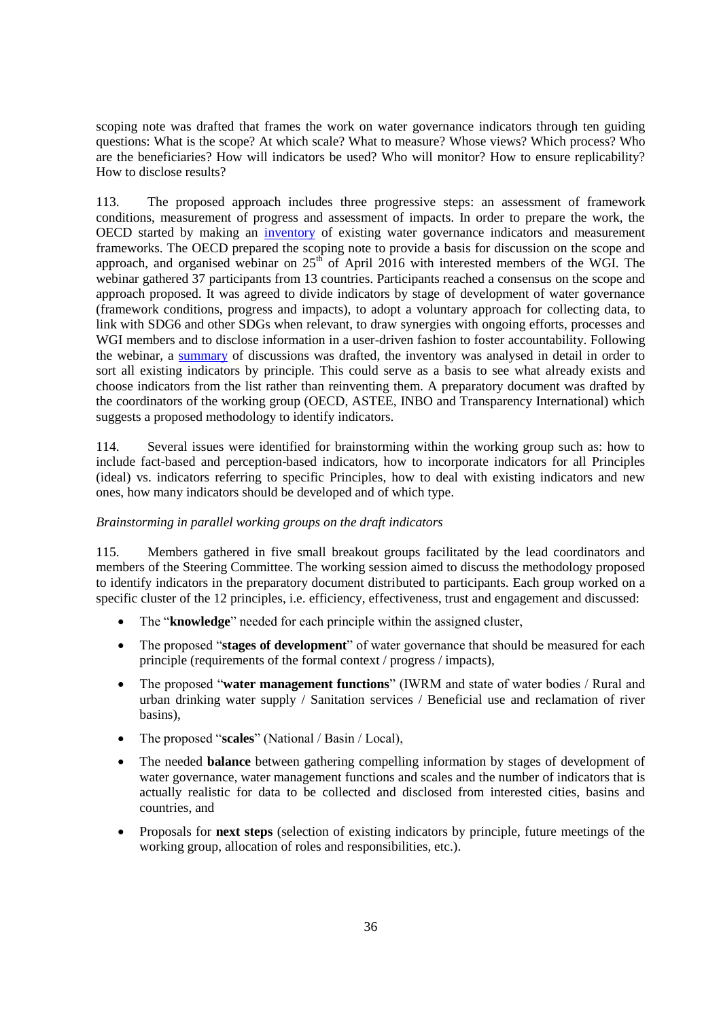scoping note was drafted that frames the work on water governance indicators through ten guiding questions: What is the scope? At which scale? What to measure? Whose views? Which process? Who are the beneficiaries? How will indicators be used? Who will monitor? How to ensure replicability? How to disclose results?

113. The proposed approach includes three progressive steps: an assessment of framework conditions, measurement of progress and assessment of impacts. In order to prepare the work, the OECD started by making an [inventory](http://www.oecd.org/gov/regional-policy/Inventory_Indicators.pdf) of existing water governance indicators and measurement frameworks. The OECD prepared the scoping note to provide a basis for discussion on the scope and approach, and organised webinar on  $25<sup>th</sup>$  of April 2016 with interested members of the WGI. The webinar gathered 37 participants from 13 countries. Participants reached a consensus on the scope and approach proposed. It was agreed to divide indicators by stage of development of water governance (framework conditions, progress and impacts), to adopt a voluntary approach for collecting data, to link with SDG6 and other SDGs when relevant, to draw synergies with ongoing efforts, processes and WGI members and to disclose information in a user-driven fashion to foster accountability. Following the webinar, a [summary](http://www.oecd.org/gov/regional-policy/Summary-Webinar-on-indicators-25-April-2016.pdf) of discussions was drafted, the inventory was analysed in detail in order to sort all existing indicators by principle. This could serve as a basis to see what already exists and choose indicators from the list rather than reinventing them. A preparatory document was drafted by the coordinators of the working group (OECD, ASTEE, INBO and Transparency International) which suggests a proposed methodology to identify indicators.

114. Several issues were identified for brainstorming within the working group such as: how to include fact-based and perception-based indicators, how to incorporate indicators for all Principles (ideal) vs. indicators referring to specific Principles, how to deal with existing indicators and new ones, how many indicators should be developed and of which type.

# <span id="page-35-0"></span>*Brainstorming in parallel working groups on the draft indicators*

115. Members gathered in five small breakout groups facilitated by the lead coordinators and members of the Steering Committee. The working session aimed to discuss the methodology proposed to identify indicators in the preparatory document distributed to participants. Each group worked on a specific cluster of the 12 principles, i.e. efficiency, effectiveness, trust and engagement and discussed:

- The "**knowledge**" needed for each principle within the assigned cluster,
- The proposed "**stages of development**" of water governance that should be measured for each principle (requirements of the formal context / progress / impacts),
- The proposed "**water management functions**" (IWRM and state of water bodies / Rural and urban drinking water supply / Sanitation services / Beneficial use and reclamation of river basins),
- The proposed "**scales**" (National / Basin / Local),
- The needed **balance** between gathering compelling information by stages of development of water governance, water management functions and scales and the number of indicators that is actually realistic for data to be collected and disclosed from interested cities, basins and countries, and
- Proposals for **next steps** (selection of existing indicators by principle, future meetings of the working group, allocation of roles and responsibilities, etc.).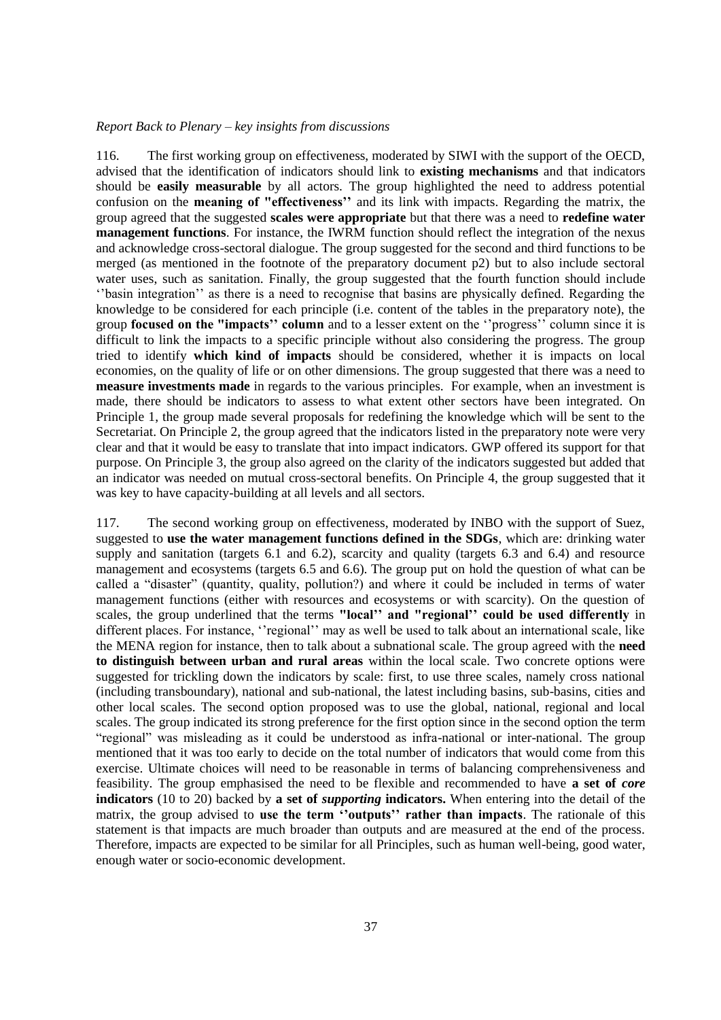#### <span id="page-36-0"></span>*Report Back to Plenary – key insights from discussions*

116. The first working group on effectiveness, moderated by SIWI with the support of the OECD, advised that the identification of indicators should link to **existing mechanisms** and that indicators should be **easily measurable** by all actors. The group highlighted the need to address potential confusion on the **meaning of "effectiveness''** and its link with impacts. Regarding the matrix, the group agreed that the suggested **scales were appropriate** but that there was a need to **redefine water management functions**. For instance, the IWRM function should reflect the integration of the nexus and acknowledge cross-sectoral dialogue. The group suggested for the second and third functions to be merged (as mentioned in the footnote of the preparatory document p2) but to also include sectoral water uses, such as sanitation. Finally, the group suggested that the fourth function should include ''basin integration'' as there is a need to recognise that basins are physically defined. Regarding the knowledge to be considered for each principle (i.e. content of the tables in the preparatory note), the group **focused on the "impacts'' column** and to a lesser extent on the ''progress'' column since it is difficult to link the impacts to a specific principle without also considering the progress. The group tried to identify **which kind of impacts** should be considered, whether it is impacts on local economies, on the quality of life or on other dimensions. The group suggested that there was a need to **measure investments made** in regards to the various principles. For example, when an investment is made, there should be indicators to assess to what extent other sectors have been integrated. On Principle 1, the group made several proposals for redefining the knowledge which will be sent to the Secretariat. On Principle 2, the group agreed that the indicators listed in the preparatory note were very clear and that it would be easy to translate that into impact indicators. GWP offered its support for that purpose. On Principle 3, the group also agreed on the clarity of the indicators suggested but added that an indicator was needed on mutual cross-sectoral benefits. On Principle 4, the group suggested that it was key to have capacity-building at all levels and all sectors.

117. The second working group on effectiveness, moderated by INBO with the support of Suez, suggested to **use the water management functions defined in the SDGs**, which are: drinking water supply and sanitation (targets 6.1 and 6.2), scarcity and quality (targets 6.3 and 6.4) and resource management and ecosystems (targets 6.5 and 6.6). The group put on hold the question of what can be called a "disaster" (quantity, quality, pollution?) and where it could be included in terms of water management functions (either with resources and ecosystems or with scarcity). On the question of scales, the group underlined that the terms **"local'' and "regional'' could be used differently** in different places. For instance, ''regional'' may as well be used to talk about an international scale, like the MENA region for instance, then to talk about a subnational scale. The group agreed with the **need to distinguish between urban and rural areas** within the local scale. Two concrete options were suggested for trickling down the indicators by scale: first, to use three scales, namely cross national (including transboundary), national and sub-national, the latest including basins, sub-basins, cities and other local scales. The second option proposed was to use the global, national, regional and local scales. The group indicated its strong preference for the first option since in the second option the term "regional" was misleading as it could be understood as infra-national or inter-national. The group mentioned that it was too early to decide on the total number of indicators that would come from this exercise. Ultimate choices will need to be reasonable in terms of balancing comprehensiveness and feasibility. The group emphasised the need to be flexible and recommended to have **a set of** *core* **indicators** (10 to 20) backed by **a set of** *supporting* **indicators.** When entering into the detail of the matrix, the group advised to **use the term ''outputs'' rather than impacts**. The rationale of this statement is that impacts are much broader than outputs and are measured at the end of the process. Therefore, impacts are expected to be similar for all Principles, such as human well-being, good water, enough water or socio-economic development.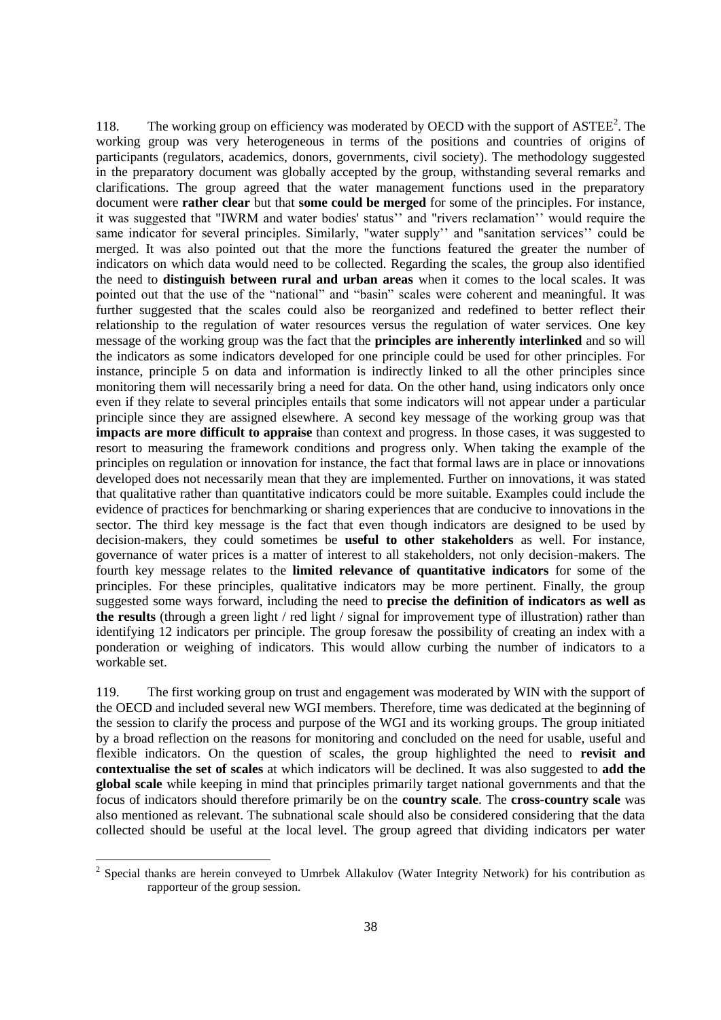118. The working group on efficiency was moderated by OECD with the support of  $\text{ASTEE}^2$ . The working group was very heterogeneous in terms of the positions and countries of origins of participants (regulators, academics, donors, governments, civil society). The methodology suggested in the preparatory document was globally accepted by the group, withstanding several remarks and clarifications. The group agreed that the water management functions used in the preparatory document were **rather clear** but that **some could be merged** for some of the principles. For instance, it was suggested that "IWRM and water bodies' status'' and "rivers reclamation'' would require the same indicator for several principles. Similarly, "water supply'' and "sanitation services'' could be merged. It was also pointed out that the more the functions featured the greater the number of indicators on which data would need to be collected. Regarding the scales, the group also identified the need to **distinguish between rural and urban areas** when it comes to the local scales. It was pointed out that the use of the "national" and "basin" scales were coherent and meaningful. It was further suggested that the scales could also be reorganized and redefined to better reflect their relationship to the regulation of water resources versus the regulation of water services. One key message of the working group was the fact that the **principles are inherently interlinked** and so will the indicators as some indicators developed for one principle could be used for other principles. For instance, principle 5 on data and information is indirectly linked to all the other principles since monitoring them will necessarily bring a need for data. On the other hand, using indicators only once even if they relate to several principles entails that some indicators will not appear under a particular principle since they are assigned elsewhere. A second key message of the working group was that **impacts are more difficult to appraise** than context and progress. In those cases, it was suggested to resort to measuring the framework conditions and progress only. When taking the example of the principles on regulation or innovation for instance, the fact that formal laws are in place or innovations developed does not necessarily mean that they are implemented. Further on innovations, it was stated that qualitative rather than quantitative indicators could be more suitable. Examples could include the evidence of practices for benchmarking or sharing experiences that are conducive to innovations in the sector. The third key message is the fact that even though indicators are designed to be used by decision-makers, they could sometimes be **useful to other stakeholders** as well. For instance, governance of water prices is a matter of interest to all stakeholders, not only decision-makers. The fourth key message relates to the **limited relevance of quantitative indicators** for some of the principles. For these principles, qualitative indicators may be more pertinent. Finally, the group suggested some ways forward, including the need to **precise the definition of indicators as well as the results** (through a green light / red light / signal for improvement type of illustration) rather than identifying 12 indicators per principle. The group foresaw the possibility of creating an index with a ponderation or weighing of indicators. This would allow curbing the number of indicators to a workable set.

119. The first working group on trust and engagement was moderated by WIN with the support of the OECD and included several new WGI members. Therefore, time was dedicated at the beginning of the session to clarify the process and purpose of the WGI and its working groups. The group initiated by a broad reflection on the reasons for monitoring and concluded on the need for usable, useful and flexible indicators. On the question of scales, the group highlighted the need to **revisit and contextualise the set of scales** at which indicators will be declined. It was also suggested to **add the global scale** while keeping in mind that principles primarily target national governments and that the focus of indicators should therefore primarily be on the **country scale**. The **cross-country scale** was also mentioned as relevant. The subnational scale should also be considered considering that the data collected should be useful at the local level. The group agreed that dividing indicators per water

l

 $2$  Special thanks are herein conveyed to Umrbek Allakulov (Water Integrity Network) for his contribution as rapporteur of the group session.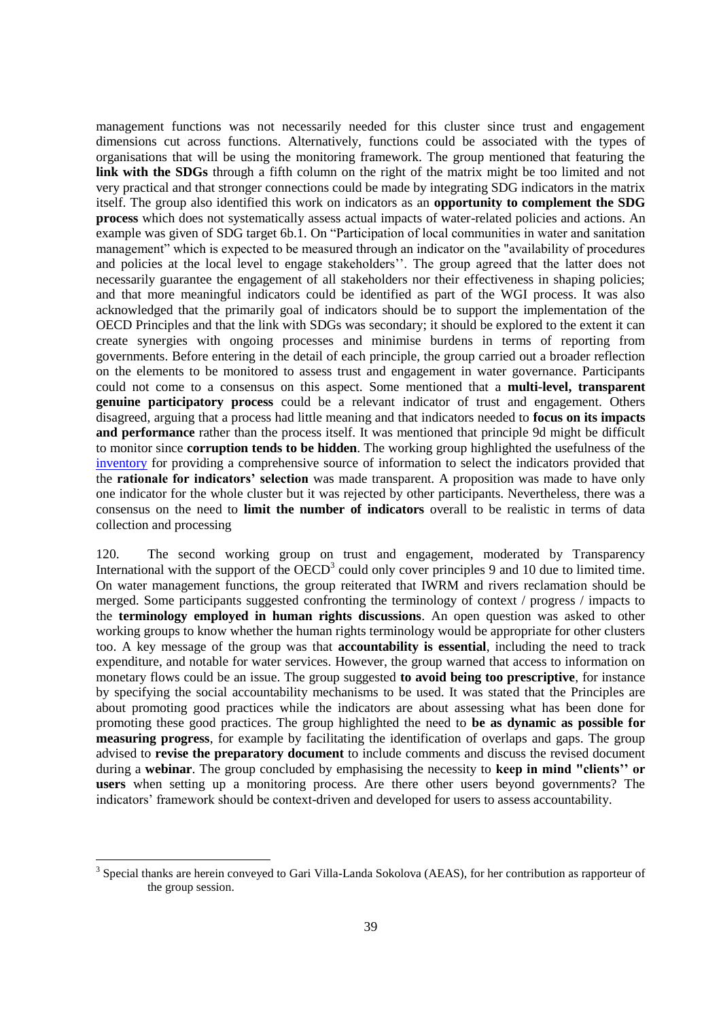management functions was not necessarily needed for this cluster since trust and engagement dimensions cut across functions. Alternatively, functions could be associated with the types of organisations that will be using the monitoring framework. The group mentioned that featuring the **link with the SDGs** through a fifth column on the right of the matrix might be too limited and not very practical and that stronger connections could be made by integrating SDG indicators in the matrix itself. The group also identified this work on indicators as an **opportunity to complement the SDG process** which does not systematically assess actual impacts of water-related policies and actions. An example was given of SDG target 6b.1. On "Participation of local communities in water and sanitation management" which is expected to be measured through an indicator on the "availability of procedures and policies at the local level to engage stakeholders''. The group agreed that the latter does not necessarily guarantee the engagement of all stakeholders nor their effectiveness in shaping policies; and that more meaningful indicators could be identified as part of the WGI process. It was also acknowledged that the primarily goal of indicators should be to support the implementation of the OECD Principles and that the link with SDGs was secondary; it should be explored to the extent it can create synergies with ongoing processes and minimise burdens in terms of reporting from governments. Before entering in the detail of each principle, the group carried out a broader reflection on the elements to be monitored to assess trust and engagement in water governance. Participants could not come to a consensus on this aspect. Some mentioned that a **multi-level, transparent genuine participatory process** could be a relevant indicator of trust and engagement. Others disagreed, arguing that a process had little meaning and that indicators needed to **focus on its impacts and performance** rather than the process itself. It was mentioned that principle 9d might be difficult to monitor since **corruption tends to be hidden**. The working group highlighted the usefulness of the [inventory](http://www.oecd.org/gov/regional-policy/Inventory_Indicators.pdf) for providing a comprehensive source of information to select the indicators provided that the **rationale for indicators' selection** was made transparent. A proposition was made to have only one indicator for the whole cluster but it was rejected by other participants. Nevertheless, there was a consensus on the need to **limit the number of indicators** overall to be realistic in terms of data collection and processing

120. The second working group on trust and engagement, moderated by Transparency International with the support of the OECD<sup>3</sup> could only cover principles 9 and 10 due to limited time. On water management functions, the group reiterated that IWRM and rivers reclamation should be merged. Some participants suggested confronting the terminology of context / progress / impacts to the **terminology employed in human rights discussions**. An open question was asked to other working groups to know whether the human rights terminology would be appropriate for other clusters too. A key message of the group was that **accountability is essential**, including the need to track expenditure, and notable for water services. However, the group warned that access to information on monetary flows could be an issue. The group suggested **to avoid being too prescriptive**, for instance by specifying the social accountability mechanisms to be used. It was stated that the Principles are about promoting good practices while the indicators are about assessing what has been done for promoting these good practices. The group highlighted the need to **be as dynamic as possible for measuring progress**, for example by facilitating the identification of overlaps and gaps. The group advised to **revise the preparatory document** to include comments and discuss the revised document during a **webinar**. The group concluded by emphasising the necessity to **keep in mind "clients'' or users** when setting up a monitoring process. Are there other users beyond governments? The indicators' framework should be context-driven and developed for users to assess accountability.

l

<sup>&</sup>lt;sup>3</sup> Special thanks are herein conveyed to Gari Villa-Landa Sokolova (AEAS), for her contribution as rapporteur of the group session.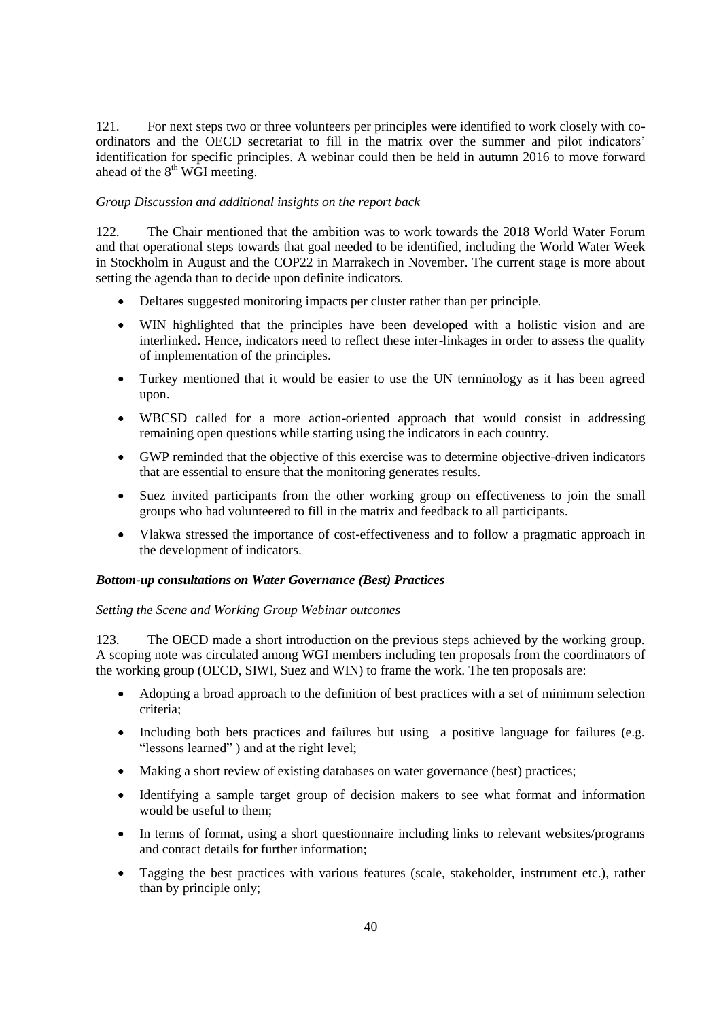121. For next steps two or three volunteers per principles were identified to work closely with coordinators and the OECD secretariat to fill in the matrix over the summer and pilot indicators' identification for specific principles. A webinar could then be held in autumn 2016 to move forward ahead of the  $8<sup>th</sup>$  WGI meeting.

## <span id="page-39-0"></span>*Group Discussion and additional insights on the report back*

122. The Chair mentioned that the ambition was to work towards the 2018 World Water Forum and that operational steps towards that goal needed to be identified, including the World Water Week in Stockholm in August and the COP22 in Marrakech in November. The current stage is more about setting the agenda than to decide upon definite indicators.

- Deltares suggested monitoring impacts per cluster rather than per principle.
- WIN highlighted that the principles have been developed with a holistic vision and are interlinked. Hence, indicators need to reflect these inter-linkages in order to assess the quality of implementation of the principles.
- Turkey mentioned that it would be easier to use the UN terminology as it has been agreed upon.
- WBCSD called for a more action-oriented approach that would consist in addressing remaining open questions while starting using the indicators in each country.
- GWP reminded that the objective of this exercise was to determine objective-driven indicators that are essential to ensure that the monitoring generates results.
- Suez invited participants from the other working group on effectiveness to join the small groups who had volunteered to fill in the matrix and feedback to all participants.
- Vlakwa stressed the importance of cost-effectiveness and to follow a pragmatic approach in the development of indicators.

#### <span id="page-39-1"></span>*Bottom-up consultations on Water Governance (Best) Practices*

#### <span id="page-39-2"></span>*Setting the Scene and Working Group Webinar outcomes*

123. The OECD made a short introduction on the previous steps achieved by the working group. A scoping note was circulated among WGI members including ten proposals from the coordinators of the working group (OECD, SIWI, Suez and WIN) to frame the work. The ten proposals are:

- Adopting a broad approach to the definition of best practices with a set of minimum selection criteria;
- Including both bets practices and failures but using a positive language for failures (e.g. "lessons learned" ) and at the right level;
- Making a short review of existing databases on water governance (best) practices;
- Identifying a sample target group of decision makers to see what format and information would be useful to them;
- In terms of format, using a short questionnaire including links to relevant websites/programs and contact details for further information;
- Tagging the best practices with various features (scale, stakeholder, instrument etc.), rather than by principle only;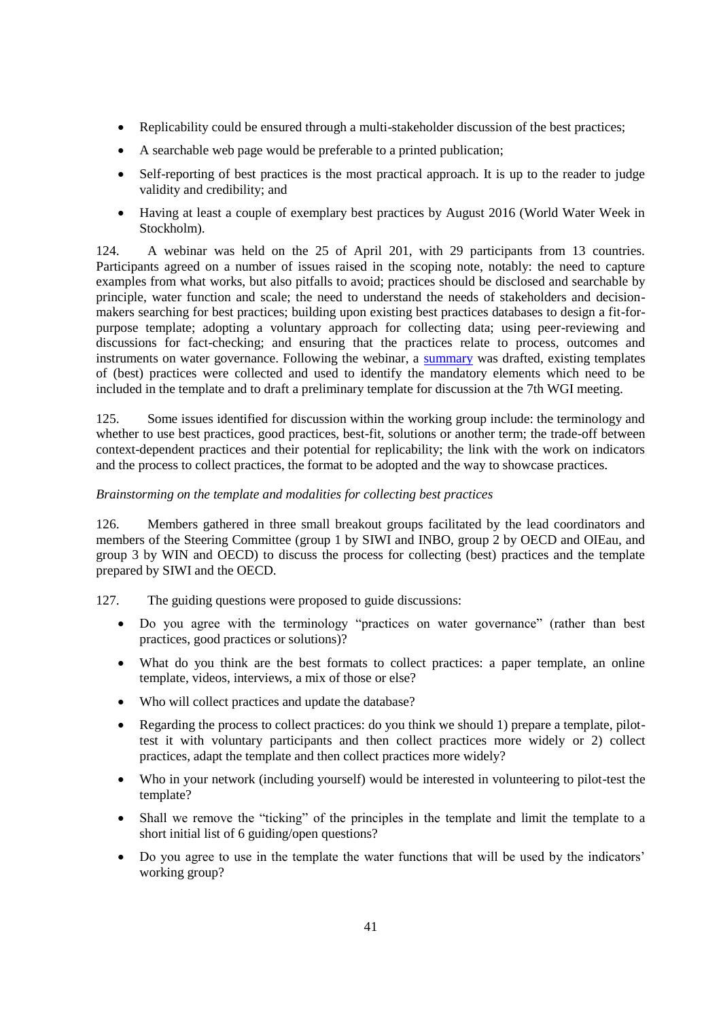- Replicability could be ensured through a multi-stakeholder discussion of the best practices;
- A searchable web page would be preferable to a printed publication;
- Self-reporting of best practices is the most practical approach. It is up to the reader to judge validity and credibility; and
- Having at least a couple of exemplary best practices by August 2016 (World Water Week in Stockholm).

124. A webinar was held on the 25 of April 201, with 29 participants from 13 countries. Participants agreed on a number of issues raised in the scoping note, notably: the need to capture examples from what works, but also pitfalls to avoid; practices should be disclosed and searchable by principle, water function and scale; the need to understand the needs of stakeholders and decisionmakers searching for best practices; building upon existing best practices databases to design a fit-forpurpose template; adopting a voluntary approach for collecting data; using peer-reviewing and discussions for fact-checking; and ensuring that the practices relate to process, outcomes and instruments on water governance. Following the webinar, a [summary](http://www.oecd.org/gov/regional-policy/Summary-Webinar-Best-Practices-25-Apr-16.pdf) was drafted, existing templates of (best) practices were collected and used to identify the mandatory elements which need to be included in the template and to draft a preliminary template for discussion at the 7th WGI meeting.

125. Some issues identified for discussion within the working group include: the terminology and whether to use best practices, good practices, best-fit, solutions or another term; the trade-off between context-dependent practices and their potential for replicability; the link with the work on indicators and the process to collect practices, the format to be adopted and the way to showcase practices.

# <span id="page-40-0"></span>*Brainstorming on the template and modalities for collecting best practices*

126. Members gathered in three small breakout groups facilitated by the lead coordinators and members of the Steering Committee (group 1 by SIWI and INBO, group 2 by OECD and OIEau, and group 3 by WIN and OECD) to discuss the process for collecting (best) practices and the template prepared by SIWI and the OECD.

127. The guiding questions were proposed to guide discussions:

- Do you agree with the terminology "practices on water governance" (rather than best practices, good practices or solutions)?
- What do you think are the best formats to collect practices: a paper template, an online template, videos, interviews, a mix of those or else?
- Who will collect practices and update the database?
- Regarding the process to collect practices: do you think we should 1) prepare a template, pilottest it with voluntary participants and then collect practices more widely or 2) collect practices, adapt the template and then collect practices more widely?
- Who in your network (including yourself) would be interested in volunteering to pilot-test the template?
- Shall we remove the "ticking" of the principles in the template and limit the template to a short initial list of 6 guiding/open questions?
- Do you agree to use in the template the water functions that will be used by the indicators' working group?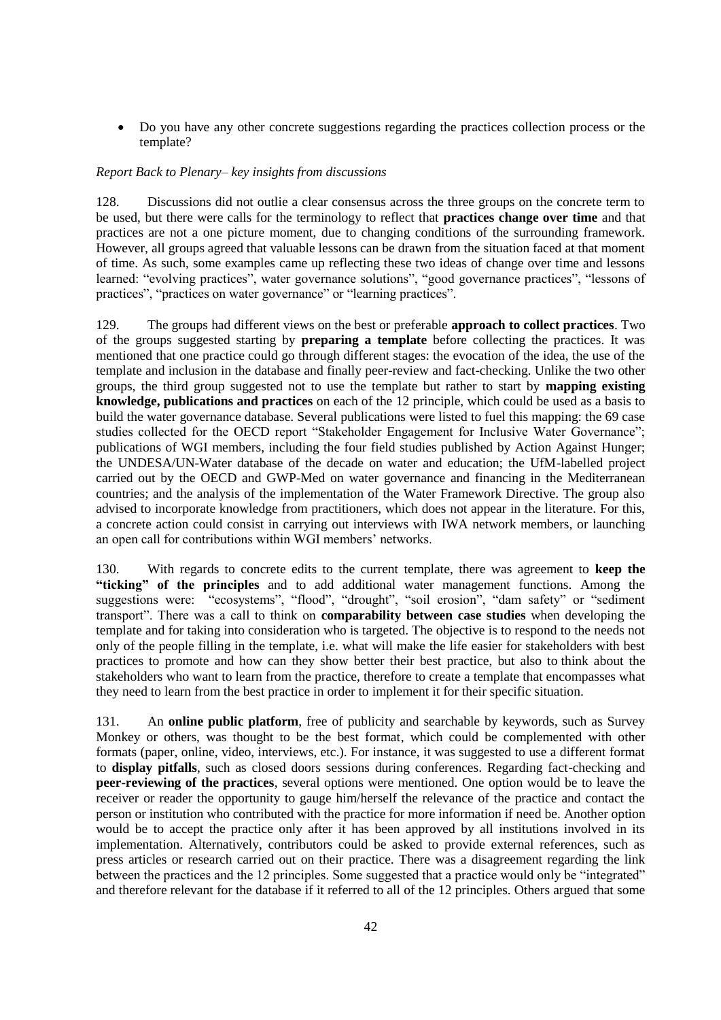Do you have any other concrete suggestions regarding the practices collection process or the template?

# <span id="page-41-0"></span>*Report Back to Plenary– key insights from discussions*

128. Discussions did not outlie a clear consensus across the three groups on the concrete term to be used, but there were calls for the terminology to reflect that **practices change over time** and that practices are not a one picture moment, due to changing conditions of the surrounding framework. However, all groups agreed that valuable lessons can be drawn from the situation faced at that moment of time. As such, some examples came up reflecting these two ideas of change over time and lessons learned: "evolving practices", water governance solutions", "good governance practices", "lessons of practices", "practices on water governance" or "learning practices".

129. The groups had different views on the best or preferable **approach to collect practices**. Two of the groups suggested starting by **preparing a template** before collecting the practices. It was mentioned that one practice could go through different stages: the evocation of the idea, the use of the template and inclusion in the database and finally peer-review and fact-checking. Unlike the two other groups, the third group suggested not to use the template but rather to start by **mapping existing knowledge, publications and practices** on each of the 12 principle, which could be used as a basis to build the water governance database. Several publications were listed to fuel this mapping: the 69 case studies collected for the OECD report "Stakeholder Engagement for Inclusive Water Governance"; publications of WGI members, including the four field studies published by Action Against Hunger; the UNDESA/UN-Water database of the decade on water and education; the UfM-labelled project carried out by the OECD and GWP-Med on water governance and financing in the Mediterranean countries; and the analysis of the implementation of the Water Framework Directive. The group also advised to incorporate knowledge from practitioners, which does not appear in the literature. For this, a concrete action could consist in carrying out interviews with IWA network members, or launching an open call for contributions within WGI members' networks.

130. With regards to concrete edits to the current template, there was agreement to **keep the "ticking" of the principles** and to add additional water management functions. Among the suggestions were: "ecosystems", "flood", "drought", "soil erosion", "dam safety" or "sediment transport". There was a call to think on **comparability between case studies** when developing the template and for taking into consideration who is targeted. The objective is to respond to the needs not only of the people filling in the template, i.e. what will make the life easier for stakeholders with best practices to promote and how can they show better their best practice, but also to think about the stakeholders who want to learn from the practice, therefore to create a template that encompasses what they need to learn from the best practice in order to implement it for their specific situation.

131. An **online public platform**, free of publicity and searchable by keywords, such as Survey Monkey or others, was thought to be the best format, which could be complemented with other formats (paper, online, video, interviews, etc.). For instance, it was suggested to use a different format to **display pitfalls**, such as closed doors sessions during conferences. Regarding fact-checking and **peer-reviewing of the practices**, several options were mentioned. One option would be to leave the receiver or reader the opportunity to gauge him/herself the relevance of the practice and contact the person or institution who contributed with the practice for more information if need be. Another option would be to accept the practice only after it has been approved by all institutions involved in its implementation. Alternatively, contributors could be asked to provide external references, such as press articles or research carried out on their practice. There was a disagreement regarding the link between the practices and the 12 principles. Some suggested that a practice would only be "integrated" and therefore relevant for the database if it referred to all of the 12 principles. Others argued that some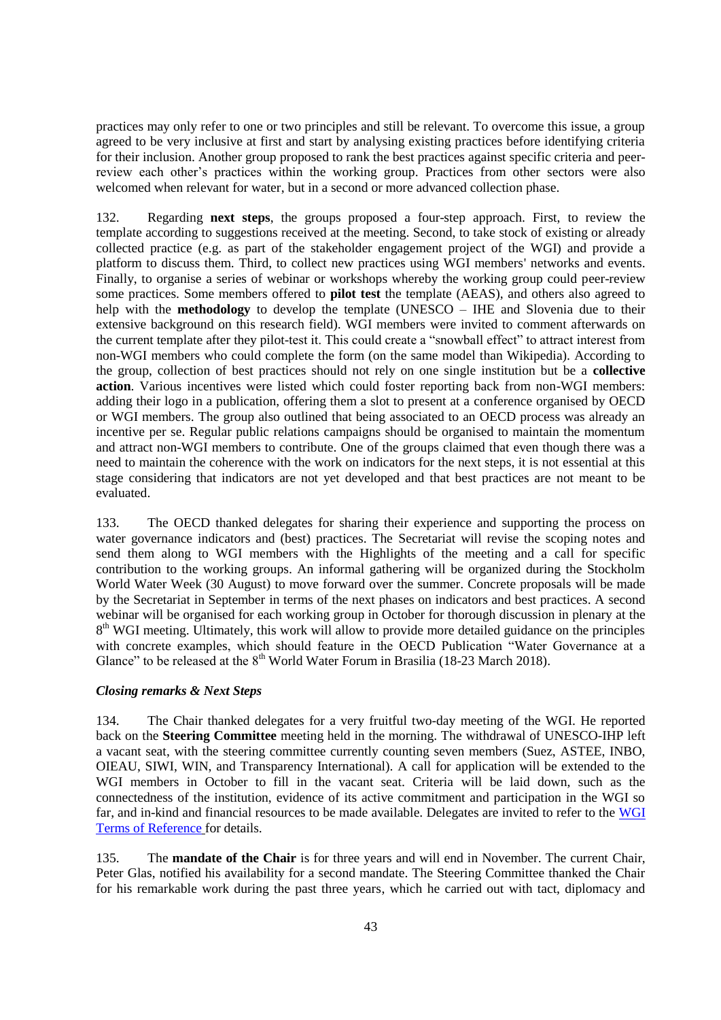practices may only refer to one or two principles and still be relevant. To overcome this issue, a group agreed to be very inclusive at first and start by analysing existing practices before identifying criteria for their inclusion. Another group proposed to rank the best practices against specific criteria and peerreview each other's practices within the working group. Practices from other sectors were also welcomed when relevant for water, but in a second or more advanced collection phase.

132. Regarding **next steps**, the groups proposed a four-step approach. First, to review the template according to suggestions received at the meeting. Second, to take stock of existing or already collected practice (e.g. as part of the stakeholder engagement project of the WGI) and provide a platform to discuss them. Third, to collect new practices using WGI members' networks and events. Finally, to organise a series of webinar or workshops whereby the working group could peer-review some practices. Some members offered to **pilot test** the template (AEAS), and others also agreed to help with the **methodology** to develop the template (UNESCO – IHE and Slovenia due to their extensive background on this research field). WGI members were invited to comment afterwards on the current template after they pilot-test it. This could create a "snowball effect" to attract interest from non-WGI members who could complete the form (on the same model than Wikipedia). According to the group, collection of best practices should not rely on one single institution but be a **collective action**. Various incentives were listed which could foster reporting back from non-WGI members: adding their logo in a publication, offering them a slot to present at a conference organised by OECD or WGI members. The group also outlined that being associated to an OECD process was already an incentive per se. Regular public relations campaigns should be organised to maintain the momentum and attract non-WGI members to contribute. One of the groups claimed that even though there was a need to maintain the coherence with the work on indicators for the next steps, it is not essential at this stage considering that indicators are not yet developed and that best practices are not meant to be evaluated.

133. The OECD thanked delegates for sharing their experience and supporting the process on water governance indicators and (best) practices. The Secretariat will revise the scoping notes and send them along to WGI members with the Highlights of the meeting and a call for specific contribution to the working groups. An informal gathering will be organized during the Stockholm World Water Week (30 August) to move forward over the summer. Concrete proposals will be made by the Secretariat in September in terms of the next phases on indicators and best practices. A second webinar will be organised for each working group in October for thorough discussion in plenary at the 8<sup>th</sup> WGI meeting. Ultimately, this work will allow to provide more detailed guidance on the principles with concrete examples, which should feature in the OECD Publication "Water Governance at a Glance" to be released at the  $8<sup>th</sup>$  World Water Forum in Brasilia (18-23 March 2018).

# <span id="page-42-0"></span>*Closing remarks & Next Steps*

134. The Chair thanked delegates for a very fruitful two-day meeting of the WGI. He reported back on the **Steering Committee** meeting held in the morning. The withdrawal of UNESCO-IHP left a vacant seat, with the steering committee currently counting seven members (Suez, ASTEE, INBO, OIEAU, SIWI, WIN, and Transparency International). A call for application will be extended to the WGI members in October to fill in the vacant seat. Criteria will be laid down, such as the connectedness of the institution, evidence of its active commitment and participation in the WGI so far, and in-kind and financial resources to be made available. Delegates are invited to refer to the [WGI](http://www.oecd.org/gov/regional-policy/water-governance-initiative-terms-of-reference-2016-18.pdf)  [Terms of Reference](http://www.oecd.org/gov/regional-policy/water-governance-initiative-terms-of-reference-2016-18.pdf) for details.

135. The **mandate of the Chair** is for three years and will end in November. The current Chair, Peter Glas, notified his availability for a second mandate. The Steering Committee thanked the Chair for his remarkable work during the past three years, which he carried out with tact, diplomacy and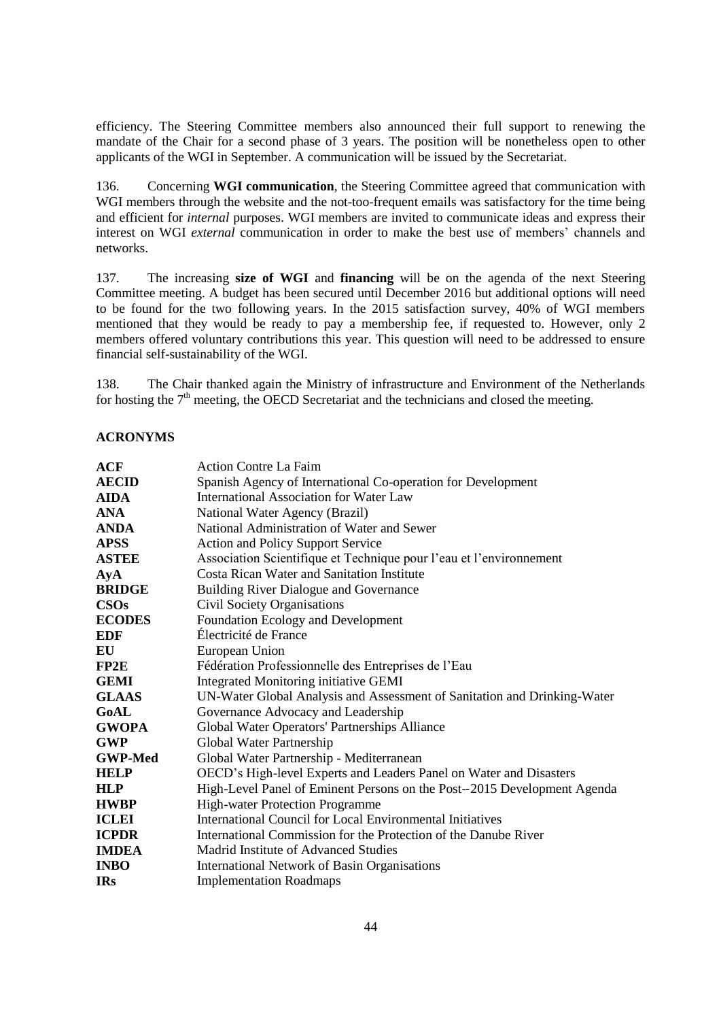efficiency. The Steering Committee members also announced their full support to renewing the mandate of the Chair for a second phase of 3 years. The position will be nonetheless open to other applicants of the WGI in September. A communication will be issued by the Secretariat.

136. Concerning **WGI communication**, the Steering Committee agreed that communication with WGI members through the website and the not-too-frequent emails was satisfactory for the time being and efficient for *internal* purposes. WGI members are invited to communicate ideas and express their interest on WGI *external* communication in order to make the best use of members' channels and networks.

137. The increasing **size of WGI** and **financing** will be on the agenda of the next Steering Committee meeting. A budget has been secured until December 2016 but additional options will need to be found for the two following years. In the 2015 satisfaction survey, 40% of WGI members mentioned that they would be ready to pay a membership fee, if requested to. However, only 2 members offered voluntary contributions this year. This question will need to be addressed to ensure financial self-sustainability of the WGI.

138. The Chair thanked again the Ministry of infrastructure and Environment of the Netherlands for hosting the  $7<sup>th</sup>$  meeting, the OECD Secretariat and the technicians and closed the meeting.

# <span id="page-43-0"></span>**ACRONYMS**

| <b>ACF</b>          | <b>Action Contre La Faim</b>                                             |  |  |
|---------------------|--------------------------------------------------------------------------|--|--|
| <b>AECID</b>        | Spanish Agency of International Co-operation for Development             |  |  |
| <b>AIDA</b>         | International Association for Water Law                                  |  |  |
| <b>ANA</b>          | National Water Agency (Brazil)                                           |  |  |
| <b>ANDA</b>         | National Administration of Water and Sewer                               |  |  |
| <b>APSS</b>         | <b>Action and Policy Support Service</b>                                 |  |  |
| <b>ASTEE</b>        | Association Scientifique et Technique pour l'eau et l'environnement      |  |  |
| $\bf{A}$ y $\bf{A}$ | <b>Costa Rican Water and Sanitation Institute</b>                        |  |  |
| <b>BRIDGE</b>       | Building River Dialogue and Governance                                   |  |  |
| <b>CSOs</b>         | Civil Society Organisations                                              |  |  |
| <b>ECODES</b>       | Foundation Ecology and Development                                       |  |  |
| EDF                 | Électricité de France                                                    |  |  |
| EU                  | European Union                                                           |  |  |
| FP2E                | Fédération Professionnelle des Entreprises de l'Eau                      |  |  |
| <b>GEMI</b>         | <b>Integrated Monitoring initiative GEMI</b>                             |  |  |
| <b>GLAAS</b>        | UN-Water Global Analysis and Assessment of Sanitation and Drinking-Water |  |  |
| GoAL                | Governance Advocacy and Leadership                                       |  |  |
| <b>GWOPA</b>        | Global Water Operators' Partnerships Alliance                            |  |  |
| <b>GWP</b>          | Global Water Partnership                                                 |  |  |
| <b>GWP-Med</b>      | Global Water Partnership - Mediterranean                                 |  |  |
| <b>HELP</b>         | OECD's High-level Experts and Leaders Panel on Water and Disasters       |  |  |
| <b>HLP</b>          | High-Level Panel of Eminent Persons on the Post--2015 Development Agenda |  |  |
| <b>HWBP</b>         | <b>High-water Protection Programme</b>                                   |  |  |
| <b>ICLEI</b>        | <b>International Council for Local Environmental Initiatives</b>         |  |  |
| <b>ICPDR</b>        | International Commission for the Protection of the Danube River          |  |  |
| <b>IMDEA</b>        | Madrid Institute of Advanced Studies                                     |  |  |
| <b>INBO</b>         | <b>International Network of Basin Organisations</b>                      |  |  |
| <b>IRs</b>          | <b>Implementation Roadmaps</b>                                           |  |  |
|                     |                                                                          |  |  |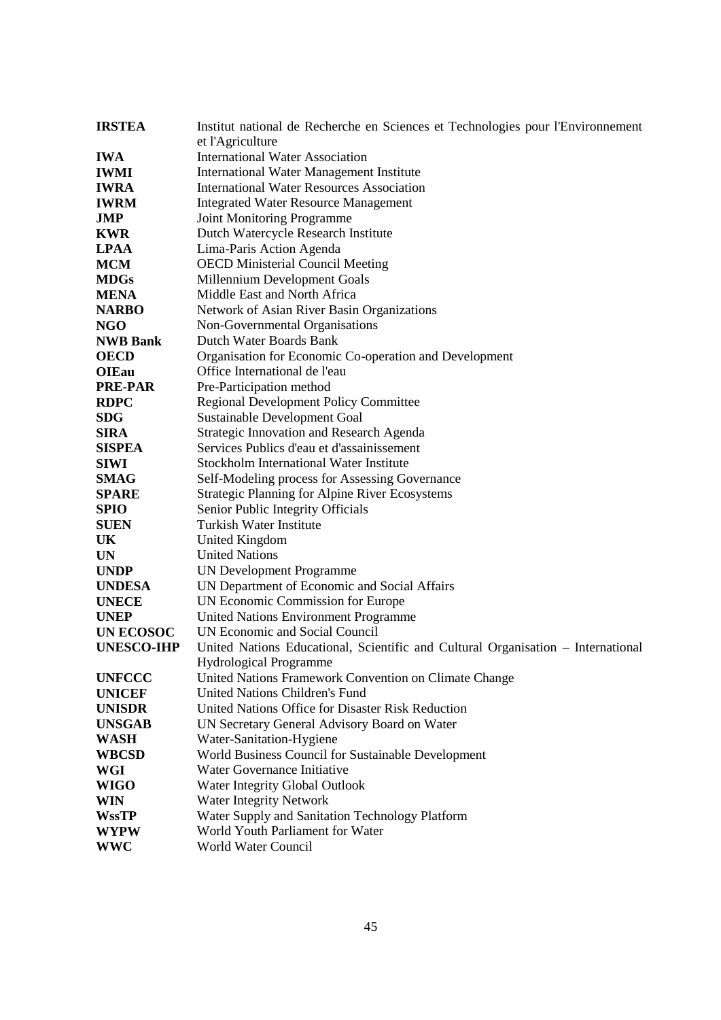| Institut national de Recherche en Sciences et Technologies pour l'Environnement  |  |  |  |
|----------------------------------------------------------------------------------|--|--|--|
| et l'Agriculture                                                                 |  |  |  |
| <b>International Water Association</b>                                           |  |  |  |
| <b>International Water Management Institute</b>                                  |  |  |  |
| <b>International Water Resources Association</b>                                 |  |  |  |
| <b>Integrated Water Resource Management</b>                                      |  |  |  |
| <b>Joint Monitoring Programme</b>                                                |  |  |  |
| Dutch Watercycle Research Institute                                              |  |  |  |
| Lima-Paris Action Agenda                                                         |  |  |  |
| <b>OECD Ministerial Council Meeting</b>                                          |  |  |  |
| Millennium Development Goals                                                     |  |  |  |
| Middle East and North Africa                                                     |  |  |  |
| Network of Asian River Basin Organizations                                       |  |  |  |
| Non-Governmental Organisations                                                   |  |  |  |
| <b>Dutch Water Boards Bank</b>                                                   |  |  |  |
| Organisation for Economic Co-operation and Development                           |  |  |  |
| Office International de l'eau                                                    |  |  |  |
| Pre-Participation method                                                         |  |  |  |
| <b>Regional Development Policy Committee</b>                                     |  |  |  |
| Sustainable Development Goal                                                     |  |  |  |
| <b>Strategic Innovation and Research Agenda</b>                                  |  |  |  |
| Services Publics d'eau et d'assainissement                                       |  |  |  |
| <b>Stockholm International Water Institute</b>                                   |  |  |  |
| Self-Modeling process for Assessing Governance                                   |  |  |  |
| <b>Strategic Planning for Alpine River Ecosystems</b>                            |  |  |  |
| Senior Public Integrity Officials                                                |  |  |  |
| <b>Turkish Water Institute</b>                                                   |  |  |  |
| <b>United Kingdom</b>                                                            |  |  |  |
| <b>United Nations</b>                                                            |  |  |  |
| <b>UN Development Programme</b>                                                  |  |  |  |
| UN Department of Economic and Social Affairs                                     |  |  |  |
| UN Economic Commission for Europe                                                |  |  |  |
| <b>United Nations Environment Programme</b>                                      |  |  |  |
| UN Economic and Social Council                                                   |  |  |  |
| United Nations Educational, Scientific and Cultural Organisation - International |  |  |  |
| Hydrological Programme                                                           |  |  |  |
| United Nations Framework Convention on Climate Change                            |  |  |  |
| <b>United Nations Children's Fund</b>                                            |  |  |  |
| United Nations Office for Disaster Risk Reduction                                |  |  |  |
| UN Secretary General Advisory Board on Water                                     |  |  |  |
| Water-Sanitation-Hygiene                                                         |  |  |  |
| World Business Council for Sustainable Development                               |  |  |  |
| Water Governance Initiative                                                      |  |  |  |
| Water Integrity Global Outlook                                                   |  |  |  |
| Water Integrity Network                                                          |  |  |  |
| Water Supply and Sanitation Technology Platform                                  |  |  |  |
| World Youth Parliament for Water                                                 |  |  |  |
| World Water Council                                                              |  |  |  |
|                                                                                  |  |  |  |